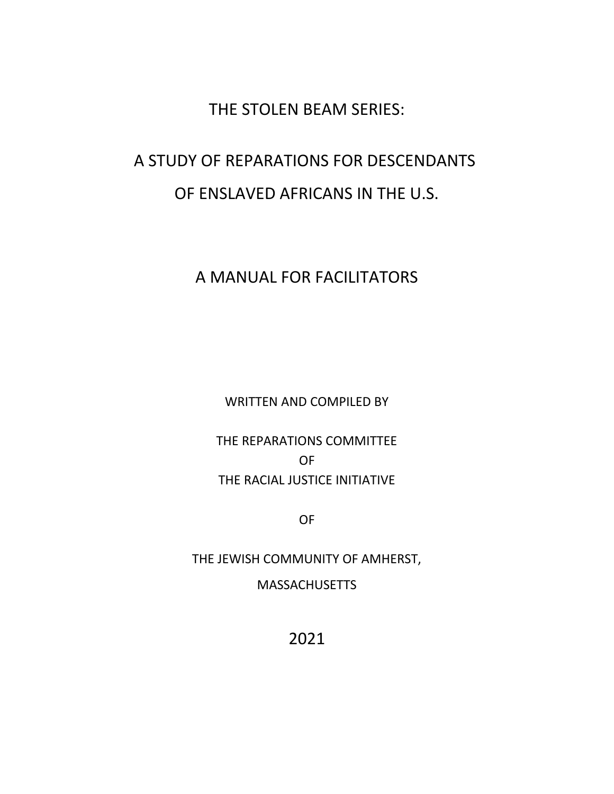# THE STOLEN BEAM SERIES:

# A STUDY OF REPARATIONS FOR DESCENDANTS OF ENSLAVED AFRICANS IN THE U.S.

# A MANUAL FOR FACILITATORS

WRITTEN AND COMPILED BY

THE REPARATIONS COMMITTEE OF THE RACIAL JUSTICE INITIATIVE

OF

THE JEWISH COMMUNITY OF AMHERST,

MASSACHUSETTS

2021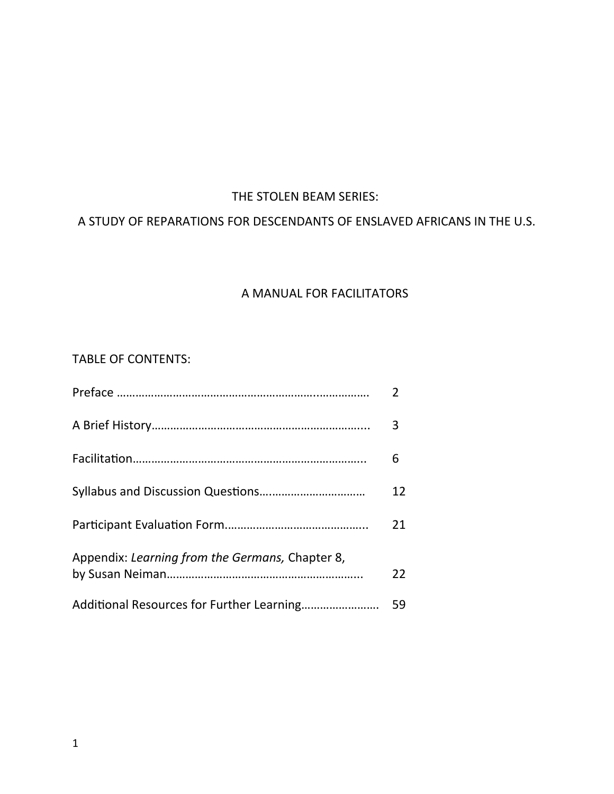# THE STOLEN BEAM SERIES:

### A STUDY OF REPARATIONS FOR DESCENDANTS OF ENSLAVED AFRICANS IN THE U.S.

### A MANUAL FOR FACILITATORS

#### TABLE OF CONTENTS:

|                                                 | $\overline{2}$ |
|-------------------------------------------------|----------------|
|                                                 | 3              |
|                                                 | 6              |
|                                                 | 12             |
|                                                 | 21             |
| Appendix: Learning from the Germans, Chapter 8, | 22             |
|                                                 | 59             |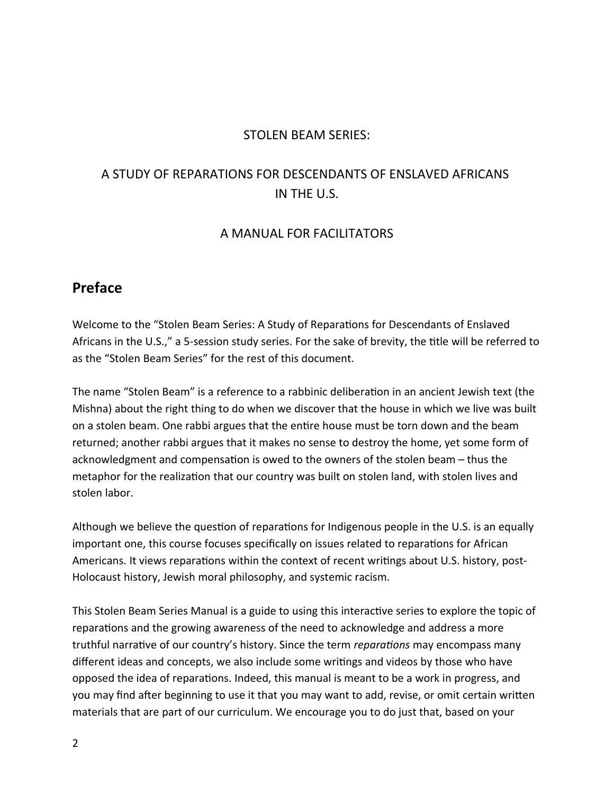#### STOLEN BEAM SERIES:

# A STUDY OF REPARATIONS FOR DESCENDANTS OF ENSLAVED AFRICANS IN THE U.S.

#### A MANUAL FOR FACILITATORS

# **Preface**

Welcome to the "Stolen Beam Series: A Study of Reparations for Descendants of Enslaved Africans in the U.S.," a 5-session study series. For the sake of brevity, the title will be referred to as the "Stolen Beam Series" for the rest of this document.

The name "Stolen Beam" is a reference to a rabbinic deliberation in an ancient Jewish text (the Mishna) about the right thing to do when we discover that the house in which we live was built on a stolen beam. One rabbi argues that the entire house must be torn down and the beam returned; another rabbi argues that it makes no sense to destroy the home, yet some form of acknowledgment and compensation is owed to the owners of the stolen beam – thus the metaphor for the realization that our country was built on stolen land, with stolen lives and stolen labor.

Although we believe the question of reparations for Indigenous people in the U.S. is an equally important one, this course focuses specifically on issues related to reparations for African Americans. It views reparations within the context of recent writings about U.S. history, post-Holocaust history, Jewish moral philosophy, and systemic racism.

This Stolen Beam Series Manual is a guide to using this interactive series to explore the topic of reparations and the growing awareness of the need to acknowledge and address a more truthful narrative of our country's history. Since the term *reparations* may encompass many different ideas and concepts, we also include some writings and videos by those who have opposed the idea of reparations. Indeed, this manual is meant to be a work in progress, and you may find after beginning to use it that you may want to add, revise, or omit certain written materials that are part of our curriculum. We encourage you to do just that, based on your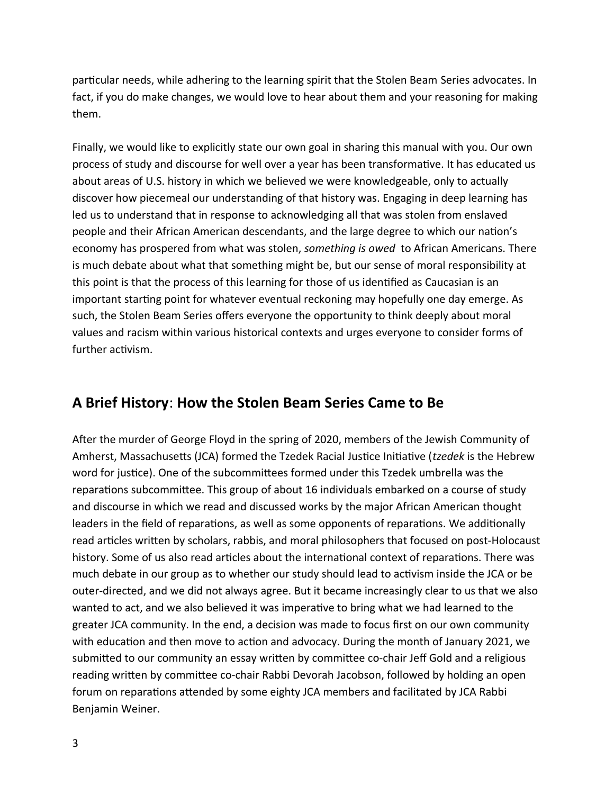particular needs, while adhering to the learning spirit that the Stolen Beam Series advocates. In fact, if you do make changes, we would love to hear about them and your reasoning for making them.

Finally, we would like to explicitly state our own goal in sharing this manual with you. Our own process of study and discourse for well over a year has been transformative. It has educated us about areas of U.S. history in which we believed we were knowledgeable, only to actually discover how piecemeal our understanding of that history was. Engaging in deep learning has led us to understand that in response to acknowledging all that was stolen from enslaved people and their African American descendants, and the large degree to which our nation's economy has prospered from what was stolen, *something is owed* to African Americans. There is much debate about what that something might be, but our sense of moral responsibility at this point is that the process of this learning for those of us identified as Caucasian is an important starting point for whatever eventual reckoning may hopefully one day emerge. As such, the Stolen Beam Series offers everyone the opportunity to think deeply about moral values and racism within various historical contexts and urges everyone to consider forms of further activism.

# **A Brief History**: **How the Stolen Beam Series Came to Be**

After the murder of George Floyd in the spring of 2020, members of the Jewish Community of Amherst, Massachusetts (JCA) formed the Tzedek Racial Justice Initiative (*tzedek* is the Hebrew word for justice). One of the subcommittees formed under this Tzedek umbrella was the reparations subcommittee. This group of about 16 individuals embarked on a course of study and discourse in which we read and discussed works by the major African American thought leaders in the field of reparations, as well as some opponents of reparations. We additionally read articles written by scholars, rabbis, and moral philosophers that focused on post-Holocaust history. Some of us also read articles about the international context of reparations. There was much debate in our group as to whether our study should lead to activism inside the JCA or be outer-directed, and we did not always agree. But it became increasingly clear to us that we also wanted to act, and we also believed it was imperative to bring what we had learned to the greater JCA community. In the end, a decision was made to focus first on our own community with education and then move to action and advocacy. During the month of January 2021, we submitted to our community an essay written by committee co-chair Jeff Gold and a religious reading written by committee co-chair Rabbi Devorah Jacobson, followed by holding an open forum on reparations attended by some eighty JCA members and facilitated by JCA Rabbi Benjamin Weiner.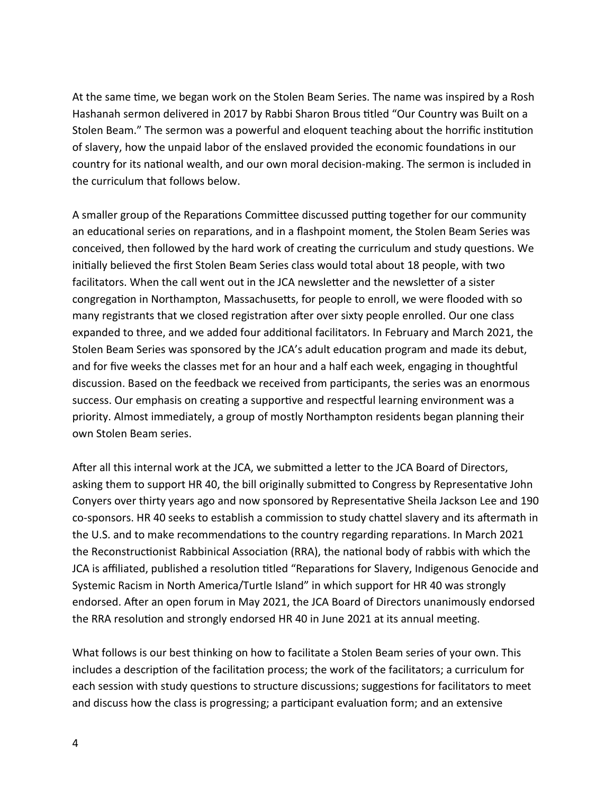At the same time, we began work on the Stolen Beam Series. The name was inspired by a Rosh Hashanah sermon delivered in 2017 by Rabbi Sharon Brous titled "Our Country was Built on a Stolen Beam." The sermon was a powerful and eloquent teaching about the horrific institution of slavery, how the unpaid labor of the enslaved provided the economic foundations in our country for its national wealth, and our own moral decision-making. The sermon is included in the curriculum that follows below.

A smaller group of the Reparations Committee discussed putting together for our community an educational series on reparations, and in a flashpoint moment, the Stolen Beam Series was conceived, then followed by the hard work of creating the curriculum and study questions. We initially believed the first Stolen Beam Series class would total about 18 people, with two facilitators. When the call went out in the JCA newsletter and the newsletter of a sister congregation in Northampton, Massachusetts, for people to enroll, we were flooded with so many registrants that we closed registration after over sixty people enrolled. Our one class expanded to three, and we added four additional facilitators. In February and March 2021, the Stolen Beam Series was sponsored by the JCA's adult education program and made its debut, and for five weeks the classes met for an hour and a half each week, engaging in thoughtful discussion. Based on the feedback we received from participants, the series was an enormous success. Our emphasis on creating a supportive and respectful learning environment was a priority. Almost immediately, a group of mostly Northampton residents began planning their own Stolen Beam series.

After all this internal work at the JCA, we submitted a letter to the JCA Board of Directors, asking them to support HR 40, the bill originally submitted to Congress by Representative John Conyers over thirty years ago and now sponsored by Representative Sheila Jackson Lee and 190 co-sponsors. HR 40 seeks to establish a commission to study chattel slavery and its aftermath in the U.S. and to make recommendations to the country regarding reparations. In March 2021 the Reconstructionist Rabbinical Association (RRA), the national body of rabbis with which the JCA is affiliated, published a resolution titled "Reparations for Slavery, Indigenous Genocide and Systemic Racism in North America/Turtle Island" in which support for HR 40 was strongly endorsed. After an open forum in May 2021, the JCA Board of Directors unanimously endorsed the RRA resolution and strongly endorsed HR 40 in June 2021 at its annual meeting.

What follows is our best thinking on how to facilitate a Stolen Beam series of your own. This includes a description of the facilitation process; the work of the facilitators; a curriculum for each session with study questions to structure discussions; suggestions for facilitators to meet and discuss how the class is progressing; a participant evaluation form; and an extensive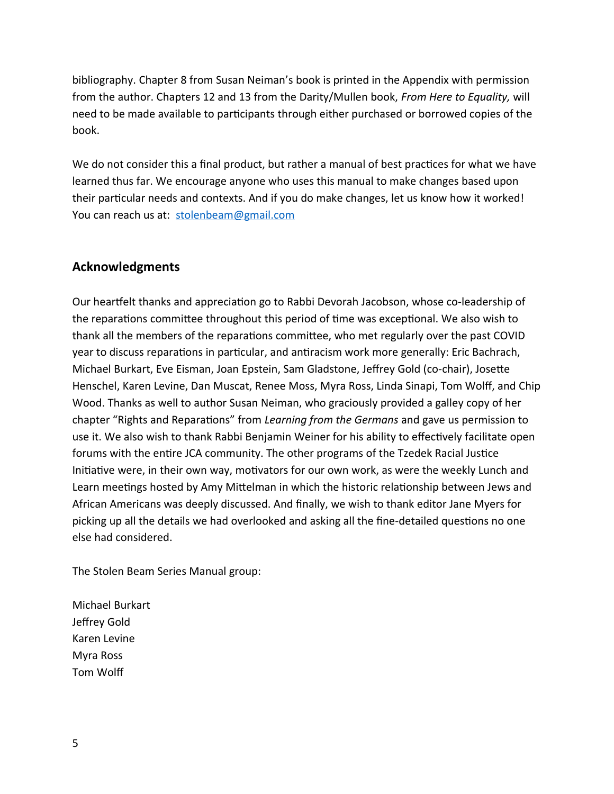bibliography. Chapter 8 from Susan Neiman's book is printed in the Appendix with permission from the author. Chapters 12 and 13 from the Darity/Mullen book, *From Here to Equality,* will need to be made available to participants through either purchased or borrowed copies of the book.

We do not consider this a final product, but rather a manual of best practices for what we have learned thus far. We encourage anyone who uses this manual to make changes based upon their particular needs and contexts. And if you do make changes, let us know how it worked! You can reach us at: [stolenbeam@gmail.com](mailto:stolenbeam@gmail.com)

### **Acknowledgments**

Our heartfelt thanks and appreciation go to Rabbi Devorah Jacobson, whose co-leadership of the reparations committee throughout this period of time was exceptional. We also wish to thank all the members of the reparations committee, who met regularly over the past COVID year to discuss reparations in particular, and antiracism work more generally: Eric Bachrach, Michael Burkart, Eve Eisman, Joan Epstein, Sam Gladstone, Jeffrey Gold (co-chair), Josette Henschel, Karen Levine, Dan Muscat, Renee Moss, Myra Ross, Linda Sinapi, Tom Wolff, and Chip Wood. Thanks as well to author Susan Neiman, who graciously provided a galley copy of her chapter "Rights and Reparations" from *Learning from the Germans* and gave us permission to use it. We also wish to thank Rabbi Benjamin Weiner for his ability to effectively facilitate open forums with the entire JCA community. The other programs of the Tzedek Racial Justice Initiative were, in their own way, motivators for our own work, as were the weekly Lunch and Learn meetings hosted by Amy Mittelman in which the historic relationship between Jews and African Americans was deeply discussed. And finally, we wish to thank editor Jane Myers for picking up all the details we had overlooked and asking all the fine-detailed questions no one else had considered.

The Stolen Beam Series Manual group:

Michael Burkart Jeffrey Gold Karen Levine Myra Ross Tom Wolff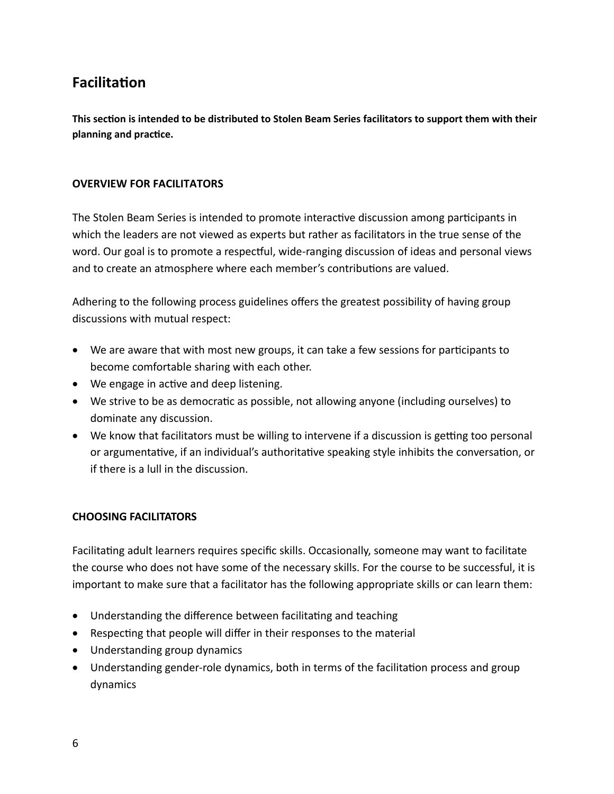# **Facilitation**

**This section is intended to be distributed to Stolen Beam Series facilitators to support them with their planning and practice.**

#### **OVERVIEW FOR FACILITATORS**

The Stolen Beam Series is intended to promote interactive discussion among participants in which the leaders are not viewed as experts but rather as facilitators in the true sense of the word. Our goal is to promote a respectful, wide-ranging discussion of ideas and personal views and to create an atmosphere where each member's contributions are valued.

Adhering to the following process guidelines offers the greatest possibility of having group discussions with mutual respect:

- We are aware that with most new groups, it can take a few sessions for participants to become comfortable sharing with each other.
- We engage in active and deep listening.
- We strive to be as democratic as possible, not allowing anyone (including ourselves) to dominate any discussion.
- We know that facilitators must be willing to intervene if a discussion is getting too personal or argumentative, if an individual's authoritative speaking style inhibits the conversation, or if there is a lull in the discussion.

#### **CHOOSING FACILITATORS**

Facilitating adult learners requires specific skills. Occasionally, someone may want to facilitate the course who does not have some of the necessary skills. For the course to be successful, it is important to make sure that a facilitator has the following appropriate skills or can learn them:

- Understanding the difference between facilitating and teaching
- Respecting that people will differ in their responses to the material
- Understanding group dynamics
- Understanding gender-role dynamics, both in terms of the facilitation process and group dynamics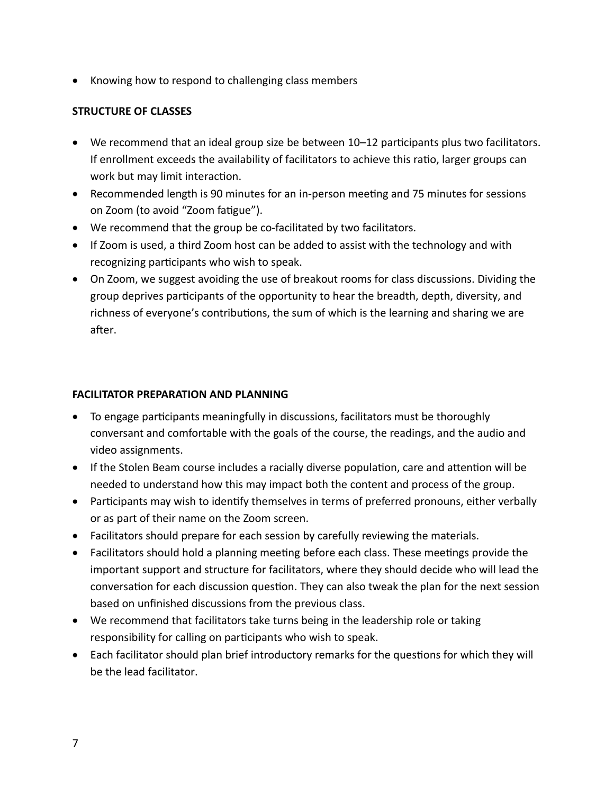• Knowing how to respond to challenging class members

#### **STRUCTURE OF CLASSES**

- We recommend that an ideal group size be between 10–12 participants plus two facilitators. If enrollment exceeds the availability of facilitators to achieve this ratio, larger groups can work but may limit interaction.
- Recommended length is 90 minutes for an in-person meeting and 75 minutes for sessions on Zoom (to avoid "Zoom fatigue").
- We recommend that the group be co-facilitated by two facilitators.
- If Zoom is used, a third Zoom host can be added to assist with the technology and with recognizing participants who wish to speak.
- On Zoom, we suggest avoiding the use of breakout rooms for class discussions. Dividing the group deprives participants of the opportunity to hear the breadth, depth, diversity, and richness of everyone's contributions, the sum of which is the learning and sharing we are after.

#### **FACILITATOR PREPARATION AND PLANNING**

- To engage participants meaningfully in discussions, facilitators must be thoroughly conversant and comfortable with the goals of the course, the readings, and the audio and video assignments.
- If the Stolen Beam course includes a racially diverse population, care and attention will be needed to understand how this may impact both the content and process of the group.
- Participants may wish to identify themselves in terms of preferred pronouns, either verbally or as part of their name on the Zoom screen.
- Facilitators should prepare for each session by carefully reviewing the materials.
- Facilitators should hold a planning meeting before each class. These meetings provide the important support and structure for facilitators, where they should decide who will lead the conversation for each discussion question. They can also tweak the plan for the next session based on unfinished discussions from the previous class.
- We recommend that facilitators take turns being in the leadership role or taking responsibility for calling on participants who wish to speak.
- Each facilitator should plan brief introductory remarks for the questions for which they will be the lead facilitator.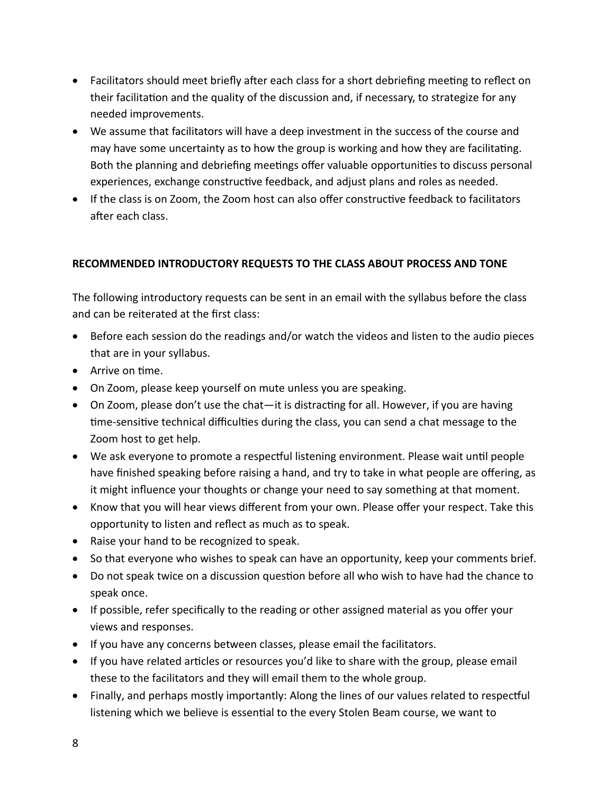- Facilitators should meet briefly after each class for a short debriefing meeting to reflect on their facilitation and the quality of the discussion and, if necessary, to strategize for any needed improvements.
- We assume that facilitators will have a deep investment in the success of the course and may have some uncertainty as to how the group is working and how they are facilitating. Both the planning and debriefing meetings offer valuable opportunities to discuss personal experiences, exchange constructive feedback, and adjust plans and roles as needed.
- If the class is on Zoom, the Zoom host can also offer constructive feedback to facilitators after each class.

#### **RECOMMENDED INTRODUCTORY REQUESTS TO THE CLASS ABOUT PROCESS AND TONE**

The following introductory requests can be sent in an email with the syllabus before the class and can be reiterated at the first class:

- Before each session do the readings and/or watch the videos and listen to the audio pieces that are in your syllabus.
- Arrive on time.
- On Zoom, please keep yourself on mute unless you are speaking.
- On Zoom, please don't use the chat—it is distracting for all. However, if you are having time-sensitive technical difficulties during the class, you can send a chat message to the Zoom host to get help.
- We ask everyone to promote a respectful listening environment. Please wait until people have finished speaking before raising a hand, and try to take in what people are offering, as it might influence your thoughts or change your need to say something at that moment.
- Know that you will hear views different from your own. Please offer your respect. Take this opportunity to listen and reflect as much as to speak.
- Raise your hand to be recognized to speak.
- So that everyone who wishes to speak can have an opportunity, keep your comments brief.
- Do not speak twice on a discussion question before all who wish to have had the chance to speak once.
- If possible, refer specifically to the reading or other assigned material as you offer your views and responses.
- If you have any concerns between classes, please email the facilitators.
- If you have related articles or resources you'd like to share with the group, please email these to the facilitators and they will email them to the whole group.
- Finally, and perhaps mostly importantly: Along the lines of our values related to respectful listening which we believe is essential to the every Stolen Beam course, we want to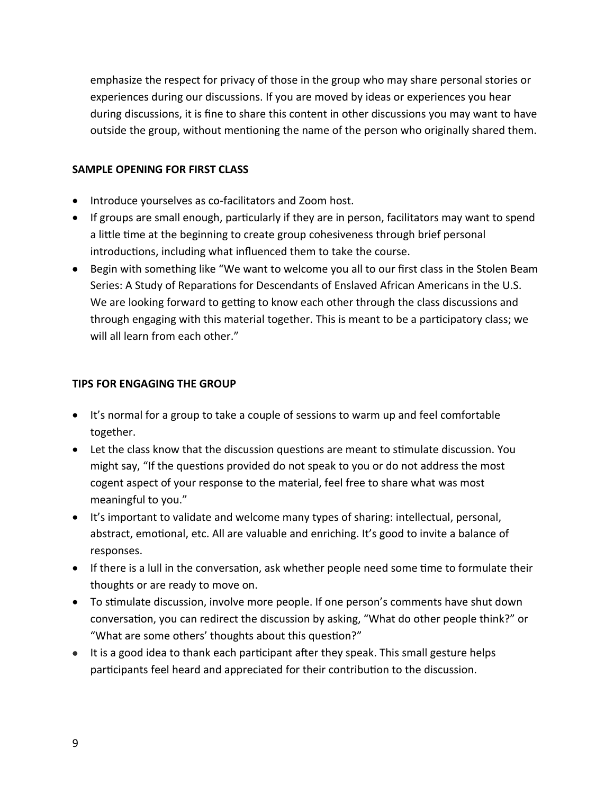emphasize the respect for privacy of those in the group who may share personal stories or experiences during our discussions. If you are moved by ideas or experiences you hear during discussions, it is fine to share this content in other discussions you may want to have outside the group, without mentioning the name of the person who originally shared them.

#### **SAMPLE OPENING FOR FIRST CLASS**

- Introduce yourselves as co-facilitators and Zoom host.
- If groups are small enough, particularly if they are in person, facilitators may want to spend a little time at the beginning to create group cohesiveness through brief personal introductions, including what influenced them to take the course.
- Begin with something like "We want to welcome you all to our first class in the Stolen Beam Series: A Study of Reparations for Descendants of Enslaved African Americans in the U.S. We are looking forward to getting to know each other through the class discussions and through engaging with this material together. This is meant to be a participatory class; we will all learn from each other."

#### **TIPS FOR ENGAGING THE GROUP**

- It's normal for a group to take a couple of sessions to warm up and feel comfortable together.
- Let the class know that the discussion questions are meant to stimulate discussion. You might say, "If the questions provided do not speak to you or do not address the most cogent aspect of your response to the material, feel free to share what was most meaningful to you."
- It's important to validate and welcome many types of sharing: intellectual, personal, abstract, emotional, etc. All are valuable and enriching. It's good to invite a balance of responses.
- If there is a lull in the conversation, ask whether people need some time to formulate their thoughts or are ready to move on.
- To stimulate discussion, involve more people. If one person's comments have shut down conversation, you can redirect the discussion by asking, "What do other people think?" or "What are some others' thoughts about this question?"
- $\bullet$  It is a good idea to thank each participant after they speak. This small gesture helps participants feel heard and appreciated for their contribution to the discussion.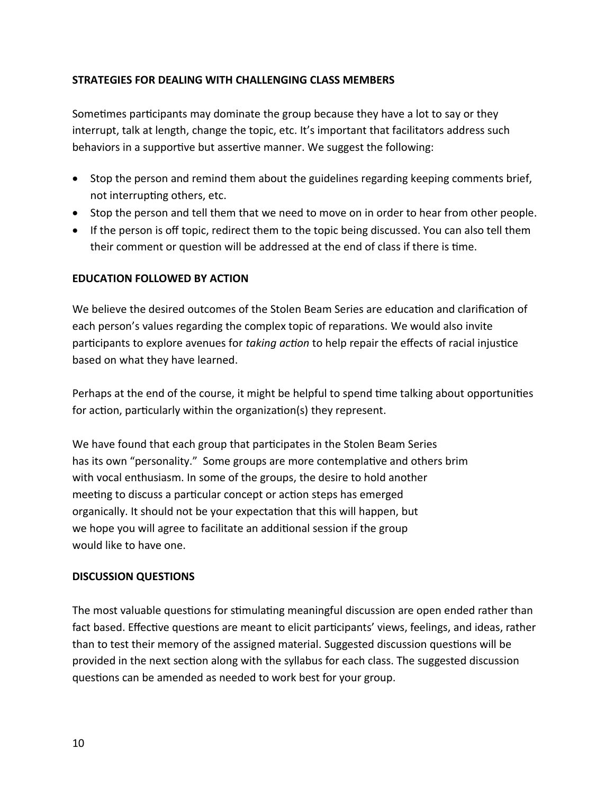#### **STRATEGIES FOR DEALING WITH CHALLENGING CLASS MEMBERS**

Sometimes participants may dominate the group because they have a lot to say or they interrupt, talk at length, change the topic, etc. It's important that facilitators address such behaviors in a supportive but assertive manner. We suggest the following:

- Stop the person and remind them about the guidelines regarding keeping comments brief, not interrupting others, etc.
- Stop the person and tell them that we need to move on in order to hear from other people.
- If the person is off topic, redirect them to the topic being discussed. You can also tell them their comment or question will be addressed at the end of class if there is time.

#### **EDUCATION FOLLOWED BY ACTION**

We believe the desired outcomes of the Stolen Beam Series are education and clarification of each person's values regarding the complex topic of reparations. We would also invite participants to explore avenues for *taking action* to help repair the effects of racial injustice based on what they have learned.

Perhaps at the end of the course, it might be helpful to spend time talking about opportunities for action, particularly within the organization(s) they represent.

We have found that each group that participates in the Stolen Beam Series has its own "personality." Some groups are more contemplative and others brim with vocal enthusiasm. In some of the groups, the desire to hold another meeting to discuss a particular concept or action steps has emerged organically. It should not be your expectation that this will happen, but we hope you will agree to facilitate an additional session if the group would like to have one.

#### **DISCUSSION QUESTIONS**

The most valuable questions for stimulating meaningful discussion are open ended rather than fact based. Effective questions are meant to elicit participants' views, feelings, and ideas, rather than to test their memory of the assigned material. Suggested discussion questions will be provided in the next section along with the syllabus for each class. The suggested discussion questions can be amended as needed to work best for your group.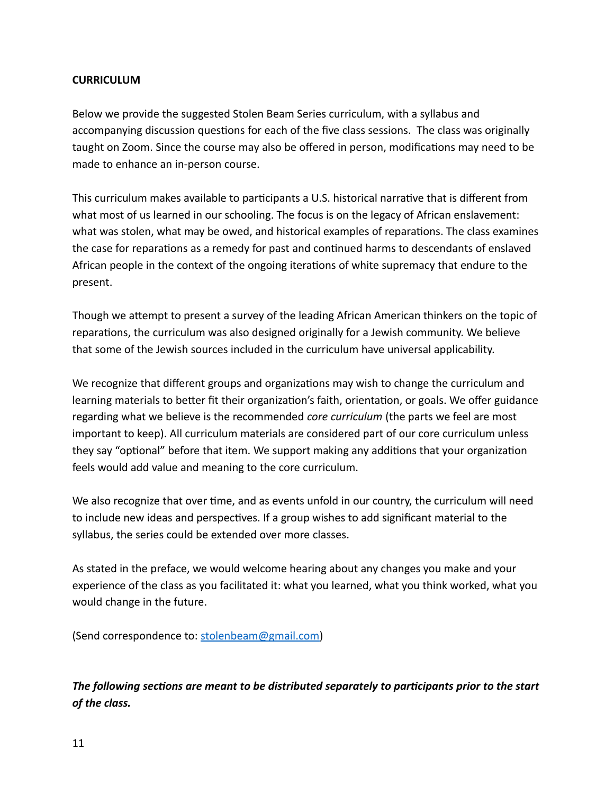#### **CURRICULUM**

Below we provide the suggested Stolen Beam Series curriculum, with a syllabus and accompanying discussion questions for each of the five class sessions. The class was originally taught on Zoom. Since the course may also be offered in person, modifications may need to be made to enhance an in-person course.

This curriculum makes available to participants a U.S. historical narrative that is different from what most of us learned in our schooling. The focus is on the legacy of African enslavement: what was stolen, what may be owed, and historical examples of reparations. The class examines the case for reparations as a remedy for past and continued harms to descendants of enslaved African people in the context of the ongoing iterations of white supremacy that endure to the present.

Though we attempt to present a survey of the leading African American thinkers on the topic of reparations, the curriculum was also designed originally for a Jewish community. We believe that some of the Jewish sources included in the curriculum have universal applicability.

We recognize that different groups and organizations may wish to change the curriculum and learning materials to better fit their organization's faith, orientation, or goals. We offer guidance regarding what we believe is the recommended *core curriculum* (the parts we feel are most important to keep). All curriculum materials are considered part of our core curriculum unless they say "optional" before that item. We support making any additions that your organization feels would add value and meaning to the core curriculum.

We also recognize that over time, and as events unfold in our country, the curriculum will need to include new ideas and perspectives. If a group wishes to add significant material to the syllabus, the series could be extended over more classes.

As stated in the preface, we would welcome hearing about any changes you make and your experience of the class as you facilitated it: what you learned, what you think worked, what you would change in the future.

(Send correspondence to: [stolenbeam@gmail.com\)](mailto:stolenbeam@gmail.com)

*The following sections are meant to be distributed separately to participants prior to the start of the class.*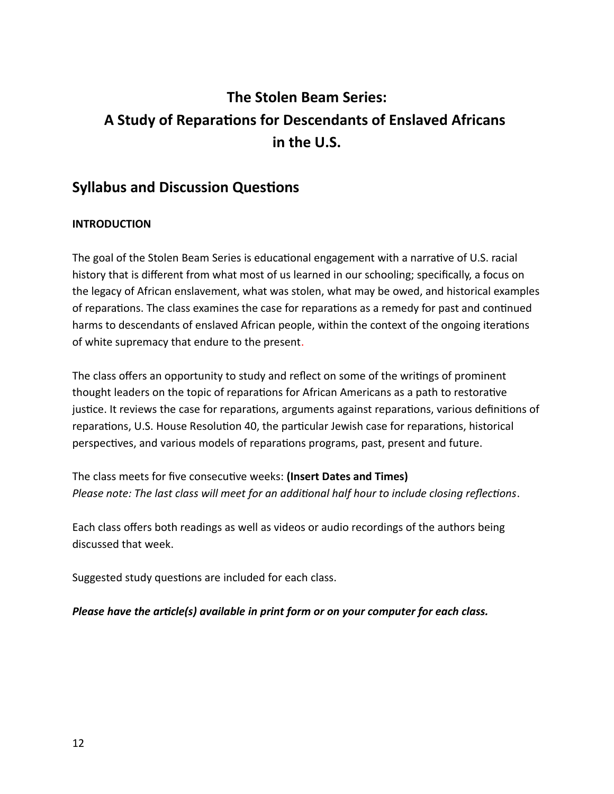# **The Stolen Beam Series: A Study of Reparations for Descendants of Enslaved Africans in the U.S.**

# **Syllabus and Discussion Questions**

#### **INTRODUCTION**

The goal of the Stolen Beam Series is educational engagement with a narrative of U.S. racial history that is different from what most of us learned in our schooling; specifically, a focus on the legacy of African enslavement, what was stolen, what may be owed, and historical examples of reparations. The class examines the case for reparations as a remedy for past and continued harms to descendants of enslaved African people, within the context of the ongoing iterations of white supremacy that endure to the present.

The class offers an opportunity to study and reflect on some of the writings of prominent thought leaders on the topic of reparations for African Americans as a path to restorative justice. It reviews the case for reparations, arguments against reparations, various definitions of reparations, U.S. House Resolution 40, the particular Jewish case for reparations, historical perspectives, and various models of reparations programs, past, present and future.

The class meets for five consecutive weeks: **(Insert Dates and Times)** *Please note: The last class will meet for an additional half hour to include closing reflections*.

Each class offers both readings as well as videos or audio recordings of the authors being discussed that week.

Suggested study questions are included for each class.

*Please have the article(s) available in print form or on your computer for each class.*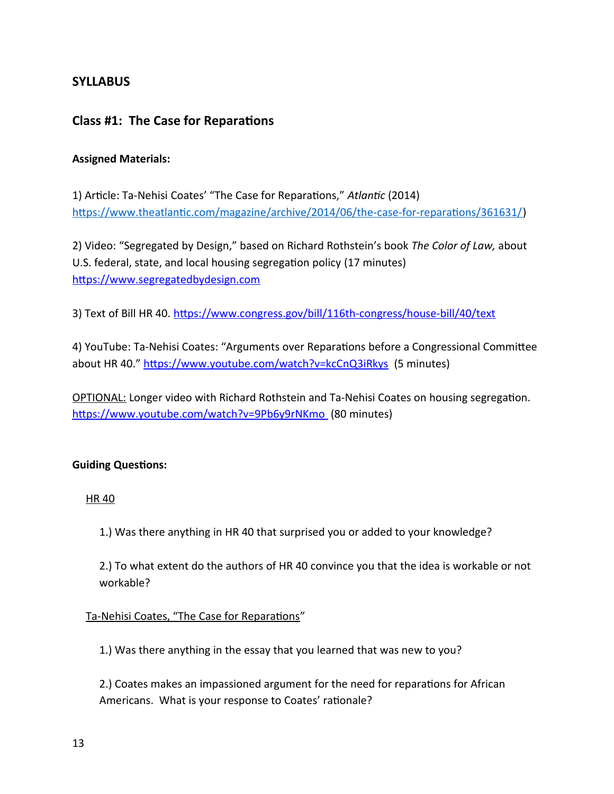### **SYLLABUS**

### **Class #1: The Case for Reparations**

#### **Assigned Materials:**

1) Article: Ta-Nehisi Coates' "The Case for Reparations," *Atlantic* (2014) <https://www.theatlantic.com/magazine/archive/2014/06/the-case-for-reparations/361631/>)

2) Video: ["Segregated by Design,"](https://www.segregatedbydesign.com/) based on Richard Rothstein's book *The Color of Law,* about U.S. federal, state, and local housing segregation policy (17 minutes) https://www.segregatedbydesign.com

3) Text of Bill HR 40. https://www.congress.gov/bill/116th-congress/house-bill/40/text

4) YouTube: Ta-Nehisi Coates: "Arguments over Reparations before a Congressional Committee about HR 40." https://www.youtube.com/watch?v=kcCnQ3iRkys (5 minutes)

OPTIONAL: Longer video with Richard Rothstein and Ta-Nehisi Coates on housing segregation. https://www.youtube.com/watch?v=9Pb6y9rNKmo (80 minutes)

#### **Guiding Questions:**

HR 40

1.) Was there anything in HR 40 that surprised you or added to your knowledge?

2.) To what extent do the authors of HR 40 convince you that the idea is workable or not workable?

#### Ta-Nehisi Coates, "The Case for Reparations"

1.) Was there anything in the essay that you learned that was new to you?

2.) Coates makes an impassioned argument for the need for reparations for African Americans. What is your response to Coates' rationale?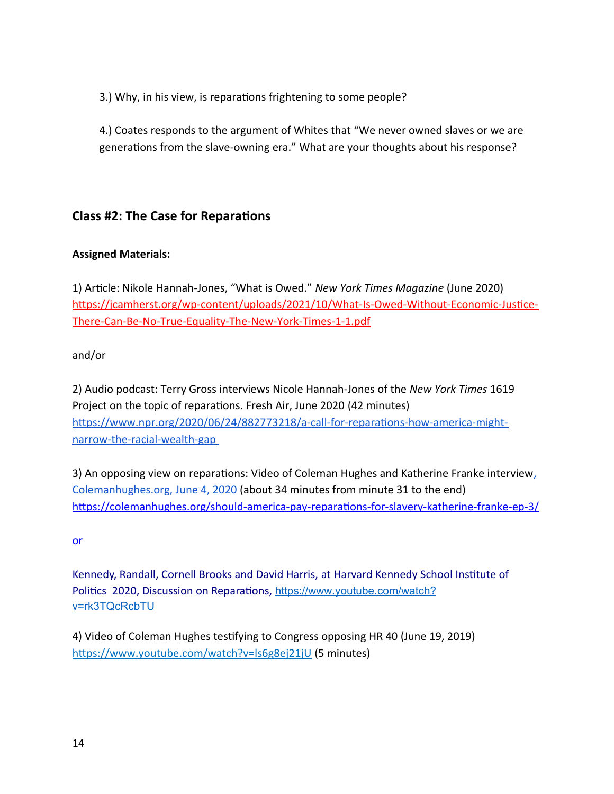3.) Why, in his view, is reparations frightening to some people?

4.) Coates responds to the argument of Whites that "We never owned slaves or we are generations from the slave-owning era." What are your thoughts about his response?

# **Class #2: The Case for Reparations**

#### **Assigned Materials:**

1) Article: Nikole Hannah-Jones, "What is Owed." *New York Times Magazine* (June 2020) [https://jcamherst.org/wp-content/uploads/2021/10/What-Is-Owed-Without-Economic-Justice-](https://jcamherst.org/wp-content/uploads/2021/10/What-Is-Owed-Without-Economic-Justice-There-Can-Be-No-True-Equality-The-New-York-Times-1-1.pdf)[There-Can-Be-No-True-Equality-The-New-York-Times-1-1.pdf](https://jcamherst.org/wp-content/uploads/2021/10/What-Is-Owed-Without-Economic-Justice-There-Can-Be-No-True-Equality-The-New-York-Times-1-1.pdf)

#### and/or

2) Audio podcast: Terry Gross interviews Nicole Hannah-Jones of the *New York Times* 1619 Project on the topic of reparations. Fresh Air, June 2020 (42 minutes) https://www.npr.org/2020/06/24/882773218/a-call-for-reparations-how-america-might narrow-the-racial-wealth-gap

3) An opposing view on reparations: Video of Coleman Hughes and Katherine Franke interview, Colemanhughes.org, June 4, 2020 (about 34 minutes from minute 31 to the end) https://colemanhughes.org/should-america-pay-reparations-for-slavery-katherine-franke-ep-3/

#### or

Kennedy, Randall, Cornell Brooks and David Harris, at Harvard Kennedy School Institute of Politics 2020, Discussion on Reparations, [https://www.youtube.com/watch?](https://www.youtube.com/watch?v=rk3TQcRcbTU) [v=rk3TQcRcbTU](https://www.youtube.com/watch?v=rk3TQcRcbTU)

4) Video of Coleman Hughes testifying to Congress opposing HR 40 (June 19, 2019) https://www.youtube.com/watch?v=ls6g8ej21jU (5 minutes)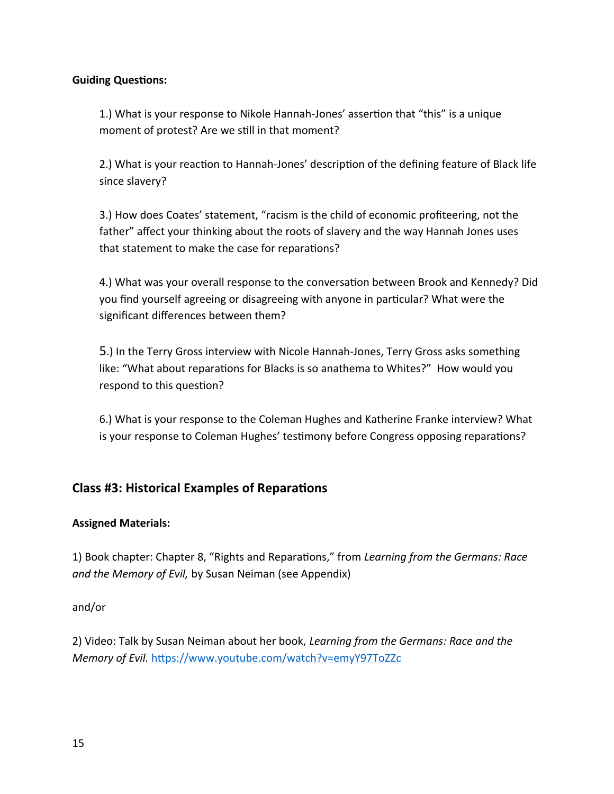#### **Guiding Questions:**

1.) What is your response to Nikole Hannah-Jones' assertion that "this" is a unique moment of protest? Are we still in that moment?

2.) What is your reaction to Hannah-Jones' description of the defining feature of Black life since slavery?

3.) How does Coates' statement, "racism is the child of economic profiteering, not the father" affect your thinking about the roots of slavery and the way Hannah Jones uses that statement to make the case for reparations?

4.) What was your overall response to the conversation between Brook and Kennedy? Did you find yourself agreeing or disagreeing with anyone in particular? What were the significant differences between them?

5.) In the Terry Gross interview with Nicole Hannah-Jones, Terry Gross asks something like: "What about reparations for Blacks is so anathema to Whites?" How would you respond to this question?

6.) What is your response to the Coleman Hughes and Katherine Franke interview? What is your response to Coleman Hughes' testimony before Congress opposing reparations?

# **Class #3: Historical Examples of Reparations**

#### **Assigned Materials:**

1) Book chapter: Chapter 8, "Rights and Reparations," from *Learning from the Germans: Race and the Memory of Evil,* by Susan Neiman (see Appendix)

#### and/or

2) Video: Talk by Susan Neiman about her book, *Learning from the Germans: Race and the Memory of Evil.* <https://www.youtube.com/watch?v=emyY97ToZZc>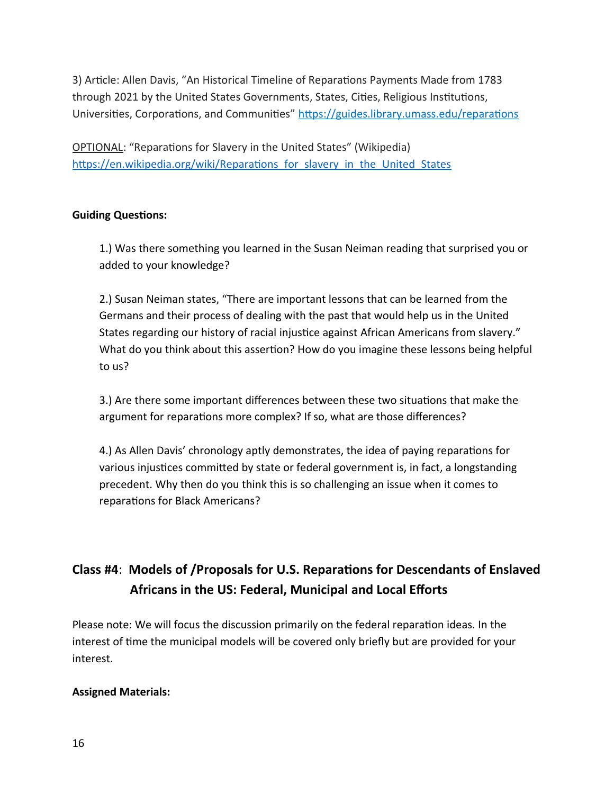3) Article: Allen Davis, "An Historical Timeline of Reparations Payments Made from 1783 through 2021 by the United States Governments, States, Cities, Religious Institutions, Universities, Corporations, and Communities" https://guides.library.umass.edu/reparations

OPTIONAL: "Reparations for Slavery in the United States" (Wikipedia) [https://en.wikipedia.org/wiki/Reparations\\_for\\_slavery\\_in\\_the\\_United\\_States](https://en.wikipedia.org/wiki/Reparations_for_slavery_in_the_United_States)

#### **Guiding Questions:**

1.) Was there something you learned in the Susan Neiman reading that surprised you or added to your knowledge?

2.) Susan Neiman states, "There are important lessons that can be learned from the Germans and their process of dealing with the past that would help us in the United States regarding our history of racial injustice against African Americans from slavery." What do you think about this assertion? How do you imagine these lessons being helpful to us?

3.) Are there some important differences between these two situations that make the argument for reparations more complex? If so, what are those differences?

4.) As Allen Davis' chronology aptly demonstrates, the idea of paying reparations for various injustices committed by state or federal government is, in fact, a longstanding precedent. Why then do you think this is so challenging an issue when it comes to reparations for Black Americans?

# **Class #4**: **Models of /Proposals for U.S. Reparations for Descendants of Enslaved Africans in the US: Federal, Municipal and Local Efforts**

Please note: We will focus the discussion primarily on the federal reparation ideas. In the interest of time the municipal models will be covered only briefly but are provided for your interest.

#### **Assigned Materials:**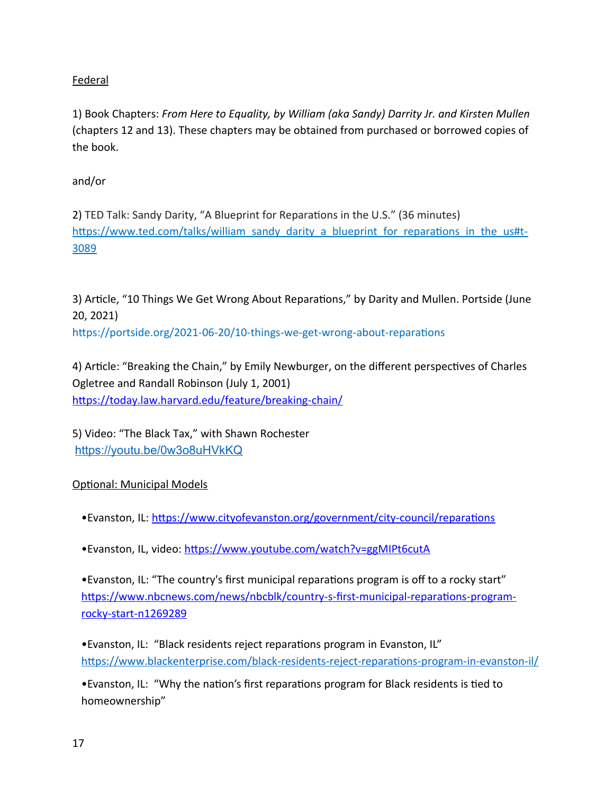#### **Federal**

1) Book Chapters: *From Here to Equality, by William (aka Sandy) Darrity Jr. and Kirsten Mullen*  (chapters 12 and 13). These chapters may be obtained from purchased or borrowed copies of the book.

#### and/or

2) TED Talk: Sandy Darity, "A Blueprint for Reparations in the U.S." (36 minutes) https://www.ted.com/talks/william\_sandy\_darity\_a\_blueprint\_for\_reparations\_in\_the\_us#t-3089

3) Article, "10 Things We Get Wrong About Reparations," by Darity and Mullen. Portside (June 20, 2021)

https://portside.org/2021-06-20/10-things-we-get-wrong-about-reparations

4) Article: "Breaking the Chain," by Emily Newburger, on the different perspectives of Charles Ogletree and Randall Robinson (July 1, 2001) https://today.law.harvard.edu/feature/breaking-chain/

5) Video: "The Black Tax," with Shawn Rochester <https://youtu.be/0w3o8uHVkKQ>

### Optional: Municipal Models

•Evanston, IL: https://www.cityofevanston.org/government/city-council/reparations

•Evanston, IL, video: https://www.youtube.com/watch?v=ggMIPt6cutA

•Evanston, IL: "The country's first municipal reparations program is off to a rocky start" https://www.nbcnews.com/news/nbcblk/country-s-first-municipal-reparations-programrocky-start-n1269289

•Evanston, IL: "Black residents reject reparations program in Evanston, IL" <https://www.blackenterprise.com/black-residents-reject-reparations-program-in-evanston-il/>

•Evanston, IL: "Why the nation's first reparations program for Black residents is tied to homeownership"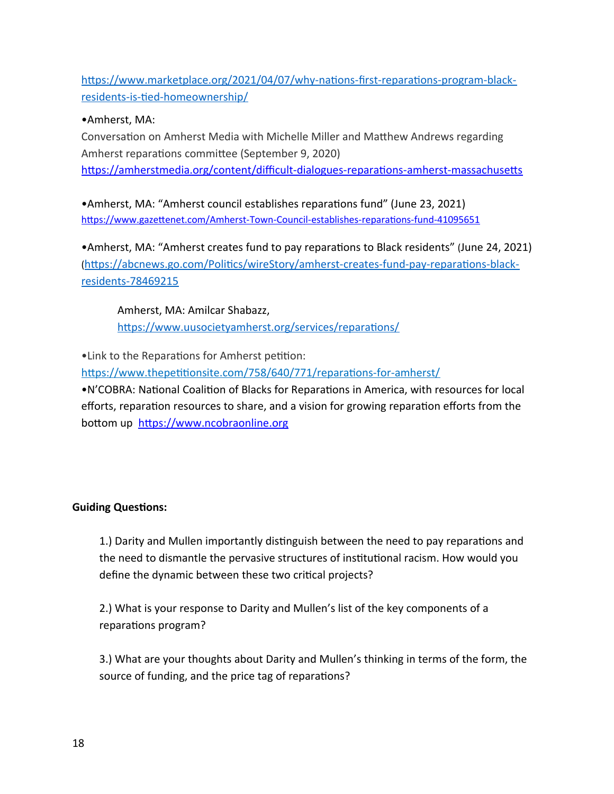[https://www.marketplace.org/2021/04/07/why-nations-first-reparations-program-black](https://www.marketplace.org/2021/04/07/why-nations-first-reparations-program-black-residents-is-tied-homeownership/)[residents-is-tied-homeownership/](https://www.marketplace.org/2021/04/07/why-nations-first-reparations-program-black-residents-is-tied-homeownership/)

#### •Amherst, MA:

Conversation on Amherst Media with Michelle Miller and Matthew Andrews regarding Amherst reparations committee (September 9, 2020) <https://amherstmedia.org/content/difficult-dialogues-reparations-amherst-massachusetts>

•Amherst, MA: "Amherst council establishes reparations fund" (June 23, 2021) https://www.gazettenet.com/Amherst-Town-Council-establishes-reparations-fund-41095651

•Amherst, MA: "Amherst creates fund to pay reparations to Black residents" (June 24, 2021) (https://abcnews.go.com/Politics/wireStory/amherst-creates-fund-pay-reparations-blackresidents-78469215

Amherst, MA: Amilcar Shabazz,

<https://www.uusocietyamherst.org/services/reparations/>

•Link to the Reparations for Amherst petition:

<https://www.thepetitionsite.com/758/640/771/reparations-for-amherst/>

•N'COBRA: National Coalition of Blacks for Reparations in America, with resources for local efforts, reparation resources to share, and a vision for growing reparation efforts from the bottom up https://www.ncobraonline.org

#### **Guiding Questions:**

1.) Darity and Mullen importantly distinguish between the need to pay reparations and the need to dismantle the pervasive structures of institutional racism. How would you define the dynamic between these two critical projects?

2.) What is your response to Darity and Mullen's list of the key components of a reparations program?

3.) What are your thoughts about Darity and Mullen's thinking in terms of the form, the source of funding, and the price tag of reparations?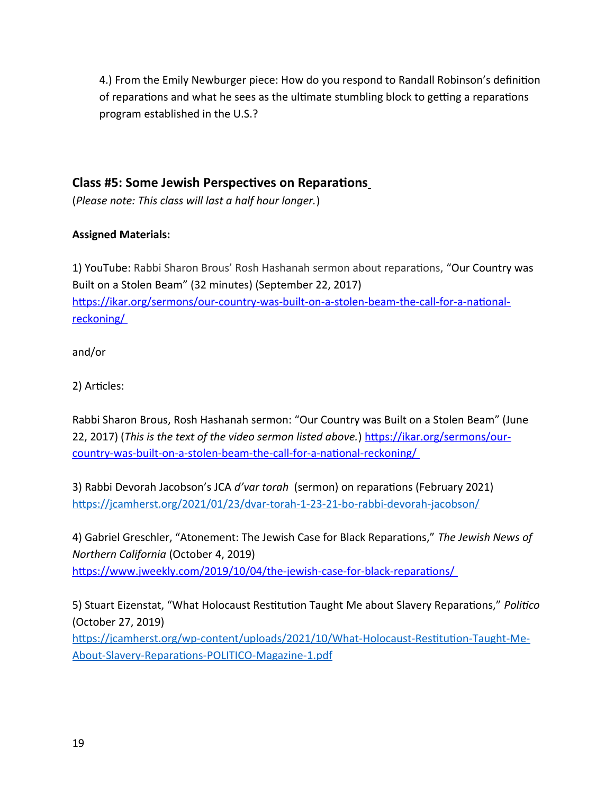4.) From the Emily Newburger piece: How do you respond to Randall Robinson's definition of reparations and what he sees as the ultimate stumbling block to getting a reparations program established in the U.S.?

# **Class #5: Some Jewish Perspectives on Reparations**

(*Please note: This class will last a half hour longer.*)

#### **Assigned Materials:**

1) YouTube: Rabbi Sharon Brous' Rosh Hashanah sermon about reparations, "Our Country was Built on a Stolen Beam" (32 minutes) (September 22, 2017) https://ikar.org/sermons/our-country-was-built-on-a-stolen-beam-the-call-for-a-national reckoning/

and/or

2) Articles:

Rabbi Sharon Brous, Rosh Hashanah sermon: "Our Country was Built on a Stolen Beam" (June 22, 2017) (*This is the text of the video sermon listed above.*) https://ikar.org/sermons/our country-was-built-on-a-stolen-beam-the-call-for-a-national-reckoning/

3) Rabbi Devorah Jacobson's JCA *d'var torah* (sermon) on reparations (February 2021) <https://jcamherst.org/2021/01/23/dvar-torah-1-23-21-bo-rabbi-devorah-jacobson/>

4) Gabriel Greschler, "Atonement: The Jewish Case for Black Reparations," *The Jewish News of Northern California* (October 4, 2019) <https://www.jweekly.com/2019/10/04/the-jewish-case-for-black-reparations/>

5) Stuart Eizenstat, "What Holocaust Restitution Taught Me about Slavery Reparations," *Politico* (October 27, 2019)

[https://jcamherst.org/wp-content/uploads/2021/10/What-Holocaust-Restitution-Taught-Me-](https://jcamherst.org/wp-content/uploads/2021/10/What-Holocaust-Restitution-Taught-Me-About-Slavery-Reparations-POLITICO-Magazine-1.pdf)[About-Slavery-Reparations-POLITICO-Magazine-1.pdf](https://jcamherst.org/wp-content/uploads/2021/10/What-Holocaust-Restitution-Taught-Me-About-Slavery-Reparations-POLITICO-Magazine-1.pdf)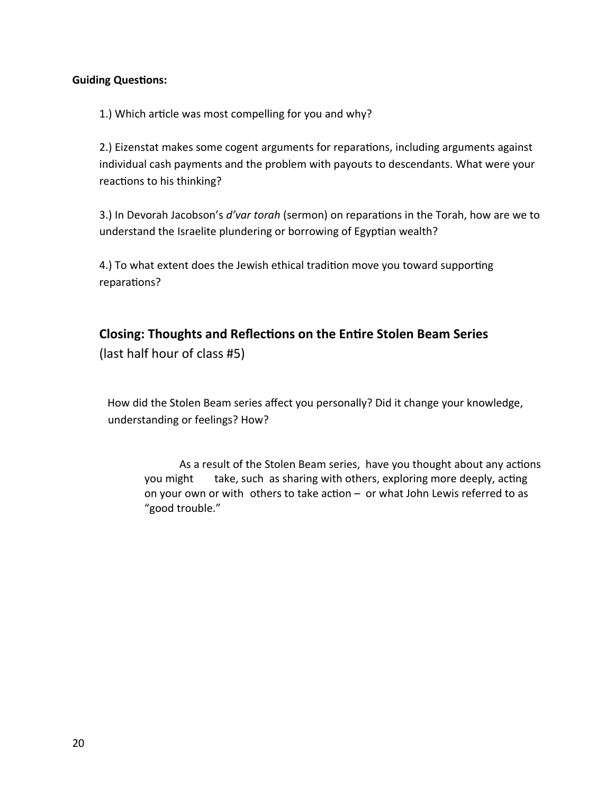#### **Guiding Questions:**

1.) Which article was most compelling for you and why?

2.) Eizenstat makes some cogent arguments for reparations, including arguments against individual cash payments and the problem with payouts to descendants. What were your reactions to his thinking?

3.) In Devorah Jacobson's *d'var torah* (sermon) on reparations in the Torah, how are we to understand the Israelite plundering or borrowing of Egyptian wealth?

4.) To what extent does the Jewish ethical tradition move you toward supporting reparations?

### **Closing: Thoughts and Reflections on the Entire Stolen Beam Series**

(last half hour of class #5)

 How did the Stolen Beam series affect you personally? Did it change your knowledge, understanding or feelings? How?

 As a result of the Stolen Beam series, have you thought about any actions you might take, such as sharing with others, exploring more deeply, acting on your own or with others to take action – or what John Lewis referred to as "good trouble."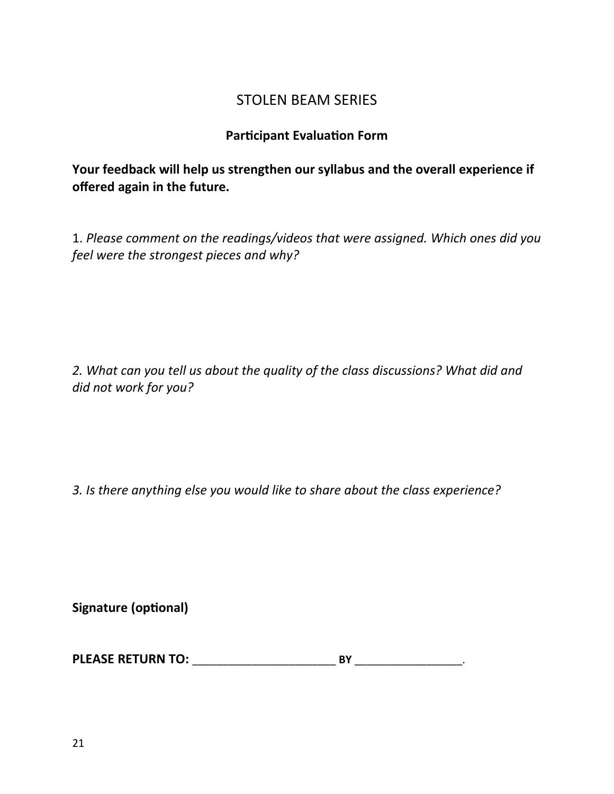# STOLEN BEAM SERIES

### **Participant Evaluation Form**

# **Your feedback will help us strengthen our syllabus and the overall experience if offered again in the future.**

1. *Please comment on the readings/videos that were assigned. Which ones did you feel were the strongest pieces and why?* 

*2. What can you tell us about the quality of the class discussions? What did and did not work for you?* 

*3. Is there anything else you would like to share about the class experience?*

**Signature (optional)**

**PLEASE RETURN TO:** \_\_\_\_\_\_\_\_\_\_\_\_\_\_\_\_\_\_\_\_\_\_\_\_ **BY** \_\_\_\_\_\_\_\_\_\_\_\_\_\_\_\_\_\_.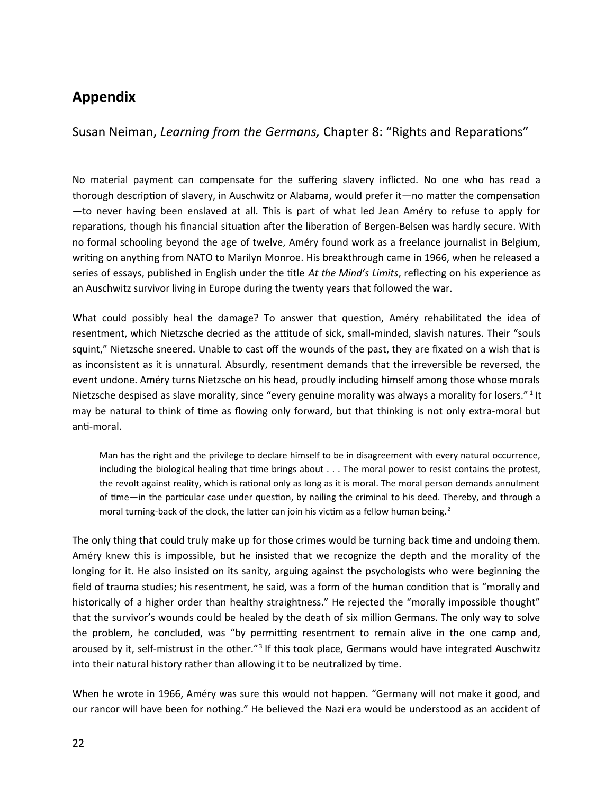# **Appendix**

### Susan Neiman, *Learning from the Germans,* Chapter 8: "Rights and Reparations"

No material payment can compensate for the suffering slavery inflicted. No one who has read a thorough description of slavery, in Auschwitz or Alabama, would prefer it—no matter the compensation —to never having been enslaved at all. This is part of what led Jean Améry to refuse to apply for reparations, though his financial situation after the liberation of Bergen-Belsen was hardly secure. With no formal schooling beyond the age of twelve, Améry found work as a freelance journalist in Belgium, writing on anything from NATO to Marilyn Monroe. His breakthrough came in 1966, when he released a series of essays, published in English under the title *At the Mind's Limits*, reflecting on his experience as an Auschwitz survivor living in Europe during the twenty years that followed the war.

What could possibly heal the damage? To answer that question, Améry rehabilitated the idea of resentment, which Nietzsche decried as the attitude of sick, small-minded, slavish natures. Their "souls squint," Nietzsche sneered. Unable to cast off the wounds of the past, they are fixated on a wish that is as inconsistent as it is unnatural. Absurdly, resentment demands that the irreversible be reversed, the event undone. Améry turns Nietzsche on his head, proudly including himself among those whose morals Nietzsche despised as slave morality, since "every genuine morality was always a morality for losers."<sup>1</sup> It may be natural to think of time as flowing only forward, but that thinking is not only extra-moral but anti-moral.

Man has the right and the privilege to declare himself to be in disagreement with every natural occurrence, including the biological healing that time brings about . . . The moral power to resist contains the protest, the revolt against reality, which is rational only as long as it is moral. The moral person demands annulment of time—in the particular case under question, by nailing the criminal to his deed. Thereby, and through a moral turning-back of the clock, the latter can join his victim as a fellow human being.<sup>2</sup>

The only thing that could truly make up for those crimes would be turning back time and undoing them. Améry knew this is impossible, but he insisted that we recognize the depth and the morality of the longing for it. He also insisted on its sanity, arguing against the psychologists who were beginning the field of trauma studies; his resentment, he said, was a form of the human condition that is "morally and historically of a higher order than healthy straightness." He rejected the "morally impossible thought" that the survivor's wounds could be healed by the death of six million Germans. The only way to solve the problem, he concluded, was "by permitting resentment to remain alive in the one camp and, aroused by it, self-mistrust in the other."<sup>3</sup> If this took place, Germans would have integrated Auschwitz into their natural history rather than allowing it to be neutralized by time.

When he wrote in 1966, Améry was sure this would not happen. "Germany will not make it good, and our rancor will have been for nothing." He believed the Nazi era would be understood as an accident of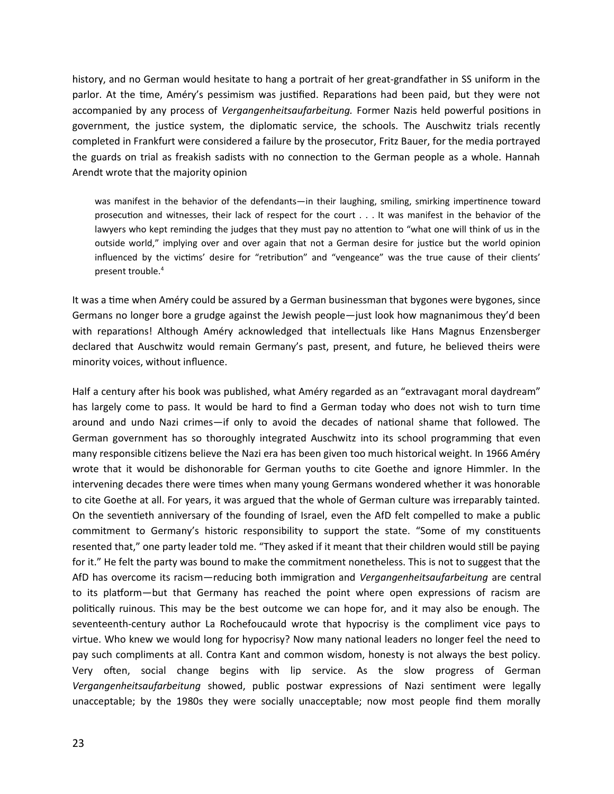history, and no German would hesitate to hang a portrait of her great-grandfather in SS uniform in the parlor. At the time, Améry's pessimism was justified. Reparations had been paid, but they were not accompanied by any process of *Vergangenheitsaufarbeitung.* Former Nazis held powerful positions in government, the justice system, the diplomatic service, the schools. The Auschwitz trials recently completed in Frankfurt were considered a failure by the prosecutor, Fritz Bauer, for the media portrayed the guards on trial as freakish sadists with no connection to the German people as a whole. Hannah Arendt wrote that the majority opinion

was manifest in the behavior of the defendants—in their laughing, smiling, smirking impertinence toward prosecution and witnesses, their lack of respect for the court . . . It was manifest in the behavior of the lawyers who kept reminding the judges that they must pay no attention to "what one will think of us in the outside world," implying over and over again that not a German desire for justice but the world opinion influenced by the victims' desire for "retribution" and "vengeance" was the true cause of their clients' present trouble.<sup>4</sup>

It was a time when Améry could be assured by a German businessman that bygones were bygones, since Germans no longer bore a grudge against the Jewish people—just look how magnanimous they'd been with reparations! Although Améry acknowledged that intellectuals like Hans Magnus Enzensberger declared that Auschwitz would remain Germany's past, present, and future, he believed theirs were minority voices, without influence.

Half a century after his book was published, what Améry regarded as an "extravagant moral daydream" has largely come to pass. It would be hard to find a German today who does not wish to turn time around and undo Nazi crimes—if only to avoid the decades of national shame that followed. The German government has so thoroughly integrated Auschwitz into its school programming that even many responsible citizens believe the Nazi era has been given too much historical weight. In 1966 Améry wrote that it would be dishonorable for German youths to cite Goethe and ignore Himmler. In the intervening decades there were times when many young Germans wondered whether it was honorable to cite Goethe at all. For years, it was argued that the whole of German culture was irreparably tainted. On the seventieth anniversary of the founding of Israel, even the AfD felt compelled to make a public commitment to Germany's historic responsibility to support the state. "Some of my constituents resented that," one party leader told me. "They asked if it meant that their children would still be paying for it." He felt the party was bound to make the commitment nonetheless. This is not to suggest that the AfD has overcome its racism—reducing both immigration and *Vergangenheitsaufarbeitung* are central to its platform—but that Germany has reached the point where open expressions of racism are politically ruinous. This may be the best outcome we can hope for, and it may also be enough. The seventeenth-century author La Rochefoucauld wrote that hypocrisy is the compliment vice pays to virtue. Who knew we would long for hypocrisy? Now many national leaders no longer feel the need to pay such compliments at all. Contra Kant and common wisdom, honesty is not always the best policy. Very often, social change begins with lip service. As the slow progress of German *Vergangenheitsaufarbeitung* showed, public postwar expressions of Nazi sentiment were legally unacceptable; by the 1980s they were socially unacceptable; now most people find them morally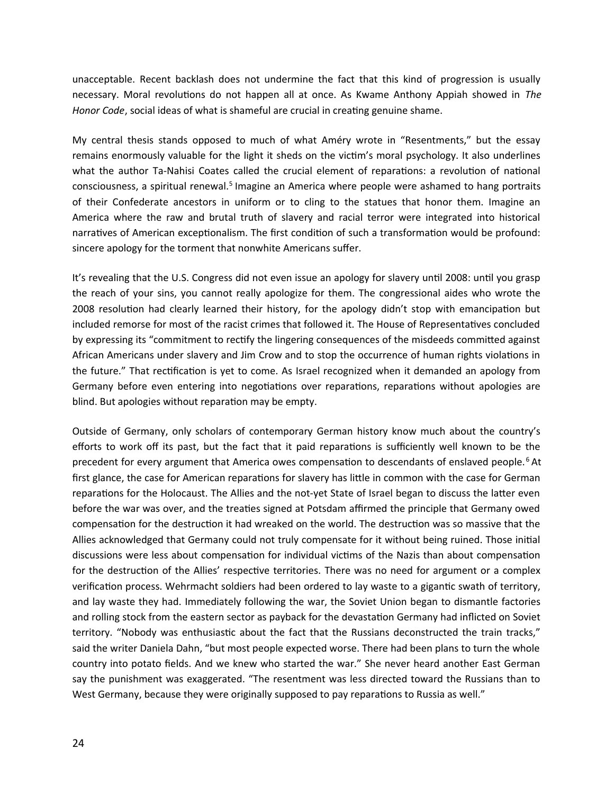unacceptable. Recent backlash does not undermine the fact that this kind of progression is usually necessary. Moral revolutions do not happen all at once. As Kwame Anthony Appiah showed in *The Honor Code*, social ideas of what is shameful are crucial in creating genuine shame.

My central thesis stands opposed to much of what Améry wrote in "Resentments," but the essay remains enormously valuable for the light it sheds on the victim's moral psychology. It also underlines what the author Ta-Nahisi Coates called the crucial element of reparations: a revolution of national consciousness, a spiritual renewal.<sup>5</sup> Imagine an America where people were ashamed to hang portraits of their Confederate ancestors in uniform or to cling to the statues that honor them. Imagine an America where the raw and brutal truth of slavery and racial terror were integrated into historical narratives of American exceptionalism. The first condition of such a transformation would be profound: sincere apology for the torment that nonwhite Americans suffer.

It's revealing that the U.S. Congress did not even issue an apology for slavery until 2008: until you grasp the reach of your sins, you cannot really apologize for them. The congressional aides who wrote the 2008 resolution had clearly learned their history, for the apology didn't stop with emancipation but included remorse for most of the racist crimes that followed it. The House of Representatives concluded by expressing its "commitment to rectify the lingering consequences of the misdeeds committed against African Americans under slavery and Jim Crow and to stop the occurrence of human rights violations in the future." That rectification is yet to come. As Israel recognized when it demanded an apology from Germany before even entering into negotiations over reparations, reparations without apologies are blind. But apologies without reparation may be empty.

Outside of Germany, only scholars of contemporary German history know much about the country's efforts to work off its past, but the fact that it paid reparations is sufficiently well known to be the precedent for every argument that America owes compensation to descendants of enslaved people.<sup>6</sup> At first glance, the case for American reparations for slavery has little in common with the case for German reparations for the Holocaust. The Allies and the not-yet State of Israel began to discuss the latter even before the war was over, and the treaties signed at Potsdam affirmed the principle that Germany owed compensation for the destruction it had wreaked on the world. The destruction was so massive that the Allies acknowledged that Germany could not truly compensate for it without being ruined. Those initial discussions were less about compensation for individual victims of the Nazis than about compensation for the destruction of the Allies' respective territories. There was no need for argument or a complex verification process. Wehrmacht soldiers had been ordered to lay waste to a gigantic swath of territory, and lay waste they had. Immediately following the war, the Soviet Union began to dismantle factories and rolling stock from the eastern sector as payback for the devastation Germany had inflicted on Soviet territory. "Nobody was enthusiastic about the fact that the Russians deconstructed the train tracks," said the writer Daniela Dahn, "but most people expected worse. There had been plans to turn the whole country into potato fields. And we knew who started the war." She never heard another East German say the punishment was exaggerated. "The resentment was less directed toward the Russians than to West Germany, because they were originally supposed to pay reparations to Russia as well."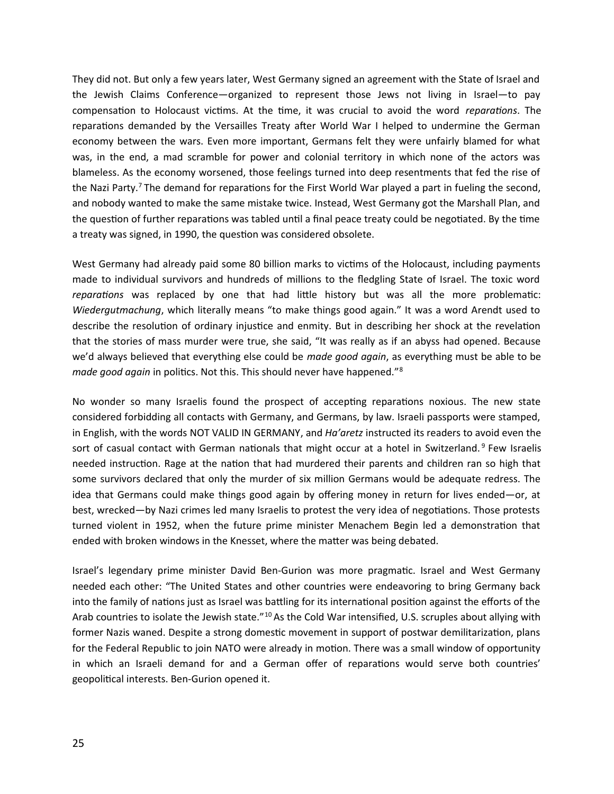They did not. But only a few years later, West Germany signed an agreement with the State of Israel and the Jewish Claims Conference—organized to represent those Jews not living in Israel—to pay compensation to Holocaust victims. At the time, it was crucial to avoid the word *reparations*. The reparations demanded by the Versailles Treaty after World War I helped to undermine the German economy between the wars. Even more important, Germans felt they were unfairly blamed for what was, in the end, a mad scramble for power and colonial territory in which none of the actors was blameless. As the economy worsened, those feelings turned into deep resentments that fed the rise of the Nazi Party.<sup>7</sup> The demand for reparations for the First World War played a part in fueling the second, and nobody wanted to make the same mistake twice. Instead, West Germany got the Marshall Plan, and the question of further reparations was tabled until a final peace treaty could be negotiated. By the time a treaty was signed, in 1990, the question was considered obsolete.

West Germany had already paid some 80 billion marks to victims of the Holocaust, including payments made to individual survivors and hundreds of millions to the fledgling State of Israel. The toxic word *reparations* was replaced by one that had little history but was all the more problematic: *Wiedergutmachung*, which literally means "to make things good again." It was a word Arendt used to describe the resolution of ordinary injustice and enmity. But in describing her shock at the revelation that the stories of mass murder were true, she said, "It was really as if an abyss had opened. Because we'd always believed that everything else could be *made good again*, as everything must be able to be *made good again* in politics. Not this. This should never have happened."<sup>8</sup>

No wonder so many Israelis found the prospect of accepting reparations noxious. The new state considered forbidding all contacts with Germany, and Germans, by law. Israeli passports were stamped, in English, with the words NOT VALID IN GERMANY, and *Ha'aretz* instructed its readers to avoid even the sort of casual contact with German nationals that might occur at a hotel in Switzerland.<sup>9</sup> Few Israelis needed instruction. Rage at the nation that had murdered their parents and children ran so high that some survivors declared that only the murder of six million Germans would be adequate redress. The idea that Germans could make things good again by offering money in return for lives ended—or, at best, wrecked—by Nazi crimes led many Israelis to protest the very idea of negotiations. Those protests turned violent in 1952, when the future prime minister Menachem Begin led a demonstration that ended with broken windows in the Knesset, where the matter was being debated.

Israel's legendary prime minister David Ben-Gurion was more pragmatic. Israel and West Germany needed each other: "The United States and other countries were endeavoring to bring Germany back into the family of nations just as Israel was battling for its international position against the efforts of the Arab countries to isolate the Jewish state."<sup>10</sup> As the Cold War intensified, U.S. scruples about allying with former Nazis waned. Despite a strong domestic movement in support of postwar demilitarization, plans for the Federal Republic to join NATO were already in motion. There was a small window of opportunity in which an Israeli demand for and a German offer of reparations would serve both countries' geopolitical interests. Ben-Gurion opened it.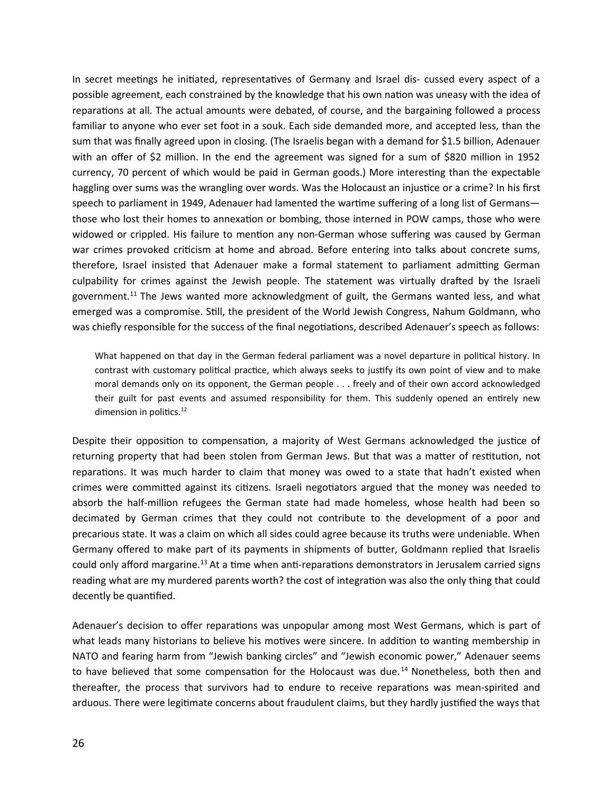In secret meetings he initiated, representatives of Germany and Israel dis- cussed every aspect of a possible agreement, each constrained by the knowledge that his own nation was uneasy with the idea of reparations at all. The actual amounts were debated, of course, and the bargaining followed a process familiar to anyone who ever set foot in a souk. Each side demanded more, and accepted less, than the sum that was finally agreed upon in closing. (The Israelis began with a demand for \$1.5 billion, Adenauer with an offer of \$2 million. In the end the agreement was signed for a sum of \$820 million in 1952 currency, 70 percent of which would be paid in German goods.) More interesting than the expectable haggling over sums was the wrangling over words. Was the Holocaust an injustice or a crime? In his first speech to parliament in 1949, Adenauer had lamented the wartime suffering of a long list of Germansthose who lost their homes to annexation or bombing, those interned in POW camps, those who were widowed or crippled. His failure to mention any non-German whose suffering was caused by German war crimes provoked criticism at home and abroad. Before entering into talks about concrete sums, therefore, Israel insisted that Adenauer make a formal statement to parliament admitting German culpability for crimes against the Jewish people. The statement was virtually drafted by the Israeli government.<sup>11</sup> The Jews wanted more acknowledgment of guilt, the Germans wanted less, and what emerged was a compromise. Still, the president of the World Jewish Congress, Nahum Goldmann, who was chiefly responsible for the success of the final negotiations, described Adenauer's speech as follows:

What happened on that day in the German federal parliament was a novel departure in political history. In contrast with customary political practice, which always seeks to justify its own point of view and to make moral demands only on its opponent, the German people . . . freely and of their own accord acknowledged their guilt for past events and assumed responsibility for them. This suddenly opened an entirely new dimension in politics.<sup>12</sup>

Despite their opposition to compensation, a majority of West Germans acknowledged the justice of returning property that had been stolen from German Jews. But that was a matter of restitution, not reparations. It was much harder to claim that money was owed to a state that hadn't existed when crimes were committed against its citizens. Israeli negotiators argued that the money was needed to absorb the half-million refugees the German state had made homeless, whose health had been so decimated by German crimes that they could not contribute to the development of a poor and precarious state. It was a claim on which all sides could agree because its truths were undeniable. When Germany offered to make part of its payments in shipments of butter, Goldmann replied that Israelis could only afford margarine.<sup>13</sup> At a time when anti-reparations demonstrators in Jerusalem carried signs reading what are my murdered parents worth? the cost of integration was also the only thing that could decently be quantified.

Adenauer's decision to offer reparations was unpopular among most West Germans, which is part of what leads many historians to believe his motives were sincere. In addition to wanting membership in NATO and fearing harm from "Jewish banking circles" and "Jewish economic power," Adenauer seems to have believed that some compensation for the Holocaust was due.<sup>14</sup> Nonetheless, both then and thereafter, the process that survivors had to endure to receive reparations was mean-spirited and arduous. There were legitimate concerns about fraudulent claims, but they hardly justified the ways that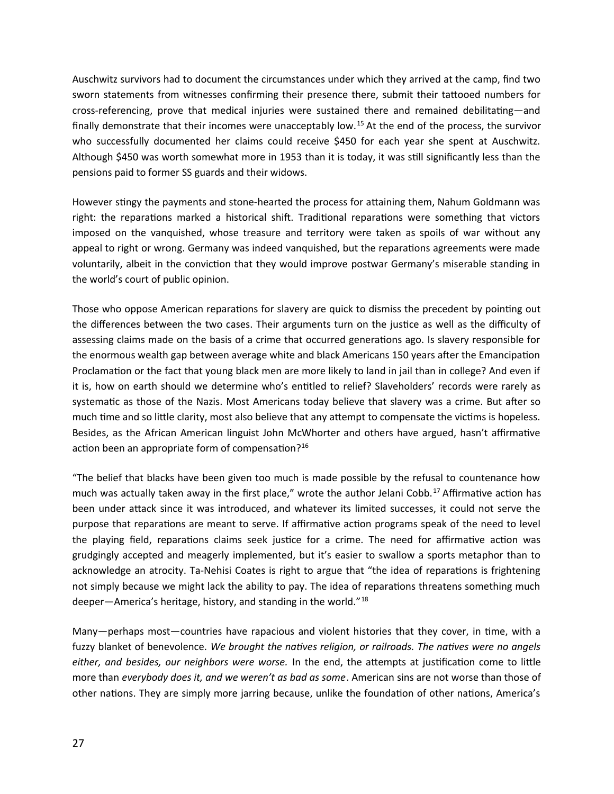Auschwitz survivors had to document the circumstances under which they arrived at the camp, find two sworn statements from witnesses confirming their presence there, submit their tattooed numbers for cross-referencing, prove that medical injuries were sustained there and remained debilitating—and finally demonstrate that their incomes were unacceptably low.<sup>15</sup> At the end of the process, the survivor who successfully documented her claims could receive \$450 for each year she spent at Auschwitz. Although \$450 was worth somewhat more in 1953 than it is today, it was still significantly less than the pensions paid to former SS guards and their widows.

However stingy the payments and stone-hearted the process for attaining them, Nahum Goldmann was right: the reparations marked a historical shift. Traditional reparations were something that victors imposed on the vanquished, whose treasure and territory were taken as spoils of war without any appeal to right or wrong. Germany was indeed vanquished, but the reparations agreements were made voluntarily, albeit in the conviction that they would improve postwar Germany's miserable standing in the world's court of public opinion.

Those who oppose American reparations for slavery are quick to dismiss the precedent by pointing out the differences between the two cases. Their arguments turn on the justice as well as the difficulty of assessing claims made on the basis of a crime that occurred generations ago. Is slavery responsible for the enormous wealth gap between average white and black Americans 150 years after the Emancipation Proclamation or the fact that young black men are more likely to land in jail than in college? And even if it is, how on earth should we determine who's entitled to relief? Slaveholders' records were rarely as systematic as those of the Nazis. Most Americans today believe that slavery was a crime. But after so much time and so little clarity, most also believe that any attempt to compensate the victims is hopeless. Besides, as the African American linguist John McWhorter and others have argued, hasn't affirmative action been an appropriate form of compensation?<sup>16</sup>

"The belief that blacks have been given too much is made possible by the refusal to countenance how much was actually taken away in the first place," wrote the author Jelani Cobb.<sup>17</sup> Affirmative action has been under attack since it was introduced, and whatever its limited successes, it could not serve the purpose that reparations are meant to serve. If affirmative action programs speak of the need to level the playing field, reparations claims seek justice for a crime. The need for affirmative action was grudgingly accepted and meagerly implemented, but it's easier to swallow a sports metaphor than to acknowledge an atrocity. Ta-Nehisi Coates is right to argue that "the idea of reparations is frightening not simply because we might lack the ability to pay. The idea of reparations threatens something much deeper—America's heritage, history, and standing in the world."<sup>18</sup>

Many—perhaps most—countries have rapacious and violent histories that they cover, in time, with a fuzzy blanket of benevolence. *We brought the natives religion, or railroads. The natives were no angels either, and besides, our neighbors were worse.* In the end, the attempts at justification come to little more than *everybody does it, and we weren't as bad as some*. American sins are not worse than those of other nations. They are simply more jarring because, unlike the foundation of other nations, America's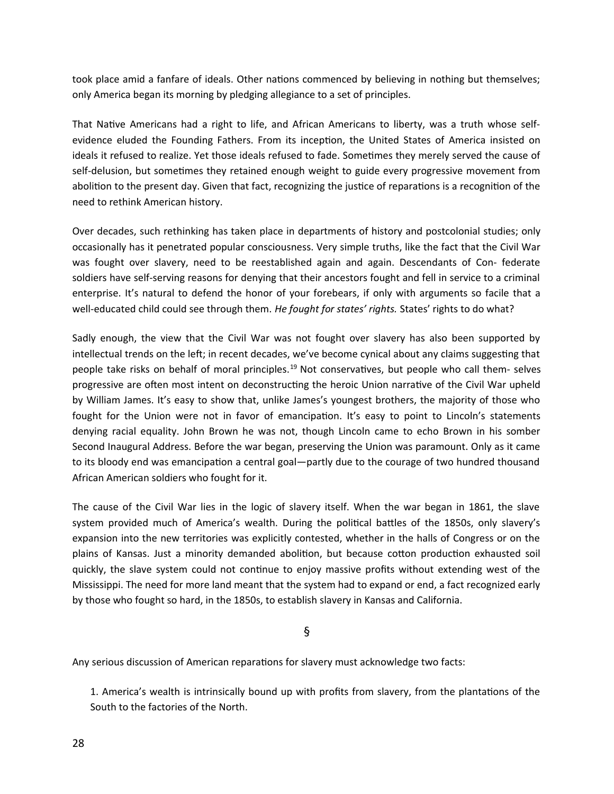took place amid a fanfare of ideals. Other nations commenced by believing in nothing but themselves; only America began its morning by pledging allegiance to a set of principles.

That Native Americans had a right to life, and African Americans to liberty, was a truth whose selfevidence eluded the Founding Fathers. From its inception, the United States of America insisted on ideals it refused to realize. Yet those ideals refused to fade. Sometimes they merely served the cause of self-delusion, but sometimes they retained enough weight to guide every progressive movement from abolition to the present day. Given that fact, recognizing the justice of reparations is a recognition of the need to rethink American history.

Over decades, such rethinking has taken place in departments of history and postcolonial studies; only occasionally has it penetrated popular consciousness. Very simple truths, like the fact that the Civil War was fought over slavery, need to be reestablished again and again. Descendants of Con- federate soldiers have self-serving reasons for denying that their ancestors fought and fell in service to a criminal enterprise. It's natural to defend the honor of your forebears, if only with arguments so facile that a well-educated child could see through them. *He fought for states' rights.* States' rights to do what?

Sadly enough, the view that the Civil War was not fought over slavery has also been supported by intellectual trends on the left; in recent decades, we've become cynical about any claims suggesting that people take risks on behalf of moral principles.<sup>19</sup> Not conservatives, but people who call them- selves progressive are often most intent on deconstructing the heroic Union narrative of the Civil War upheld by William James. It's easy to show that, unlike James's youngest brothers, the majority of those who fought for the Union were not in favor of emancipation. It's easy to point to Lincoln's statements denying racial equality. John Brown he was not, though Lincoln came to echo Brown in his somber Second Inaugural Address. Before the war began, preserving the Union was paramount. Only as it came to its bloody end was emancipation a central goal—partly due to the courage of two hundred thousand African American soldiers who fought for it.

The cause of the Civil War lies in the logic of slavery itself. When the war began in 1861, the slave system provided much of America's wealth. During the political battles of the 1850s, only slavery's expansion into the new territories was explicitly contested, whether in the halls of Congress or on the plains of Kansas. Just a minority demanded abolition, but because cotton production exhausted soil quickly, the slave system could not continue to enjoy massive profits without extending west of the Mississippi. The need for more land meant that the system had to expand or end, a fact recognized early by those who fought so hard, in the 1850s, to establish slavery in Kansas and California.

§

Any serious discussion of American reparations for slavery must acknowledge two facts:

1. America's wealth is intrinsically bound up with profits from slavery, from the plantations of the South to the factories of the North.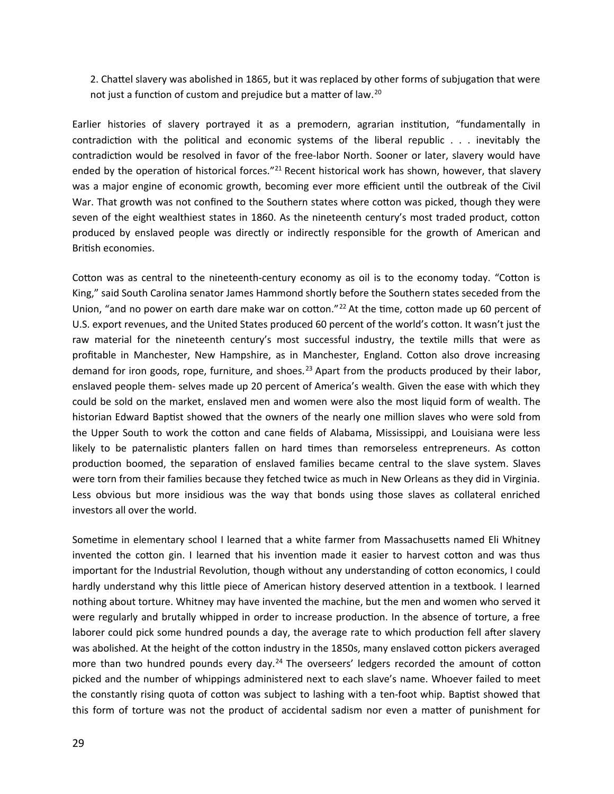2. Chattel slavery was abolished in 1865, but it was replaced by other forms of subjugation that were not just a function of custom and prejudice but a matter of law.<sup>20</sup>

Earlier histories of slavery portrayed it as a premodern, agrarian institution, "fundamentally in contradiction with the political and economic systems of the liberal republic . . . inevitably the contradiction would be resolved in favor of the free-labor North. Sooner or later, slavery would have ended by the operation of historical forces."<sup>21</sup> Recent historical work has shown, however, that slavery was a major engine of economic growth, becoming ever more efficient until the outbreak of the Civil War. That growth was not confined to the Southern states where cotton was picked, though they were seven of the eight wealthiest states in 1860. As the nineteenth century's most traded product, cotton produced by enslaved people was directly or indirectly responsible for the growth of American and British economies.

Cotton was as central to the nineteenth-century economy as oil is to the economy today. "Cotton is King," said South Carolina senator James Hammond shortly before the Southern states seceded from the Union, "and no power on earth dare make war on cotton."<sup>22</sup> At the time, cotton made up 60 percent of U.S. export revenues, and the United States produced 60 percent of the world's cotton. It wasn't just the raw material for the nineteenth century's most successful industry, the textile mills that were as profitable in Manchester, New Hampshire, as in Manchester, England. Cotton also drove increasing demand for iron goods, rope, furniture, and shoes.<sup>23</sup> Apart from the products produced by their labor, enslaved people them- selves made up 20 percent of America's wealth. Given the ease with which they could be sold on the market, enslaved men and women were also the most liquid form of wealth. The historian Edward Baptist showed that the owners of the nearly one million slaves who were sold from the Upper South to work the cotton and cane fields of Alabama, Mississippi, and Louisiana were less likely to be paternalistic planters fallen on hard times than remorseless entrepreneurs. As cotton production boomed, the separation of enslaved families became central to the slave system. Slaves were torn from their families because they fetched twice as much in New Orleans as they did in Virginia. Less obvious but more insidious was the way that bonds using those slaves as collateral enriched investors all over the world.

Sometime in elementary school I learned that a white farmer from Massachusetts named Eli Whitney invented the cotton gin. I learned that his invention made it easier to harvest cotton and was thus important for the Industrial Revolution, though without any understanding of cotton economics, I could hardly understand why this little piece of American history deserved attention in a textbook. I learned nothing about torture. Whitney may have invented the machine, but the men and women who served it were regularly and brutally whipped in order to increase production. In the absence of torture, a free laborer could pick some hundred pounds a day, the average rate to which production fell after slavery was abolished. At the height of the cotton industry in the 1850s, many enslaved cotton pickers averaged more than two hundred pounds every day.<sup>24</sup> The overseers' ledgers recorded the amount of cotton picked and the number of whippings administered next to each slave's name. Whoever failed to meet the constantly rising quota of cotton was subject to lashing with a ten-foot whip. Baptist showed that this form of torture was not the product of accidental sadism nor even a matter of punishment for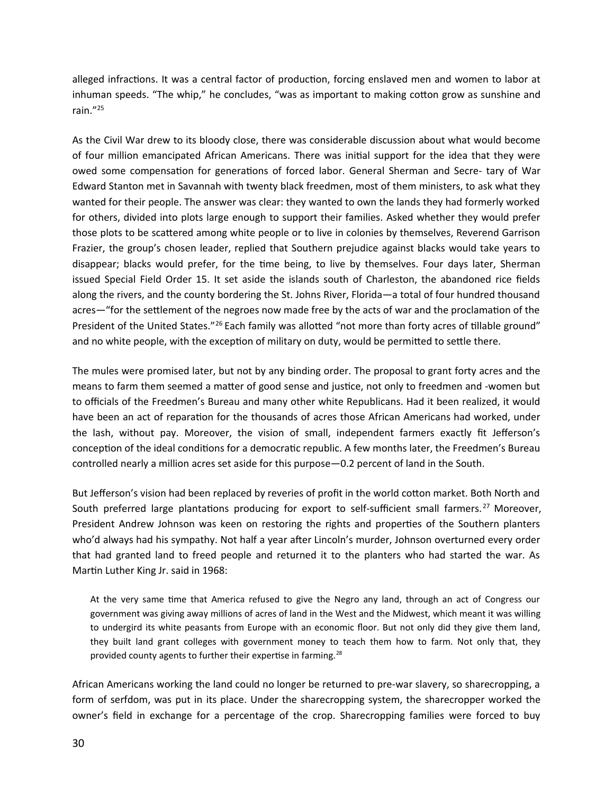alleged infractions. It was a central factor of production, forcing enslaved men and women to labor at inhuman speeds. "The whip," he concludes, "was as important to making cotton grow as sunshine and rain."<sup>25</sup>

As the Civil War drew to its bloody close, there was considerable discussion about what would become of four million emancipated African Americans. There was initial support for the idea that they were owed some compensation for generations of forced labor. General Sherman and Secre- tary of War Edward Stanton met in Savannah with twenty black freedmen, most of them ministers, to ask what they wanted for their people. The answer was clear: they wanted to own the lands they had formerly worked for others, divided into plots large enough to support their families. Asked whether they would prefer those plots to be scattered among white people or to live in colonies by themselves, Reverend Garrison Frazier, the group's chosen leader, replied that Southern prejudice against blacks would take years to disappear; blacks would prefer, for the time being, to live by themselves. Four days later, Sherman issued Special Field Order 15. It set aside the islands south of Charleston, the abandoned rice fields along the rivers, and the county bordering the St. Johns River, Florida—a total of four hundred thousand acres—"for the settlement of the negroes now made free by the acts of war and the proclamation of the President of the United States."<sup>26</sup> Each family was allotted "not more than forty acres of tillable ground" and no white people, with the exception of military on duty, would be permitted to settle there.

The mules were promised later, but not by any binding order. The proposal to grant forty acres and the means to farm them seemed a matter of good sense and justice, not only to freedmen and -women but to officials of the Freedmen's Bureau and many other white Republicans. Had it been realized, it would have been an act of reparation for the thousands of acres those African Americans had worked, under the lash, without pay. Moreover, the vision of small, independent farmers exactly fit Jefferson's conception of the ideal conditions for a democratic republic. A few months later, the Freedmen's Bureau controlled nearly a million acres set aside for this purpose—0.2 percent of land in the South.

But Jefferson's vision had been replaced by reveries of profit in the world cotton market. Both North and South preferred large plantations producing for export to self-sufficient small farmers.<sup>27</sup> Moreover, President Andrew Johnson was keen on restoring the rights and properties of the Southern planters who'd always had his sympathy. Not half a year after Lincoln's murder, Johnson overturned every order that had granted land to freed people and returned it to the planters who had started the war. As Martin Luther King Jr. said in 1968:

At the very same time that America refused to give the Negro any land, through an act of Congress our government was giving away millions of acres of land in the West and the Midwest, which meant it was willing to undergird its white peasants from Europe with an economic floor. But not only did they give them land, they built land grant colleges with government money to teach them how to farm. Not only that, they provided county agents to further their expertise in farming.<sup>28</sup>

African Americans working the land could no longer be returned to pre-war slavery, so sharecropping, a form of serfdom, was put in its place. Under the sharecropping system, the sharecropper worked the owner's field in exchange for a percentage of the crop. Sharecropping families were forced to buy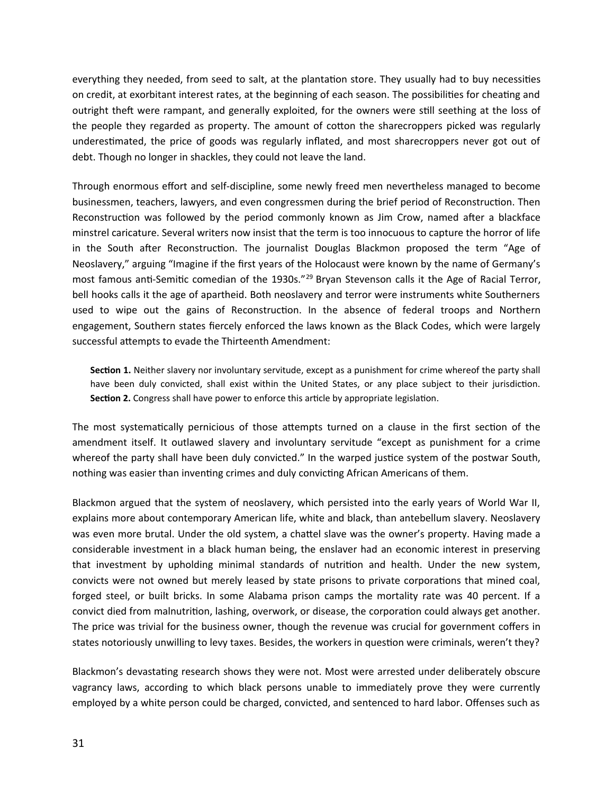everything they needed, from seed to salt, at the plantation store. They usually had to buy necessities on credit, at exorbitant interest rates, at the beginning of each season. The possibilities for cheating and outright theft were rampant, and generally exploited, for the owners were still seething at the loss of the people they regarded as property. The amount of cotton the sharecroppers picked was regularly underestimated, the price of goods was regularly inflated, and most sharecroppers never got out of debt. Though no longer in shackles, they could not leave the land.

Through enormous effort and self-discipline, some newly freed men nevertheless managed to become businessmen, teachers, lawyers, and even congressmen during the brief period of Reconstruction. Then Reconstruction was followed by the period commonly known as Jim Crow, named after a blackface minstrel caricature. Several writers now insist that the term is too innocuous to capture the horror of life in the South after Reconstruction. The journalist Douglas Blackmon proposed the term "Age of Neoslavery," arguing "Imagine if the first years of the Holocaust were known by the name of Germany's most famous anti-Semitic comedian of the 1930s."<sup>29</sup> Bryan Stevenson calls it the Age of Racial Terror, bell hooks calls it the age of apartheid. Both neoslavery and terror were instruments white Southerners used to wipe out the gains of Reconstruction. In the absence of federal troops and Northern engagement, Southern states fiercely enforced the laws known as the Black Codes, which were largely successful attempts to evade the Thirteenth Amendment:

**Section 1.** Neither slavery nor involuntary servitude, except as a punishment for crime whereof the party shall have been duly convicted, shall exist within the United States, or any place subject to their jurisdiction. **Section 2.** Congress shall have power to enforce this article by appropriate legislation.

The most systematically pernicious of those attempts turned on a clause in the first section of the amendment itself. It outlawed slavery and involuntary servitude "except as punishment for a crime whereof the party shall have been duly convicted." In the warped justice system of the postwar South, nothing was easier than inventing crimes and duly convicting African Americans of them.

Blackmon argued that the system of neoslavery, which persisted into the early years of World War II, explains more about contemporary American life, white and black, than antebellum slavery. Neoslavery was even more brutal. Under the old system, a chattel slave was the owner's property. Having made a considerable investment in a black human being, the enslaver had an economic interest in preserving that investment by upholding minimal standards of nutrition and health. Under the new system, convicts were not owned but merely leased by state prisons to private corporations that mined coal, forged steel, or built bricks. In some Alabama prison camps the mortality rate was 40 percent. If a convict died from malnutrition, lashing, overwork, or disease, the corporation could always get another. The price was trivial for the business owner, though the revenue was crucial for government coffers in states notoriously unwilling to levy taxes. Besides, the workers in question were criminals, weren't they?

Blackmon's devastating research shows they were not. Most were arrested under deliberately obscure vagrancy laws, according to which black persons unable to immediately prove they were currently employed by a white person could be charged, convicted, and sentenced to hard labor. Offenses such as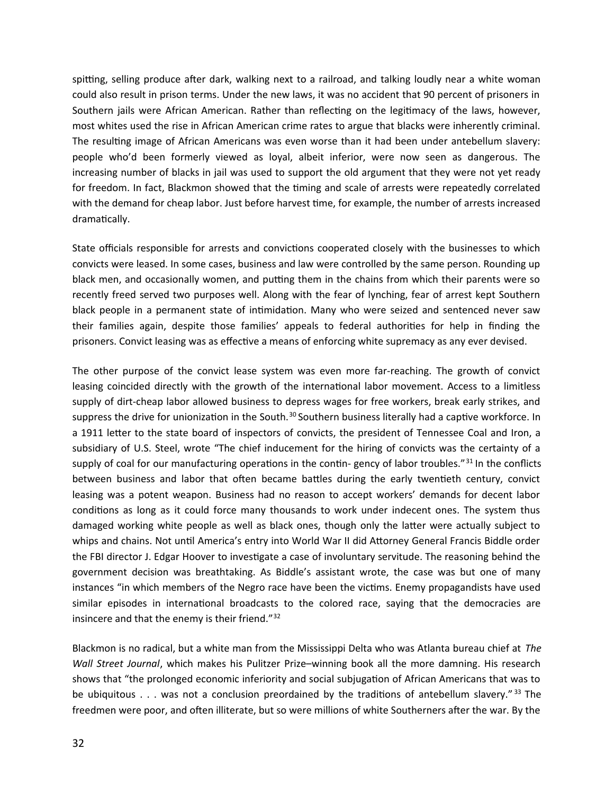spitting, selling produce after dark, walking next to a railroad, and talking loudly near a white woman could also result in prison terms. Under the new laws, it was no accident that 90 percent of prisoners in Southern jails were African American. Rather than reflecting on the legitimacy of the laws, however, most whites used the rise in African American crime rates to argue that blacks were inherently criminal. The resulting image of African Americans was even worse than it had been under antebellum slavery: people who'd been formerly viewed as loyal, albeit inferior, were now seen as dangerous. The increasing number of blacks in jail was used to support the old argument that they were not yet ready for freedom. In fact, Blackmon showed that the timing and scale of arrests were repeatedly correlated with the demand for cheap labor. Just before harvest time, for example, the number of arrests increased dramatically.

State officials responsible for arrests and convictions cooperated closely with the businesses to which convicts were leased. In some cases, business and law were controlled by the same person. Rounding up black men, and occasionally women, and putting them in the chains from which their parents were so recently freed served two purposes well. Along with the fear of lynching, fear of arrest kept Southern black people in a permanent state of intimidation. Many who were seized and sentenced never saw their families again, despite those families' appeals to federal authorities for help in finding the prisoners. Convict leasing was as effective a means of enforcing white supremacy as any ever devised.

The other purpose of the convict lease system was even more far-reaching. The growth of convict leasing coincided directly with the growth of the international labor movement. Access to a limitless supply of dirt-cheap labor allowed business to depress wages for free workers, break early strikes, and suppress the drive for unionization in the South.<sup>30</sup> Southern business literally had a captive workforce. In a 1911 letter to the state board of inspectors of convicts, the president of Tennessee Coal and Iron, a subsidiary of U.S. Steel, wrote "The chief inducement for the hiring of convicts was the certainty of a supply of coal for our manufacturing operations in the contin- gency of labor troubles." $31$  In the conflicts between business and labor that often became battles during the early twentieth century, convict leasing was a potent weapon. Business had no reason to accept workers' demands for decent labor conditions as long as it could force many thousands to work under indecent ones. The system thus damaged working white people as well as black ones, though only the latter were actually subject to whips and chains. Not until America's entry into World War II did Attorney General Francis Biddle order the FBI director J. Edgar Hoover to investigate a case of involuntary servitude. The reasoning behind the government decision was breathtaking. As Biddle's assistant wrote, the case was but one of many instances "in which members of the Negro race have been the victims. Enemy propagandists have used similar episodes in international broadcasts to the colored race, saying that the democracies are insincere and that the enemy is their friend."<sup>32</sup>

Blackmon is no radical, but a white man from the Mississippi Delta who was Atlanta bureau chief at *The Wall Street Journal*, which makes his Pulitzer Prize–winning book all the more damning. His research shows that "the prolonged economic inferiority and social subjugation of African Americans that was to be ubiquitous  $\ldots$  was not a conclusion preordained by the traditions of antebellum slavery." 33 The freedmen were poor, and often illiterate, but so were millions of white Southerners after the war. By the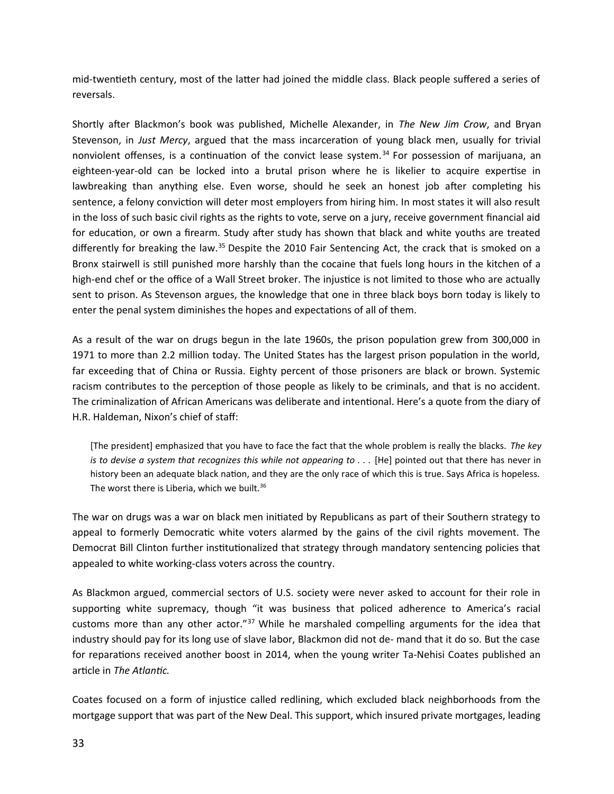mid-twentieth century, most of the latter had joined the middle class. Black people suffered a series of reversals.

Shortly after Blackmon's book was published, Michelle Alexander, in *The New Jim Crow*, and Bryan Stevenson, in *Just Mercy*, argued that the mass incarceration of young black men, usually for trivial nonviolent offenses, is a continuation of the convict lease system.<sup>34</sup> For possession of marijuana, an eighteen-year-old can be locked into a brutal prison where he is likelier to acquire expertise in lawbreaking than anything else. Even worse, should he seek an honest job after completing his sentence, a felony conviction will deter most employers from hiring him. In most states it will also result in the loss of such basic civil rights as the rights to vote, serve on a jury, receive government financial aid for education, or own a firearm. Study after study has shown that black and white youths are treated differently for breaking the law. $35$  Despite the 2010 Fair Sentencing Act, the crack that is smoked on a Bronx stairwell is still punished more harshly than the cocaine that fuels long hours in the kitchen of a high-end chef or the office of a Wall Street broker. The injustice is not limited to those who are actually sent to prison. As Stevenson argues, the knowledge that one in three black boys born today is likely to enter the penal system diminishes the hopes and expectations of all of them.

As a result of the war on drugs begun in the late 1960s, the prison population grew from 300,000 in 1971 to more than 2.2 million today. The United States has the largest prison population in the world, far exceeding that of China or Russia. Eighty percent of those prisoners are black or brown. Systemic racism contributes to the perception of those people as likely to be criminals, and that is no accident. The criminalization of African Americans was deliberate and intentional. Here's a quote from the diary of H.R. Haldeman, Nixon's chief of staff:

[The president] emphasized that you have to face the fact that the whole problem is really the blacks. *The key is to devise a system that recognizes this while not appearing to ...* [He] pointed out that there has never in history been an adequate black nation, and they are the only race of which this is true. Says Africa is hopeless. The worst there is Liberia, which we built. $36$ 

The war on drugs was a war on black men initiated by Republicans as part of their Southern strategy to appeal to formerly Democratic white voters alarmed by the gains of the civil rights movement. The Democrat Bill Clinton further institutionalized that strategy through mandatory sentencing policies that appealed to white working-class voters across the country.

As Blackmon argued, commercial sectors of U.S. society were never asked to account for their role in supporting white supremacy, though "it was business that policed adherence to America's racial customs more than any other actor."<sup>37</sup> While he marshaled compelling arguments for the idea that industry should pay for its long use of slave labor, Blackmon did not de- mand that it do so. But the case for reparations received another boost in 2014, when the young writer Ta-Nehisi Coates published an article in *The Atlantic.* 

Coates focused on a form of injustice called redlining, which excluded black neighborhoods from the mortgage support that was part of the New Deal. This support, which insured private mortgages, leading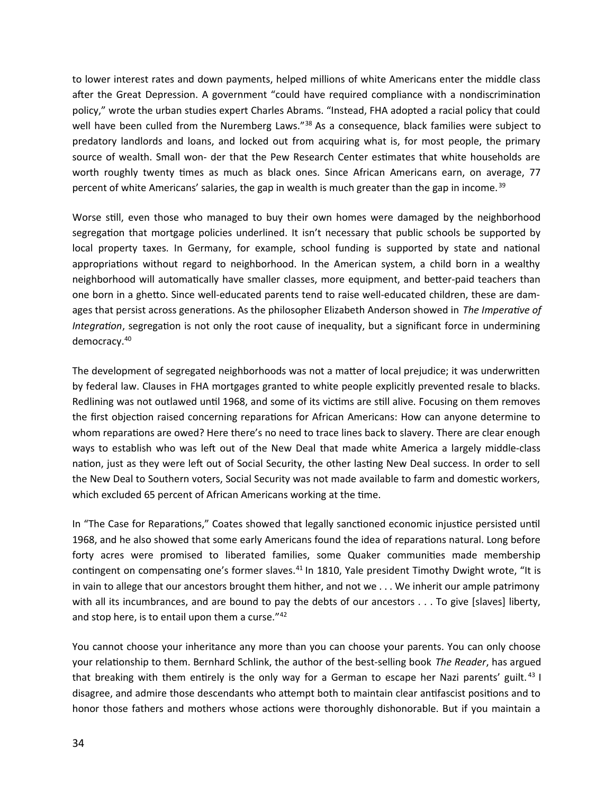to lower interest rates and down payments, helped millions of white Americans enter the middle class after the Great Depression. A government "could have required compliance with a nondiscrimination policy," wrote the urban studies expert Charles Abrams. "Instead, FHA adopted a racial policy that could well have been culled from the Nuremberg Laws."<sup>38</sup> As a consequence, black families were subject to predatory landlords and loans, and locked out from acquiring what is, for most people, the primary source of wealth. Small won- der that the Pew Research Center estimates that white households are worth roughly twenty times as much as black ones. Since African Americans earn, on average, 77 percent of white Americans' salaries, the gap in wealth is much greater than the gap in income.<sup>39</sup>

Worse still, even those who managed to buy their own homes were damaged by the neighborhood segregation that mortgage policies underlined. It isn't necessary that public schools be supported by local property taxes. In Germany, for example, school funding is supported by state and national appropriations without regard to neighborhood. In the American system, a child born in a wealthy neighborhood will automatically have smaller classes, more equipment, and better-paid teachers than one born in a ghetto. Since well-educated parents tend to raise well-educated children, these are damages that persist across generations. As the philosopher Elizabeth Anderson showed in *The Imperative of Integration*, segregation is not only the root cause of inequality, but a significant force in undermining democracy.<sup>40</sup>

The development of segregated neighborhoods was not a matter of local prejudice; it was underwritten by federal law. Clauses in FHA mortgages granted to white people explicitly prevented resale to blacks. Redlining was not outlawed until 1968, and some of its victims are still alive. Focusing on them removes the first objection raised concerning reparations for African Americans: How can anyone determine to whom reparations are owed? Here there's no need to trace lines back to slavery. There are clear enough ways to establish who was left out of the New Deal that made white America a largely middle-class nation, just as they were left out of Social Security, the other lasting New Deal success. In order to sell the New Deal to Southern voters, Social Security was not made available to farm and domestic workers, which excluded 65 percent of African Americans working at the time.

In "The Case for Reparations," Coates showed that legally sanctioned economic injustice persisted until 1968, and he also showed that some early Americans found the idea of reparations natural. Long before forty acres were promised to liberated families, some Quaker communities made membership contingent on compensating one's former slaves.<sup>41</sup> In 1810, Yale president Timothy Dwight wrote, "It is in vain to allege that our ancestors brought them hither, and not we . . . We inherit our ample patrimony with all its incumbrances, and are bound to pay the debts of our ancestors . . . To give [slaves] liberty, and stop here, is to entail upon them a curse."<sup>42</sup>

You cannot choose your inheritance any more than you can choose your parents. You can only choose your relationship to them. Bernhard Schlink, the author of the best-selling book *The Reader*, has argued that breaking with them entirely is the only way for a German to escape her Nazi parents' guilt.<sup>43</sup> I disagree, and admire those descendants who attempt both to maintain clear antifascist positions and to honor those fathers and mothers whose actions were thoroughly dishonorable. But if you maintain a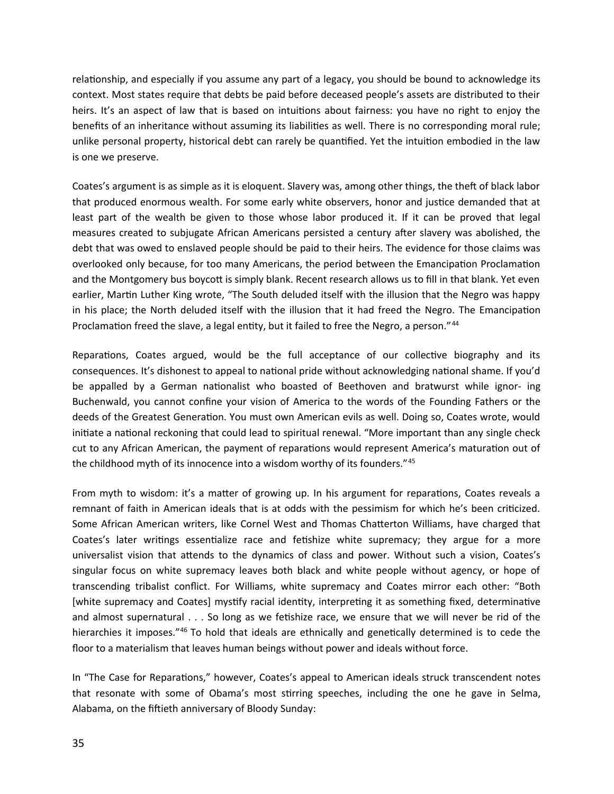relationship, and especially if you assume any part of a legacy, you should be bound to acknowledge its context. Most states require that debts be paid before deceased people's assets are distributed to their heirs. It's an aspect of law that is based on intuitions about fairness: you have no right to enjoy the benefits of an inheritance without assuming its liabilities as well. There is no corresponding moral rule; unlike personal property, historical debt can rarely be quantified. Yet the intuition embodied in the law is one we preserve.

Coates's argument is as simple as it is eloquent. Slavery was, among other things, the theft of black labor that produced enormous wealth. For some early white observers, honor and justice demanded that at least part of the wealth be given to those whose labor produced it. If it can be proved that legal measures created to subjugate African Americans persisted a century after slavery was abolished, the debt that was owed to enslaved people should be paid to their heirs. The evidence for those claims was overlooked only because, for too many Americans, the period between the Emancipation Proclamation and the Montgomery bus boycott is simply blank. Recent research allows us to fill in that blank. Yet even earlier, Martin Luther King wrote, "The South deluded itself with the illusion that the Negro was happy in his place; the North deluded itself with the illusion that it had freed the Negro. The Emancipation Proclamation freed the slave, a legal entity, but it failed to free the Negro, a person."<sup>44</sup>

Reparations, Coates argued, would be the full acceptance of our collective biography and its consequences. It's dishonest to appeal to national pride without acknowledging national shame. If you'd be appalled by a German nationalist who boasted of Beethoven and bratwurst while ignor- ing Buchenwald, you cannot confine your vision of America to the words of the Founding Fathers or the deeds of the Greatest Generation. You must own American evils as well. Doing so, Coates wrote, would initiate a national reckoning that could lead to spiritual renewal. "More important than any single check cut to any African American, the payment of reparations would represent America's maturation out of the childhood myth of its innocence into a wisdom worthy of its founders."<sup>45</sup>

From myth to wisdom: it's a matter of growing up. In his argument for reparations, Coates reveals a remnant of faith in American ideals that is at odds with the pessimism for which he's been criticized. Some African American writers, like Cornel West and Thomas Chatterton Williams, have charged that Coates's later writings essentialize race and fetishize white supremacy; they argue for a more universalist vision that attends to the dynamics of class and power. Without such a vision, Coates's singular focus on white supremacy leaves both black and white people without agency, or hope of transcending tribalist conflict. For Williams, white supremacy and Coates mirror each other: "Both [white supremacy and Coates] mystify racial identity, interpreting it as something fixed, determinative and almost supernatural . . . So long as we fetishize race, we ensure that we will never be rid of the hierarchies it imposes."46 To hold that ideals are ethnically and genetically determined is to cede the floor to a materialism that leaves human beings without power and ideals without force.

In "The Case for Reparations," however, Coates's appeal to American ideals struck transcendent notes that resonate with some of Obama's most stirring speeches, including the one he gave in Selma, Alabama, on the fiftieth anniversary of Bloody Sunday: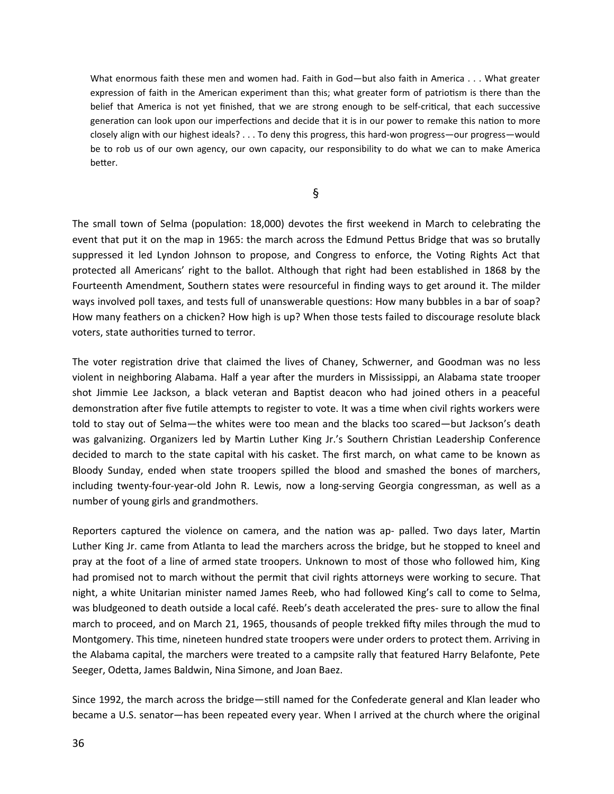What enormous faith these men and women had. Faith in God—but also faith in America . . . What greater expression of faith in the American experiment than this; what greater form of patriotism is there than the belief that America is not yet finished, that we are strong enough to be self-critical, that each successive generation can look upon our imperfections and decide that it is in our power to remake this nation to more closely align with our highest ideals? . . . To deny this progress, this hard-won progress—our progress—would be to rob us of our own agency, our own capacity, our responsibility to do what we can to make America better.

§

The small town of Selma (population: 18,000) devotes the first weekend in March to celebrating the event that put it on the map in 1965: the march across the Edmund Pettus Bridge that was so brutally suppressed it led Lyndon Johnson to propose, and Congress to enforce, the Voting Rights Act that protected all Americans' right to the ballot. Although that right had been established in 1868 by the Fourteenth Amendment, Southern states were resourceful in finding ways to get around it. The milder ways involved poll taxes, and tests full of unanswerable questions: How many bubbles in a bar of soap? How many feathers on a chicken? How high is up? When those tests failed to discourage resolute black voters, state authorities turned to terror.

The voter registration drive that claimed the lives of Chaney, Schwerner, and Goodman was no less violent in neighboring Alabama. Half a year after the murders in Mississippi, an Alabama state trooper shot Jimmie Lee Jackson, a black veteran and Baptist deacon who had joined others in a peaceful demonstration after five futile attempts to register to vote. It was a time when civil rights workers were told to stay out of Selma—the whites were too mean and the blacks too scared—but Jackson's death was galvanizing. Organizers led by Martin Luther King Jr.'s Southern Christian Leadership Conference decided to march to the state capital with his casket. The first march, on what came to be known as Bloody Sunday, ended when state troopers spilled the blood and smashed the bones of marchers, including twenty-four-year-old John R. Lewis, now a long-serving Georgia congressman, as well as a number of young girls and grandmothers.

Reporters captured the violence on camera, and the nation was ap- palled. Two days later, Martin Luther King Jr. came from Atlanta to lead the marchers across the bridge, but he stopped to kneel and pray at the foot of a line of armed state troopers. Unknown to most of those who followed him, King had promised not to march without the permit that civil rights attorneys were working to secure. That night, a white Unitarian minister named James Reeb, who had followed King's call to come to Selma, was bludgeoned to death outside a local café. Reeb's death accelerated the pres- sure to allow the final march to proceed, and on March 21, 1965, thousands of people trekked fifty miles through the mud to Montgomery. This time, nineteen hundred state troopers were under orders to protect them. Arriving in the Alabama capital, the marchers were treated to a campsite rally that featured Harry Belafonte, Pete Seeger, Odetta, James Baldwin, Nina Simone, and Joan Baez.

Since 1992, the march across the bridge—still named for the Confederate general and Klan leader who became a U.S. senator—has been repeated every year. When I arrived at the church where the original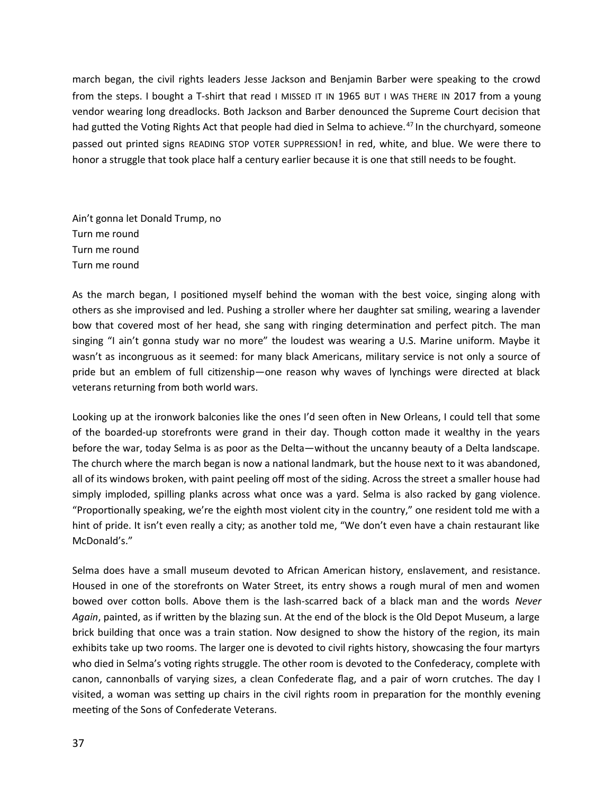march began, the civil rights leaders Jesse Jackson and Benjamin Barber were speaking to the crowd from the steps. I bought a T-shirt that read I MISSED IT IN 1965 BUT I WAS THERE IN 2017 from a young vendor wearing long dreadlocks. Both Jackson and Barber denounced the Supreme Court decision that had gutted the Voting Rights Act that people had died in Selma to achieve.<sup>47</sup> In the churchyard, someone passed out printed signs READING STOP VOTER SUPPRESSION! in red, white, and blue. We were there to honor a struggle that took place half a century earlier because it is one that still needs to be fought.

Ain't gonna let Donald Trump, no Turn me round Turn me round Turn me round

As the march began, I positioned myself behind the woman with the best voice, singing along with others as she improvised and led. Pushing a stroller where her daughter sat smiling, wearing a lavender bow that covered most of her head, she sang with ringing determination and perfect pitch. The man singing "I ain't gonna study war no more" the loudest was wearing a U.S. Marine uniform. Maybe it wasn't as incongruous as it seemed: for many black Americans, military service is not only a source of pride but an emblem of full citizenship—one reason why waves of lynchings were directed at black veterans returning from both world wars.

Looking up at the ironwork balconies like the ones I'd seen often in New Orleans, I could tell that some of the boarded-up storefronts were grand in their day. Though cotton made it wealthy in the years before the war, today Selma is as poor as the Delta—without the uncanny beauty of a Delta landscape. The church where the march began is now a national landmark, but the house next to it was abandoned, all of its windows broken, with paint peeling off most of the siding. Across the street a smaller house had simply imploded, spilling planks across what once was a yard. Selma is also racked by gang violence. "Proportionally speaking, we're the eighth most violent city in the country," one resident told me with a hint of pride. It isn't even really a city; as another told me, "We don't even have a chain restaurant like McDonald's."

Selma does have a small museum devoted to African American history, enslavement, and resistance. Housed in one of the storefronts on Water Street, its entry shows a rough mural of men and women bowed over cotton bolls. Above them is the lash-scarred back of a black man and the words *Never Again*, painted, as if written by the blazing sun. At the end of the block is the Old Depot Museum, a large brick building that once was a train station. Now designed to show the history of the region, its main exhibits take up two rooms. The larger one is devoted to civil rights history, showcasing the four martyrs who died in Selma's voting rights struggle. The other room is devoted to the Confederacy, complete with canon, cannonballs of varying sizes, a clean Confederate flag, and a pair of worn crutches. The day I visited, a woman was setting up chairs in the civil rights room in preparation for the monthly evening meeting of the Sons of Confederate Veterans.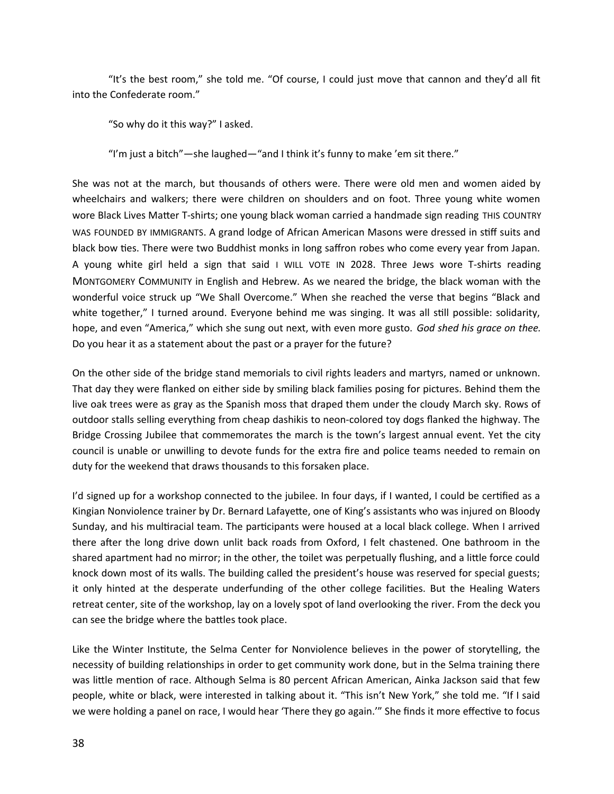"It's the best room," she told me. "Of course, I could just move that cannon and they'd all fit into the Confederate room."

"So why do it this way?" I asked.

"I'm just a bitch"—she laughed—"and I think it's funny to make 'em sit there."

She was not at the march, but thousands of others were. There were old men and women aided by wheelchairs and walkers; there were children on shoulders and on foot. Three young white women wore Black Lives Matter T-shirts; one young black woman carried a handmade sign reading THIS COUNTRY WAS FOUNDED BY IMMIGRANTS. A grand lodge of African American Masons were dressed in stiff suits and black bow ties. There were two Buddhist monks in long saffron robes who come every year from Japan. A young white girl held a sign that said I WILL VOTE IN 2028. Three Jews wore T-shirts reading MONTGOMERY COMMUNITY in English and Hebrew. As we neared the bridge, the black woman with the wonderful voice struck up "We Shall Overcome." When she reached the verse that begins "Black and white together," I turned around. Everyone behind me was singing. It was all still possible: solidarity, hope, and even "America," which she sung out next, with even more gusto. *God shed his grace on thee.* Do you hear it as a statement about the past or a prayer for the future?

On the other side of the bridge stand memorials to civil rights leaders and martyrs, named or unknown. That day they were flanked on either side by smiling black families posing for pictures. Behind them the live oak trees were as gray as the Spanish moss that draped them under the cloudy March sky. Rows of outdoor stalls selling everything from cheap dashikis to neon-colored toy dogs flanked the highway. The Bridge Crossing Jubilee that commemorates the march is the town's largest annual event. Yet the city council is unable or unwilling to devote funds for the extra fire and police teams needed to remain on duty for the weekend that draws thousands to this forsaken place.

I'd signed up for a workshop connected to the jubilee. In four days, if I wanted, I could be certified as a Kingian Nonviolence trainer by Dr. Bernard Lafayette, one of King's assistants who was injured on Bloody Sunday, and his multiracial team. The participants were housed at a local black college. When I arrived there after the long drive down unlit back roads from Oxford, I felt chastened. One bathroom in the shared apartment had no mirror; in the other, the toilet was perpetually flushing, and a little force could knock down most of its walls. The building called the president's house was reserved for special guests; it only hinted at the desperate underfunding of the other college facilities. But the Healing Waters retreat center, site of the workshop, lay on a lovely spot of land overlooking the river. From the deck you can see the bridge where the battles took place.

Like the Winter Institute, the Selma Center for Nonviolence believes in the power of storytelling, the necessity of building relationships in order to get community work done, but in the Selma training there was little mention of race. Although Selma is 80 percent African American, Ainka Jackson said that few people, white or black, were interested in talking about it. "This isn't New York," she told me. "If I said we were holding a panel on race, I would hear 'There they go again.'" She finds it more effective to focus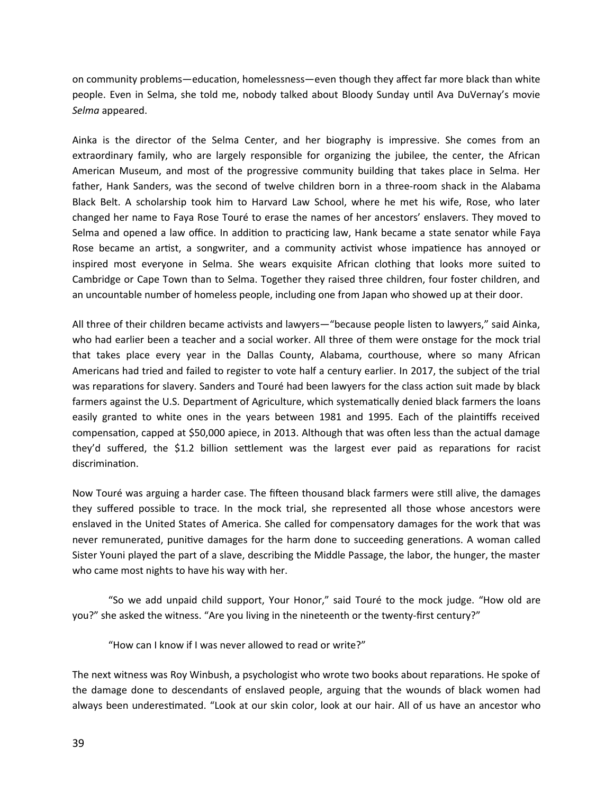on community problems—education, homelessness—even though they affect far more black than white people. Even in Selma, she told me, nobody talked about Bloody Sunday until Ava DuVernay's movie *Selma* appeared.

Ainka is the director of the Selma Center, and her biography is impressive. She comes from an extraordinary family, who are largely responsible for organizing the jubilee, the center, the African American Museum, and most of the progressive community building that takes place in Selma. Her father, Hank Sanders, was the second of twelve children born in a three-room shack in the Alabama Black Belt. A scholarship took him to Harvard Law School, where he met his wife, Rose, who later changed her name to Faya Rose Touré to erase the names of her ancestors' enslavers. They moved to Selma and opened a law office. In addition to practicing law, Hank became a state senator while Faya Rose became an artist, a songwriter, and a community activist whose impatience has annoyed or inspired most everyone in Selma. She wears exquisite African clothing that looks more suited to Cambridge or Cape Town than to Selma. Together they raised three children, four foster children, and an uncountable number of homeless people, including one from Japan who showed up at their door.

All three of their children became activists and lawyers—"because people listen to lawyers," said Ainka, who had earlier been a teacher and a social worker. All three of them were onstage for the mock trial that takes place every year in the Dallas County, Alabama, courthouse, where so many African Americans had tried and failed to register to vote half a century earlier. In 2017, the subject of the trial was reparations for slavery. Sanders and Touré had been lawyers for the class action suit made by black farmers against the U.S. Department of Agriculture, which systematically denied black farmers the loans easily granted to white ones in the years between 1981 and 1995. Each of the plaintiffs received compensation, capped at \$50,000 apiece, in 2013. Although that was often less than the actual damage they'd suffered, the \$1.2 billion settlement was the largest ever paid as reparations for racist discrimination.

Now Touré was arguing a harder case. The fifteen thousand black farmers were still alive, the damages they suffered possible to trace. In the mock trial, she represented all those whose ancestors were enslaved in the United States of America. She called for compensatory damages for the work that was never remunerated, punitive damages for the harm done to succeeding generations. A woman called Sister Youni played the part of a slave, describing the Middle Passage, the labor, the hunger, the master who came most nights to have his way with her.

"So we add unpaid child support, Your Honor," said Touré to the mock judge. "How old are you?" she asked the witness. "Are you living in the nineteenth or the twenty-first century?"

"How can I know if I was never allowed to read or write?"

The next witness was Roy Winbush, a psychologist who wrote two books about reparations. He spoke of the damage done to descendants of enslaved people, arguing that the wounds of black women had always been underestimated. "Look at our skin color, look at our hair. All of us have an ancestor who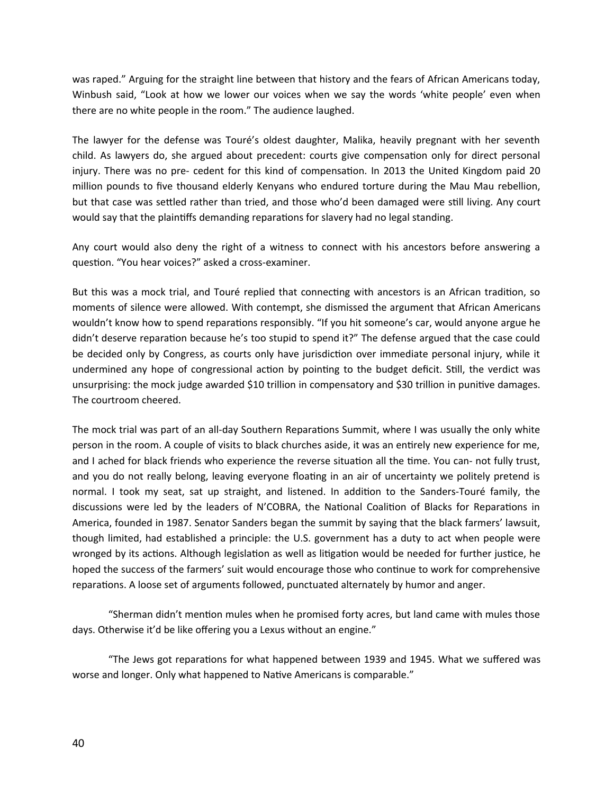was raped." Arguing for the straight line between that history and the fears of African Americans today, Winbush said, "Look at how we lower our voices when we say the words 'white people' even when there are no white people in the room." The audience laughed.

The lawyer for the defense was Touré's oldest daughter, Malika, heavily pregnant with her seventh child. As lawyers do, she argued about precedent: courts give compensation only for direct personal injury. There was no pre- cedent for this kind of compensation. In 2013 the United Kingdom paid 20 million pounds to five thousand elderly Kenyans who endured torture during the Mau Mau rebellion, but that case was settled rather than tried, and those who'd been damaged were still living. Any court would say that the plaintiffs demanding reparations for slavery had no legal standing.

Any court would also deny the right of a witness to connect with his ancestors before answering a question. "You hear voices?" asked a cross-examiner.

But this was a mock trial, and Touré replied that connecting with ancestors is an African tradition, so moments of silence were allowed. With contempt, she dismissed the argument that African Americans wouldn't know how to spend reparations responsibly. "If you hit someone's car, would anyone argue he didn't deserve reparation because he's too stupid to spend it?" The defense argued that the case could be decided only by Congress, as courts only have jurisdiction over immediate personal injury, while it undermined any hope of congressional action by pointing to the budget deficit. Still, the verdict was unsurprising: the mock judge awarded \$10 trillion in compensatory and \$30 trillion in punitive damages. The courtroom cheered.

The mock trial was part of an all-day Southern Reparations Summit, where I was usually the only white person in the room. A couple of visits to black churches aside, it was an entirely new experience for me, and I ached for black friends who experience the reverse situation all the time. You can- not fully trust, and you do not really belong, leaving everyone floating in an air of uncertainty we politely pretend is normal. I took my seat, sat up straight, and listened. In addition to the Sanders-Touré family, the discussions were led by the leaders of N'COBRA, the National Coalition of Blacks for Reparations in America, founded in 1987. Senator Sanders began the summit by saying that the black farmers' lawsuit, though limited, had established a principle: the U.S. government has a duty to act when people were wronged by its actions. Although legislation as well as litigation would be needed for further justice, he hoped the success of the farmers' suit would encourage those who continue to work for comprehensive reparations. A loose set of arguments followed, punctuated alternately by humor and anger.

"Sherman didn't mention mules when he promised forty acres, but land came with mules those days. Otherwise it'd be like offering you a Lexus without an engine."

"The Jews got reparations for what happened between 1939 and 1945. What we suffered was worse and longer. Only what happened to Native Americans is comparable."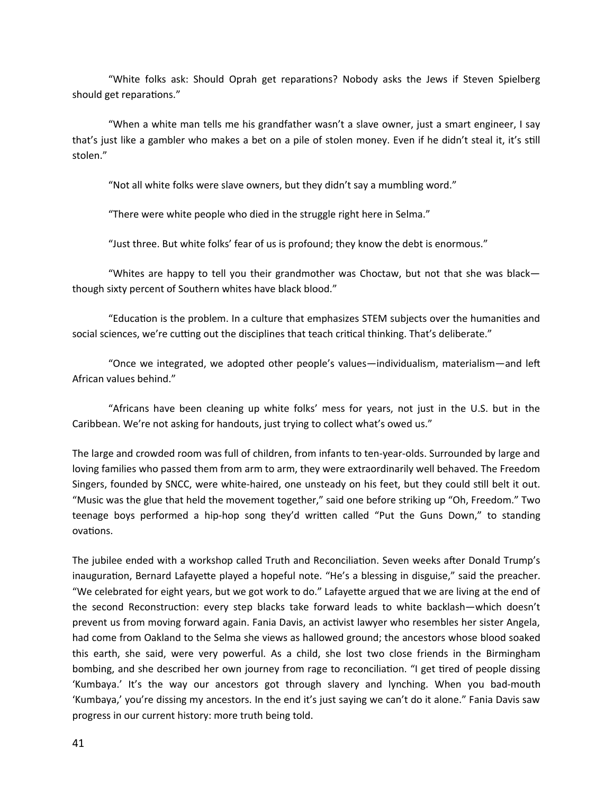"White folks ask: Should Oprah get reparations? Nobody asks the Jews if Steven Spielberg should get reparations."

"When a white man tells me his grandfather wasn't a slave owner, just a smart engineer, I say that's just like a gambler who makes a bet on a pile of stolen money. Even if he didn't steal it, it's still stolen."

"Not all white folks were slave owners, but they didn't say a mumbling word."

"There were white people who died in the struggle right here in Selma."

"Just three. But white folks' fear of us is profound; they know the debt is enormous."

"Whites are happy to tell you their grandmother was Choctaw, but not that she was black though sixty percent of Southern whites have black blood."

"Education is the problem. In a culture that emphasizes STEM subjects over the humanities and social sciences, we're cutting out the disciplines that teach critical thinking. That's deliberate."

"Once we integrated, we adopted other people's values—individualism, materialism—and left African values behind."

"Africans have been cleaning up white folks' mess for years, not just in the U.S. but in the Caribbean. We're not asking for handouts, just trying to collect what's owed us."

The large and crowded room was full of children, from infants to ten-year-olds. Surrounded by large and loving families who passed them from arm to arm, they were extraordinarily well behaved. The Freedom Singers, founded by SNCC, were white-haired, one unsteady on his feet, but they could still belt it out. "Music was the glue that held the movement together," said one before striking up "Oh, Freedom." Two teenage boys performed a hip-hop song they'd written called "Put the Guns Down," to standing ovations.

The jubilee ended with a workshop called Truth and Reconciliation. Seven weeks after Donald Trump's inauguration, Bernard Lafayette played a hopeful note. "He's a blessing in disguise," said the preacher. "We celebrated for eight years, but we got work to do." Lafayette argued that we are living at the end of the second Reconstruction: every step blacks take forward leads to white backlash—which doesn't prevent us from moving forward again. Fania Davis, an activist lawyer who resembles her sister Angela, had come from Oakland to the Selma she views as hallowed ground; the ancestors whose blood soaked this earth, she said, were very powerful. As a child, she lost two close friends in the Birmingham bombing, and she described her own journey from rage to reconciliation. "I get tired of people dissing 'Kumbaya.' It's the way our ancestors got through slavery and lynching. When you bad-mouth 'Kumbaya,' you're dissing my ancestors. In the end it's just saying we can't do it alone." Fania Davis saw progress in our current history: more truth being told.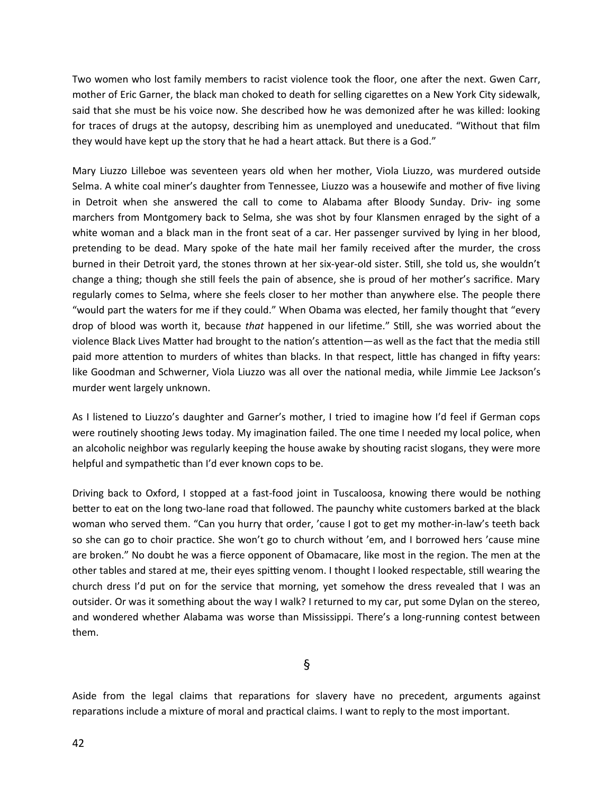Two women who lost family members to racist violence took the floor, one after the next. Gwen Carr, mother of Eric Garner, the black man choked to death for selling cigarettes on a New York City sidewalk, said that she must be his voice now. She described how he was demonized after he was killed: looking for traces of drugs at the autopsy, describing him as unemployed and uneducated. "Without that film they would have kept up the story that he had a heart attack. But there is a God."

Mary Liuzzo Lilleboe was seventeen years old when her mother, Viola Liuzzo, was murdered outside Selma. A white coal miner's daughter from Tennessee, Liuzzo was a housewife and mother of five living in Detroit when she answered the call to come to Alabama after Bloody Sunday. Driv- ing some marchers from Montgomery back to Selma, she was shot by four Klansmen enraged by the sight of a white woman and a black man in the front seat of a car. Her passenger survived by lying in her blood, pretending to be dead. Mary spoke of the hate mail her family received after the murder, the cross burned in their Detroit yard, the stones thrown at her six-year-old sister. Still, she told us, she wouldn't change a thing; though she still feels the pain of absence, she is proud of her mother's sacrifice. Mary regularly comes to Selma, where she feels closer to her mother than anywhere else. The people there "would part the waters for me if they could." When Obama was elected, her family thought that "every drop of blood was worth it, because *that* happened in our lifetime." Still, she was worried about the violence Black Lives Matter had brought to the nation's attention—as well as the fact that the media still paid more attention to murders of whites than blacks. In that respect, little has changed in fifty years: like Goodman and Schwerner, Viola Liuzzo was all over the national media, while Jimmie Lee Jackson's murder went largely unknown.

As I listened to Liuzzo's daughter and Garner's mother, I tried to imagine how I'd feel if German cops were routinely shooting Jews today. My imagination failed. The one time I needed my local police, when an alcoholic neighbor was regularly keeping the house awake by shouting racist slogans, they were more helpful and sympathetic than I'd ever known cops to be.

Driving back to Oxford, I stopped at a fast-food joint in Tuscaloosa, knowing there would be nothing better to eat on the long two-lane road that followed. The paunchy white customers barked at the black woman who served them. "Can you hurry that order, 'cause I got to get my mother-in-law's teeth back so she can go to choir practice. She won't go to church without 'em, and I borrowed hers 'cause mine are broken." No doubt he was a fierce opponent of Obamacare, like most in the region. The men at the other tables and stared at me, their eyes spitting venom. I thought I looked respectable, still wearing the church dress I'd put on for the service that morning, yet somehow the dress revealed that I was an outsider. Or was it something about the way I walk? I returned to my car, put some Dylan on the stereo, and wondered whether Alabama was worse than Mississippi. There's a long-running contest between them.

§

Aside from the legal claims that reparations for slavery have no precedent, arguments against reparations include a mixture of moral and practical claims. I want to reply to the most important.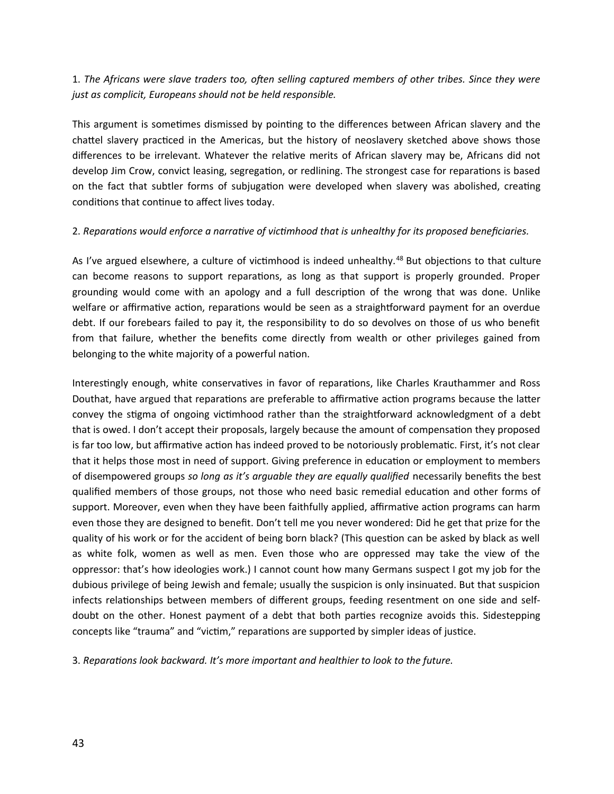1. *The Africans were slave traders too, often selling captured members of other tribes. Since they were just as complicit, Europeans should not be held responsible.* 

This argument is sometimes dismissed by pointing to the differences between African slavery and the chattel slavery practiced in the Americas, but the history of neoslavery sketched above shows those differences to be irrelevant. Whatever the relative merits of African slavery may be, Africans did not develop Jim Crow, convict leasing, segregation, or redlining. The strongest case for reparations is based on the fact that subtler forms of subjugation were developed when slavery was abolished, creating conditions that continue to affect lives today.

#### 2. *Reparations would enforce a narrative of victimhood that is unhealthy for its proposed beneficiaries.*

As I've argued elsewhere, a culture of victimhood is indeed unhealthy.<sup>48</sup> But objections to that culture can become reasons to support reparations, as long as that support is properly grounded. Proper grounding would come with an apology and a full description of the wrong that was done. Unlike welfare or affirmative action, reparations would be seen as a straightforward payment for an overdue debt. If our forebears failed to pay it, the responsibility to do so devolves on those of us who benefit from that failure, whether the benefits come directly from wealth or other privileges gained from belonging to the white majority of a powerful nation.

Interestingly enough, white conservatives in favor of reparations, like Charles Krauthammer and Ross Douthat, have argued that reparations are preferable to affirmative action programs because the latter convey the stigma of ongoing victimhood rather than the straightforward acknowledgment of a debt that is owed. I don't accept their proposals, largely because the amount of compensation they proposed is far too low, but affirmative action has indeed proved to be notoriously problematic. First, it's not clear that it helps those most in need of support. Giving preference in education or employment to members of disempowered groups *so long as it's arguable they are equally qualified* necessarily benefits the best qualified members of those groups, not those who need basic remedial education and other forms of support. Moreover, even when they have been faithfully applied, affirmative action programs can harm even those they are designed to benefit. Don't tell me you never wondered: Did he get that prize for the quality of his work or for the accident of being born black? (This question can be asked by black as well as white folk, women as well as men. Even those who are oppressed may take the view of the oppressor: that's how ideologies work.) I cannot count how many Germans suspect I got my job for the dubious privilege of being Jewish and female; usually the suspicion is only insinuated. But that suspicion infects relationships between members of different groups, feeding resentment on one side and selfdoubt on the other. Honest payment of a debt that both parties recognize avoids this. Sidestepping concepts like "trauma" and "victim," reparations are supported by simpler ideas of justice.

3. *Reparations look backward. It's more important and healthier to look to the future.*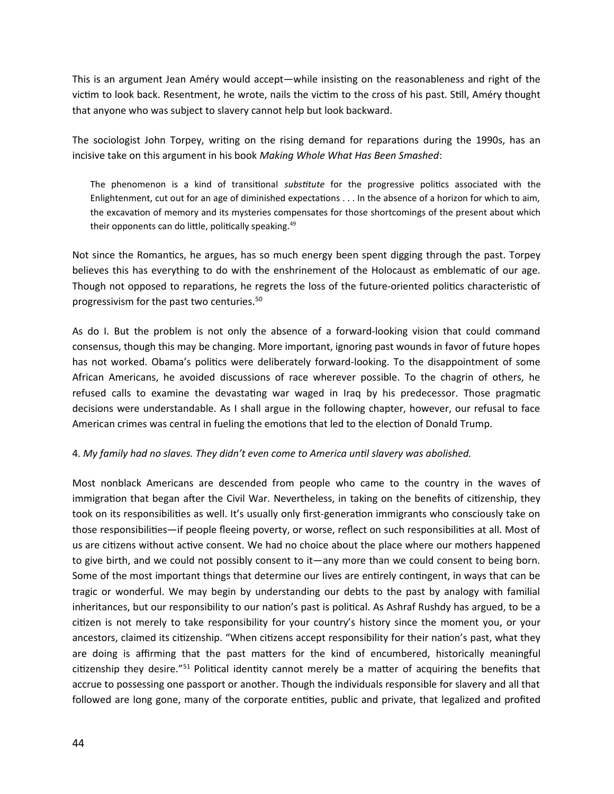This is an argument Jean Améry would accept—while insisting on the reasonableness and right of the victim to look back. Resentment, he wrote, nails the victim to the cross of his past. Still, Améry thought that anyone who was subject to slavery cannot help but look backward.

The sociologist John Torpey, writing on the rising demand for reparations during the 1990s, has an incisive take on this argument in his book *Making Whole What Has Been Smashed*:

The phenomenon is a kind of transitional *substitute* for the progressive politics associated with the Enlightenment, cut out for an age of diminished expectations . . . In the absence of a horizon for which to aim, the excavation of memory and its mysteries compensates for those shortcomings of the present about which their opponents can do little, politically speaking.<sup>49</sup>

Not since the Romantics, he argues, has so much energy been spent digging through the past. Torpey believes this has everything to do with the enshrinement of the Holocaust as emblematic of our age. Though not opposed to reparations, he regrets the loss of the future-oriented politics characteristic of progressivism for the past two centuries.<sup>50</sup>

As do I. But the problem is not only the absence of a forward-looking vision that could command consensus, though this may be changing. More important, ignoring past wounds in favor of future hopes has not worked. Obama's politics were deliberately forward-looking. To the disappointment of some African Americans, he avoided discussions of race wherever possible. To the chagrin of others, he refused calls to examine the devastating war waged in Iraq by his predecessor. Those pragmatic decisions were understandable. As I shall argue in the following chapter, however, our refusal to face American crimes was central in fueling the emotions that led to the election of Donald Trump.

#### 4. *My family had no slaves. They didn't even come to America until slavery was abolished.*

Most nonblack Americans are descended from people who came to the country in the waves of immigration that began after the Civil War. Nevertheless, in taking on the benefits of citizenship, they took on its responsibilities as well. It's usually only first-generation immigrants who consciously take on those responsibilities—if people fleeing poverty, or worse, reflect on such responsibilities at all. Most of us are citizens without active consent. We had no choice about the place where our mothers happened to give birth, and we could not possibly consent to it—any more than we could consent to being born. Some of the most important things that determine our lives are entirely contingent, in ways that can be tragic or wonderful. We may begin by understanding our debts to the past by analogy with familial inheritances, but our responsibility to our nation's past is political. As Ashraf Rushdy has argued, to be a citizen is not merely to take responsibility for your country's history since the moment you, or your ancestors, claimed its citizenship. "When citizens accept responsibility for their nation's past, what they are doing is affirming that the past matters for the kind of encumbered, historically meaningful citizenship they desire."<sup>51</sup> Political identity cannot merely be a matter of acquiring the benefits that accrue to possessing one passport or another. Though the individuals responsible for slavery and all that followed are long gone, many of the corporate entities, public and private, that legalized and profited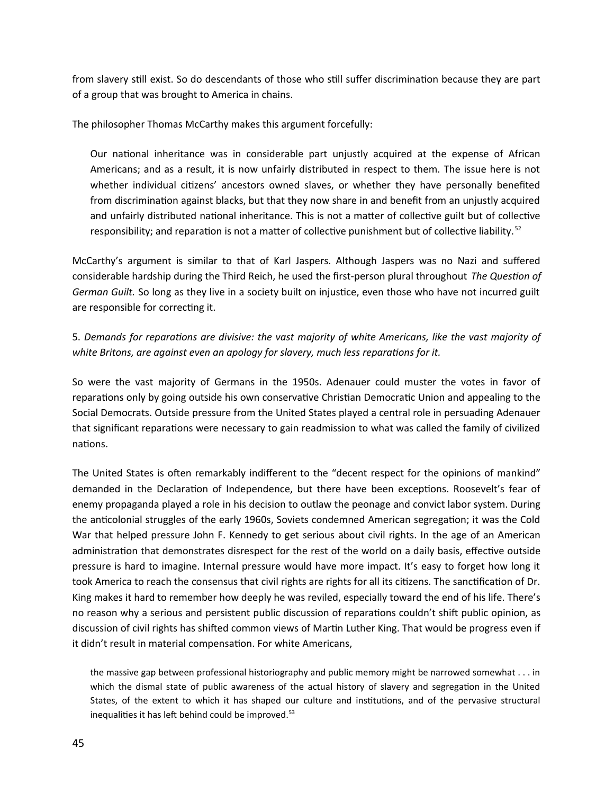from slavery still exist. So do descendants of those who still suffer discrimination because they are part of a group that was brought to America in chains.

The philosopher Thomas McCarthy makes this argument forcefully:

Our national inheritance was in considerable part unjustly acquired at the expense of African Americans; and as a result, it is now unfairly distributed in respect to them. The issue here is not whether individual citizens' ancestors owned slaves, or whether they have personally benefited from discrimination against blacks, but that they now share in and benefit from an unjustly acquired and unfairly distributed national inheritance. This is not a matter of collective guilt but of collective responsibility; and reparation is not a matter of collective punishment but of collective liability.<sup>52</sup>

McCarthy's argument is similar to that of Karl Jaspers. Although Jaspers was no Nazi and suffered considerable hardship during the Third Reich, he used the first-person plural throughout *The Question of German Guilt.* So long as they live in a society built on injustice, even those who have not incurred guilt are responsible for correcting it.

5. *Demands for reparations are divisive: the vast majority of white Americans, like the vast majority of white Britons, are against even an apology for slavery, much less reparations for it.* 

So were the vast majority of Germans in the 1950s. Adenauer could muster the votes in favor of reparations only by going outside his own conservative Christian Democratic Union and appealing to the Social Democrats. Outside pressure from the United States played a central role in persuading Adenauer that significant reparations were necessary to gain readmission to what was called the family of civilized nations.

The United States is often remarkably indifferent to the "decent respect for the opinions of mankind" demanded in the Declaration of Independence, but there have been exceptions. Roosevelt's fear of enemy propaganda played a role in his decision to outlaw the peonage and convict labor system. During the anticolonial struggles of the early 1960s, Soviets condemned American segregation; it was the Cold War that helped pressure John F. Kennedy to get serious about civil rights. In the age of an American administration that demonstrates disrespect for the rest of the world on a daily basis, effective outside pressure is hard to imagine. Internal pressure would have more impact. It's easy to forget how long it took America to reach the consensus that civil rights are rights for all its citizens. The sanctification of Dr. King makes it hard to remember how deeply he was reviled, especially toward the end of his life. There's no reason why a serious and persistent public discussion of reparations couldn't shift public opinion, as discussion of civil rights has shifted common views of Martin Luther King. That would be progress even if it didn't result in material compensation. For white Americans,

the massive gap between professional historiography and public memory might be narrowed somewhat . . . in which the dismal state of public awareness of the actual history of slavery and segregation in the United States, of the extent to which it has shaped our culture and institutions, and of the pervasive structural inequalities it has left behind could be improved.<sup>53</sup>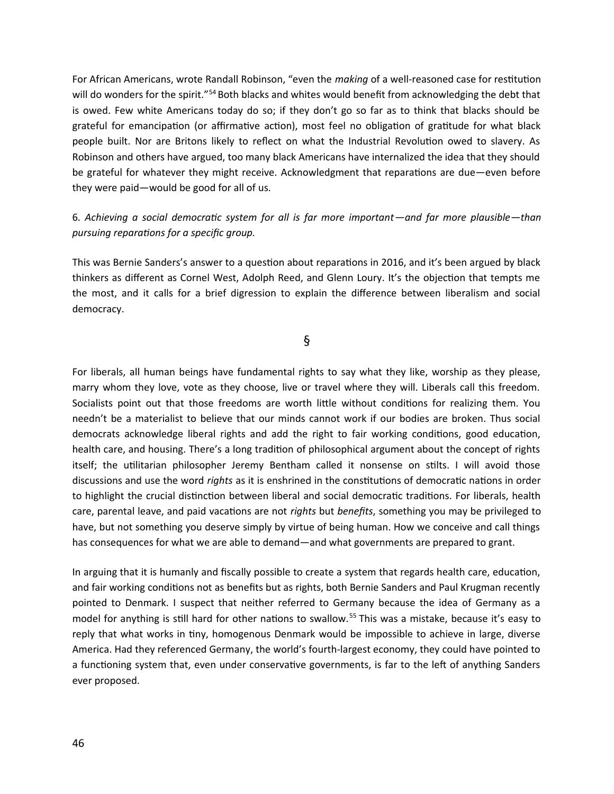For African Americans, wrote Randall Robinson, "even the *making* of a well-reasoned case for restitution will do wonders for the spirit."<sup>54</sup> Both blacks and whites would benefit from acknowledging the debt that is owed. Few white Americans today do so; if they don't go so far as to think that blacks should be grateful for emancipation (or affirmative action), most feel no obligation of gratitude for what black people built. Nor are Britons likely to reflect on what the Industrial Revolution owed to slavery. As Robinson and others have argued, too many black Americans have internalized the idea that they should be grateful for whatever they might receive. Acknowledgment that reparations are due—even before they were paid—would be good for all of us.

### 6. *Achieving a social democratic system for all is far more important*—*and far more plausible*—*than pursuing reparations for a specific group.*

This was Bernie Sanders's answer to a question about reparations in 2016, and it's been argued by black thinkers as different as Cornel West, Adolph Reed, and Glenn Loury. It's the objection that tempts me the most, and it calls for a brief digression to explain the difference between liberalism and social democracy.

§

For liberals, all human beings have fundamental rights to say what they like, worship as they please, marry whom they love, vote as they choose, live or travel where they will. Liberals call this freedom. Socialists point out that those freedoms are worth little without conditions for realizing them. You needn't be a materialist to believe that our minds cannot work if our bodies are broken. Thus social democrats acknowledge liberal rights and add the right to fair working conditions, good education, health care, and housing. There's a long tradition of philosophical argument about the concept of rights itself; the utilitarian philosopher Jeremy Bentham called it nonsense on stilts. I will avoid those discussions and use the word *rights* as it is enshrined in the constitutions of democratic nations in order to highlight the crucial distinction between liberal and social democratic traditions. For liberals, health care, parental leave, and paid vacations are not *rights* but *benefits*, something you may be privileged to have, but not something you deserve simply by virtue of being human. How we conceive and call things has consequences for what we are able to demand—and what governments are prepared to grant.

In arguing that it is humanly and fiscally possible to create a system that regards health care, education, and fair working conditions not as benefits but as rights, both Bernie Sanders and Paul Krugman recently pointed to Denmark. I suspect that neither referred to Germany because the idea of Germany as a model for anything is still hard for other nations to swallow.<sup>55</sup> This was a mistake, because it's easy to reply that what works in tiny, homogenous Denmark would be impossible to achieve in large, diverse America. Had they referenced Germany, the world's fourth-largest economy, they could have pointed to a functioning system that, even under conservative governments, is far to the left of anything Sanders ever proposed.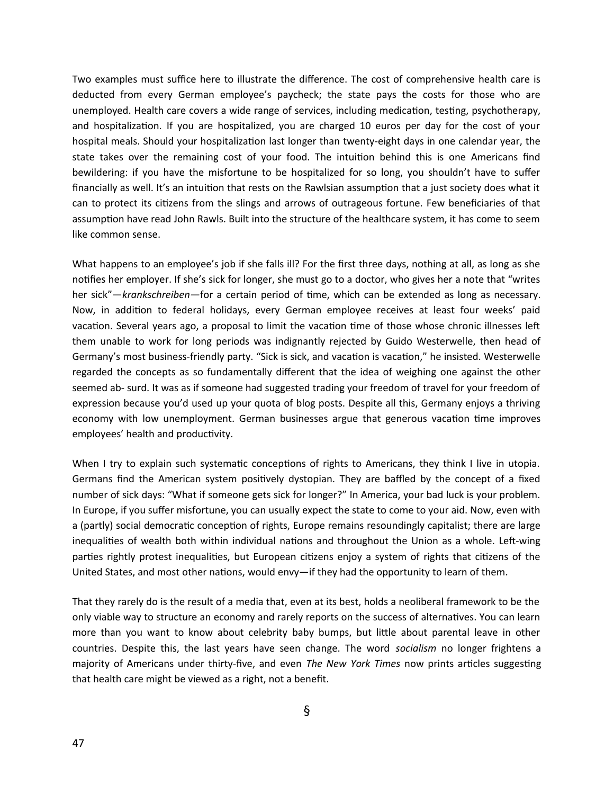Two examples must suffice here to illustrate the difference. The cost of comprehensive health care is deducted from every German employee's paycheck; the state pays the costs for those who are unemployed. Health care covers a wide range of services, including medication, testing, psychotherapy, and hospitalization. If you are hospitalized, you are charged 10 euros per day for the cost of your hospital meals. Should your hospitalization last longer than twenty-eight days in one calendar year, the state takes over the remaining cost of your food. The intuition behind this is one Americans find bewildering: if you have the misfortune to be hospitalized for so long, you shouldn't have to suffer financially as well. It's an intuition that rests on the Rawlsian assumption that a just society does what it can to protect its citizens from the slings and arrows of outrageous fortune. Few beneficiaries of that assumption have read John Rawls. Built into the structure of the healthcare system, it has come to seem like common sense.

What happens to an employee's job if she falls ill? For the first three days, nothing at all, as long as she notifies her employer. If she's sick for longer, she must go to a doctor, who gives her a note that "writes her sick"—*krankschreiben—*for a certain period of time, which can be extended as long as necessary. Now, in addition to federal holidays, every German employee receives at least four weeks' paid vacation. Several years ago, a proposal to limit the vacation time of those whose chronic illnesses left them unable to work for long periods was indignantly rejected by Guido Westerwelle, then head of Germany's most business-friendly party. "Sick is sick, and vacation is vacation," he insisted. Westerwelle regarded the concepts as so fundamentally different that the idea of weighing one against the other seemed ab- surd. It was as if someone had suggested trading your freedom of travel for your freedom of expression because you'd used up your quota of blog posts. Despite all this, Germany enjoys a thriving economy with low unemployment. German businesses argue that generous vacation time improves employees' health and productivity.

When I try to explain such systematic conceptions of rights to Americans, they think I live in utopia. Germans find the American system positively dystopian. They are baffled by the concept of a fixed number of sick days: "What if someone gets sick for longer?" In America, your bad luck is your problem. In Europe, if you suffer misfortune, you can usually expect the state to come to your aid. Now, even with a (partly) social democratic conception of rights, Europe remains resoundingly capitalist; there are large inequalities of wealth both within individual nations and throughout the Union as a whole. Left-wing parties rightly protest inequalities, but European citizens enjoy a system of rights that citizens of the United States, and most other nations, would envy—if they had the opportunity to learn of them.

That they rarely do is the result of a media that, even at its best, holds a neoliberal framework to be the only viable way to structure an economy and rarely reports on the success of alternatives. You can learn more than you want to know about celebrity baby bumps, but little about parental leave in other countries. Despite this, the last years have seen change. The word *socialism* no longer frightens a majority of Americans under thirty-five, and even *The New York Times* now prints articles suggesting that health care might be viewed as a right, not a benefit.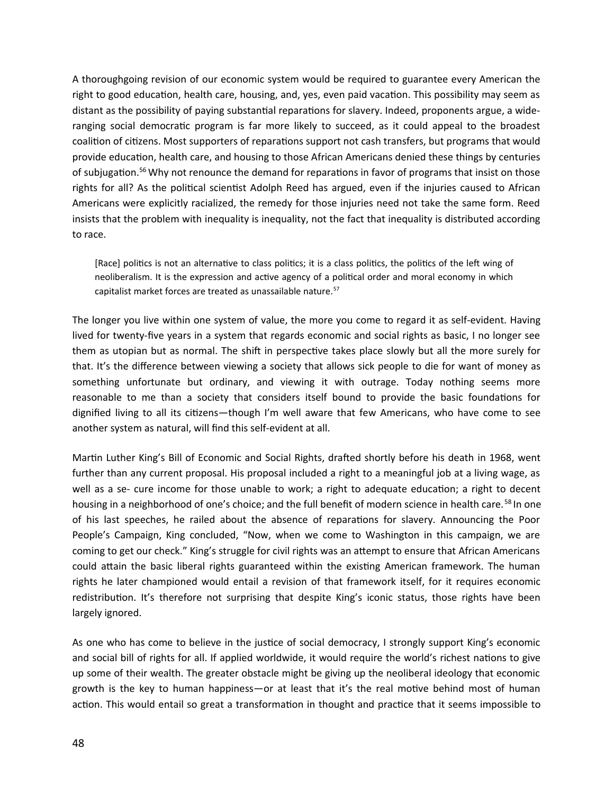A thoroughgoing revision of our economic system would be required to guarantee every American the right to good education, health care, housing, and, yes, even paid vacation. This possibility may seem as distant as the possibility of paying substantial reparations for slavery. Indeed, proponents argue, a wideranging social democratic program is far more likely to succeed, as it could appeal to the broadest coalition of citizens. Most supporters of reparations support not cash transfers, but programs that would provide education, health care, and housing to those African Americans denied these things by centuries of subjugation.<sup>56</sup> Why not renounce the demand for reparations in favor of programs that insist on those rights for all? As the political scientist Adolph Reed has argued, even if the injuries caused to African Americans were explicitly racialized, the remedy for those injuries need not take the same form. Reed insists that the problem with inequality is inequality, not the fact that inequality is distributed according to race.

[Race] politics is not an alternative to class politics; it is a class politics, the politics of the left wing of neoliberalism. It is the expression and active agency of a political order and moral economy in which capitalist market forces are treated as unassailable nature.<sup>57</sup>

The longer you live within one system of value, the more you come to regard it as self-evident. Having lived for twenty-five years in a system that regards economic and social rights as basic, I no longer see them as utopian but as normal. The shift in perspective takes place slowly but all the more surely for that. It's the difference between viewing a society that allows sick people to die for want of money as something unfortunate but ordinary, and viewing it with outrage. Today nothing seems more reasonable to me than a society that considers itself bound to provide the basic foundations for dignified living to all its citizens—though I'm well aware that few Americans, who have come to see another system as natural, will find this self-evident at all.

Martin Luther King's Bill of Economic and Social Rights, drafted shortly before his death in 1968, went further than any current proposal. His proposal included a right to a meaningful job at a living wage, as well as a se- cure income for those unable to work; a right to adequate education; a right to decent housing in a neighborhood of one's choice; and the full benefit of modern science in health care.<sup>58</sup> In one of his last speeches, he railed about the absence of reparations for slavery. Announcing the Poor People's Campaign, King concluded, "Now, when we come to Washington in this campaign, we are coming to get our check." King's struggle for civil rights was an attempt to ensure that African Americans could attain the basic liberal rights guaranteed within the existing American framework. The human rights he later championed would entail a revision of that framework itself, for it requires economic redistribution. It's therefore not surprising that despite King's iconic status, those rights have been largely ignored.

As one who has come to believe in the justice of social democracy, I strongly support King's economic and social bill of rights for all. If applied worldwide, it would require the world's richest nations to give up some of their wealth. The greater obstacle might be giving up the neoliberal ideology that economic growth is the key to human happiness—or at least that it's the real motive behind most of human action. This would entail so great a transformation in thought and practice that it seems impossible to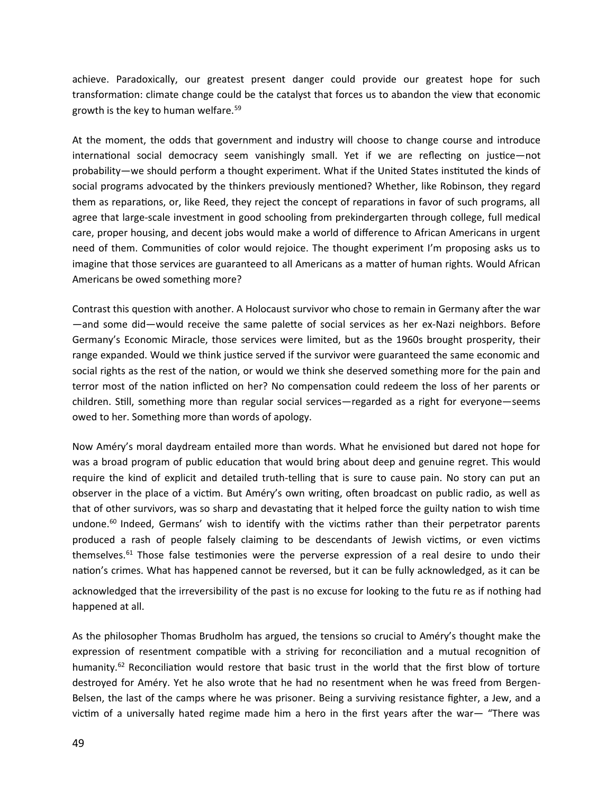achieve. Paradoxically, our greatest present danger could provide our greatest hope for such transformation: climate change could be the catalyst that forces us to abandon the view that economic growth is the key to human welfare.<sup>59</sup>

At the moment, the odds that government and industry will choose to change course and introduce international social democracy seem vanishingly small. Yet if we are reflecting on justice—not probability—we should perform a thought experiment. What if the United States instituted the kinds of social programs advocated by the thinkers previously mentioned? Whether, like Robinson, they regard them as reparations, or, like Reed, they reject the concept of reparations in favor of such programs, all agree that large-scale investment in good schooling from prekindergarten through college, full medical care, proper housing, and decent jobs would make a world of difference to African Americans in urgent need of them. Communities of color would rejoice. The thought experiment I'm proposing asks us to imagine that those services are guaranteed to all Americans as a matter of human rights. Would African Americans be owed something more?

Contrast this question with another. A Holocaust survivor who chose to remain in Germany after the war —and some did—would receive the same palette of social services as her ex-Nazi neighbors. Before Germany's Economic Miracle, those services were limited, but as the 1960s brought prosperity, their range expanded. Would we think justice served if the survivor were guaranteed the same economic and social rights as the rest of the nation, or would we think she deserved something more for the pain and terror most of the nation inflicted on her? No compensation could redeem the loss of her parents or children. Still, something more than regular social services—regarded as a right for everyone—seems owed to her. Something more than words of apology.

Now Améry's moral daydream entailed more than words. What he envisioned but dared not hope for was a broad program of public education that would bring about deep and genuine regret. This would require the kind of explicit and detailed truth-telling that is sure to cause pain. No story can put an observer in the place of a victim. But Améry's own writing, often broadcast on public radio, as well as that of other survivors, was so sharp and devastating that it helped force the guilty nation to wish time undone.<sup>60</sup> Indeed, Germans' wish to identify with the victims rather than their perpetrator parents produced a rash of people falsely claiming to be descendants of Jewish victims, or even victims themselves.<sup>61</sup> Those false testimonies were the perverse expression of a real desire to undo their nation's crimes. What has happened cannot be reversed, but it can be fully acknowledged, as it can be

acknowledged that the irreversibility of the past is no excuse for looking to the futu re as if nothing had happened at all.

As the philosopher Thomas Brudholm has argued, the tensions so crucial to Améry's thought make the expression of resentment compatible with a striving for reconciliation and a mutual recognition of humanity.<sup>62</sup> Reconciliation would restore that basic trust in the world that the first blow of torture destroyed for Améry. Yet he also wrote that he had no resentment when he was freed from Bergen-Belsen, the last of the camps where he was prisoner. Being a surviving resistance fighter, a Jew, and a victim of a universally hated regime made him a hero in the first years after the war— "There was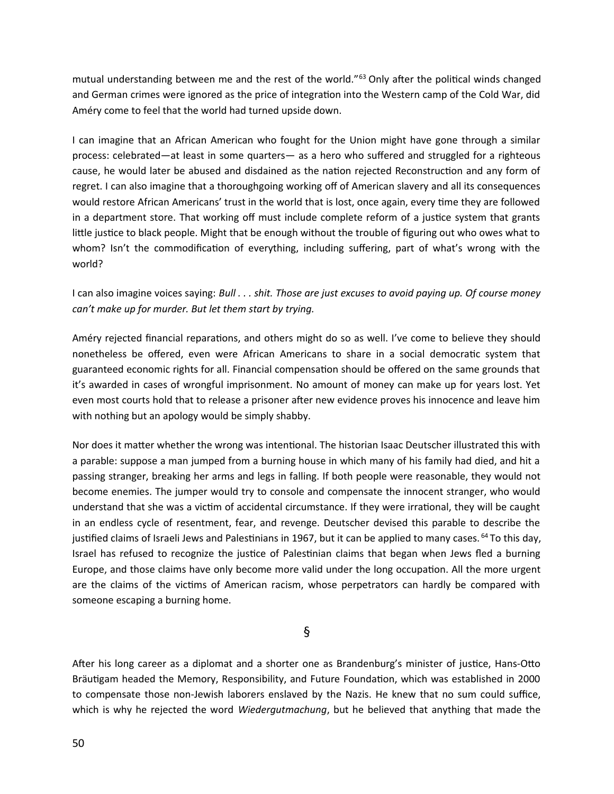mutual understanding between me and the rest of the world."<sup>63</sup> Only after the political winds changed and German crimes were ignored as the price of integration into the Western camp of the Cold War, did Améry come to feel that the world had turned upside down.

I can imagine that an African American who fought for the Union might have gone through a similar process: celebrated—at least in some quarters— as a hero who suffered and struggled for a righteous cause, he would later be abused and disdained as the nation rejected Reconstruction and any form of regret. I can also imagine that a thoroughgoing working off of American slavery and all its consequences would restore African Americans' trust in the world that is lost, once again, every time they are followed in a department store. That working off must include complete reform of a justice system that grants little justice to black people. Might that be enough without the trouble of figuring out who owes what to whom? Isn't the commodification of everything, including suffering, part of what's wrong with the world?

I can also imagine voices saying: *Bull . . . shit. Those are just excuses to avoid paying up. Of course money can't make up for murder. But let them start by trying.* 

Améry rejected financial reparations, and others might do so as well. I've come to believe they should nonetheless be offered, even were African Americans to share in a social democratic system that guaranteed economic rights for all. Financial compensation should be offered on the same grounds that it's awarded in cases of wrongful imprisonment. No amount of money can make up for years lost. Yet even most courts hold that to release a prisoner after new evidence proves his innocence and leave him with nothing but an apology would be simply shabby.

Nor does it matter whether the wrong was intentional. The historian Isaac Deutscher illustrated this with a parable: suppose a man jumped from a burning house in which many of his family had died, and hit a passing stranger, breaking her arms and legs in falling. If both people were reasonable, they would not become enemies. The jumper would try to console and compensate the innocent stranger, who would understand that she was a victim of accidental circumstance. If they were irrational, they will be caught in an endless cycle of resentment, fear, and revenge. Deutscher devised this parable to describe the justified claims of Israeli Jews and Palestinians in 1967, but it can be applied to many cases. <sup>64</sup> To this day, Israel has refused to recognize the justice of Palestinian claims that began when Jews fled a burning Europe, and those claims have only become more valid under the long occupation. All the more urgent are the claims of the victims of American racism, whose perpetrators can hardly be compared with someone escaping a burning home.

§

After his long career as a diplomat and a shorter one as Brandenburg's minister of justice, Hans-Otto Bräutigam headed the Memory, Responsibility, and Future Foundation, which was established in 2000 to compensate those non-Jewish laborers enslaved by the Nazis. He knew that no sum could suffice, which is why he rejected the word *Wiedergutmachung*, but he believed that anything that made the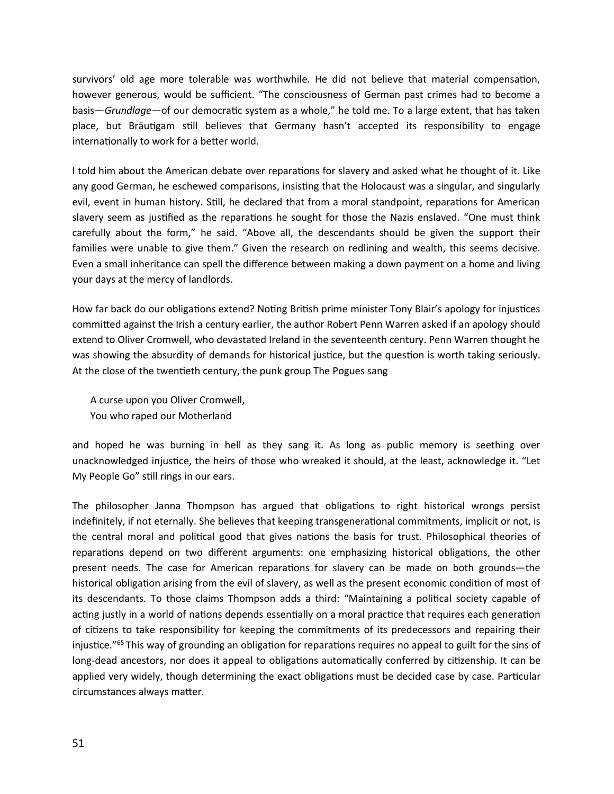survivors' old age more tolerable was worthwhile. He did not believe that material compensation, however generous, would be sufficient. "The consciousness of German past crimes had to become a basis—*Grundlage—*of our democratic system as a whole," he told me. To a large extent, that has taken place, but Bräutigam still believes that Germany hasn't accepted its responsibility to engage internationally to work for a better world.

I told him about the American debate over reparations for slavery and asked what he thought of it. Like any good German, he eschewed comparisons, insisting that the Holocaust was a singular, and singularly evil, event in human history. Still, he declared that from a moral standpoint, reparations for American slavery seem as justified as the reparations he sought for those the Nazis enslaved. "One must think carefully about the form," he said. "Above all, the descendants should be given the support their families were unable to give them." Given the research on redlining and wealth, this seems decisive. Even a small inheritance can spell the difference between making a down payment on a home and living your days at the mercy of landlords.

How far back do our obligations extend? Noting British prime minister Tony Blair's apology for injustices committed against the Irish a century earlier, the author Robert Penn Warren asked if an apology should extend to Oliver Cromwell, who devastated Ireland in the seventeenth century. Penn Warren thought he was showing the absurdity of demands for historical justice, but the question is worth taking seriously. At the close of the twentieth century, the punk group The Pogues sang

A curse upon you Oliver Cromwell, You who raped our Motherland

and hoped he was burning in hell as they sang it. As long as public memory is seething over unacknowledged injustice, the heirs of those who wreaked it should, at the least, acknowledge it. "Let My People Go" still rings in our ears.

The philosopher Janna Thompson has argued that obligations to right historical wrongs persist indefinitely, if not eternally. She believes that keeping transgenerational commitments, implicit or not, is the central moral and political good that gives nations the basis for trust. Philosophical theories of reparations depend on two different arguments: one emphasizing historical obligations, the other present needs. The case for American reparations for slavery can be made on both grounds—the historical obligation arising from the evil of slavery, as well as the present economic condition of most of its descendants. To those claims Thompson adds a third: "Maintaining a political society capable of acting justly in a world of nations depends essentially on a moral practice that requires each generation of citizens to take responsibility for keeping the commitments of its predecessors and repairing their injustice."<sup>65</sup>This way of grounding an obligation for reparations requires no appeal to guilt for the sins of long-dead ancestors, nor does it appeal to obligations automatically conferred by citizenship. It can be applied very widely, though determining the exact obligations must be decided case by case. Particular circumstances always matter.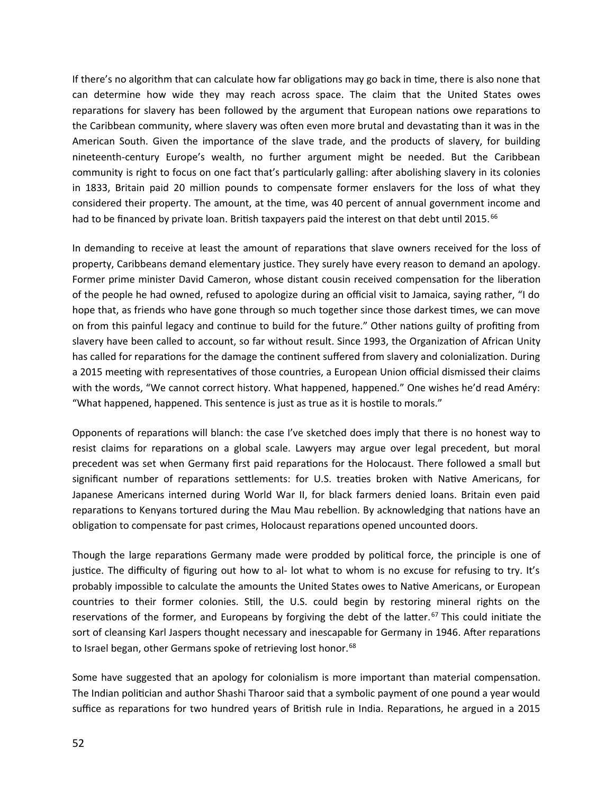If there's no algorithm that can calculate how far obligations may go back in time, there is also none that can determine how wide they may reach across space. The claim that the United States owes reparations for slavery has been followed by the argument that European nations owe reparations to the Caribbean community, where slavery was often even more brutal and devastating than it was in the American South. Given the importance of the slave trade, and the products of slavery, for building nineteenth-century Europe's wealth, no further argument might be needed. But the Caribbean community is right to focus on one fact that's particularly galling: after abolishing slavery in its colonies in 1833, Britain paid 20 million pounds to compensate former enslavers for the loss of what they considered their property. The amount, at the time, was 40 percent of annual government income and had to be financed by private loan. British taxpayers paid the interest on that debt until 2015.<sup>66</sup>

In demanding to receive at least the amount of reparations that slave owners received for the loss of property, Caribbeans demand elementary justice. They surely have every reason to demand an apology. Former prime minister David Cameron, whose distant cousin received compensation for the liberation of the people he had owned, refused to apologize during an official visit to Jamaica, saying rather, "I do hope that, as friends who have gone through so much together since those darkest times, we can move on from this painful legacy and continue to build for the future." Other nations guilty of profiting from slavery have been called to account, so far without result. Since 1993, the Organization of African Unity has called for reparations for the damage the continent suffered from slavery and colonialization. During a 2015 meeting with representatives of those countries, a European Union official dismissed their claims with the words, "We cannot correct history. What happened, happened." One wishes he'd read Améry: "What happened, happened. This sentence is just as true as it is hostile to morals."

Opponents of reparations will blanch: the case I've sketched does imply that there is no honest way to resist claims for reparations on a global scale. Lawyers may argue over legal precedent, but moral precedent was set when Germany first paid reparations for the Holocaust. There followed a small but significant number of reparations settlements: for U.S. treaties broken with Native Americans, for Japanese Americans interned during World War II, for black farmers denied loans. Britain even paid reparations to Kenyans tortured during the Mau Mau rebellion. By acknowledging that nations have an obligation to compensate for past crimes, Holocaust reparations opened uncounted doors.

Though the large reparations Germany made were prodded by political force, the principle is one of justice. The difficulty of figuring out how to al- lot what to whom is no excuse for refusing to try. It's probably impossible to calculate the amounts the United States owes to Native Americans, or European countries to their former colonies. Still, the U.S. could begin by restoring mineral rights on the reservations of the former, and Europeans by forgiving the debt of the latter.<sup>67</sup> This could initiate the sort of cleansing Karl Jaspers thought necessary and inescapable for Germany in 1946. After reparations to Israel began, other Germans spoke of retrieving lost honor.<sup>68</sup>

Some have suggested that an apology for colonialism is more important than material compensation. The Indian politician and author Shashi Tharoor said that a symbolic payment of one pound a year would suffice as reparations for two hundred years of British rule in India. Reparations, he argued in a 2015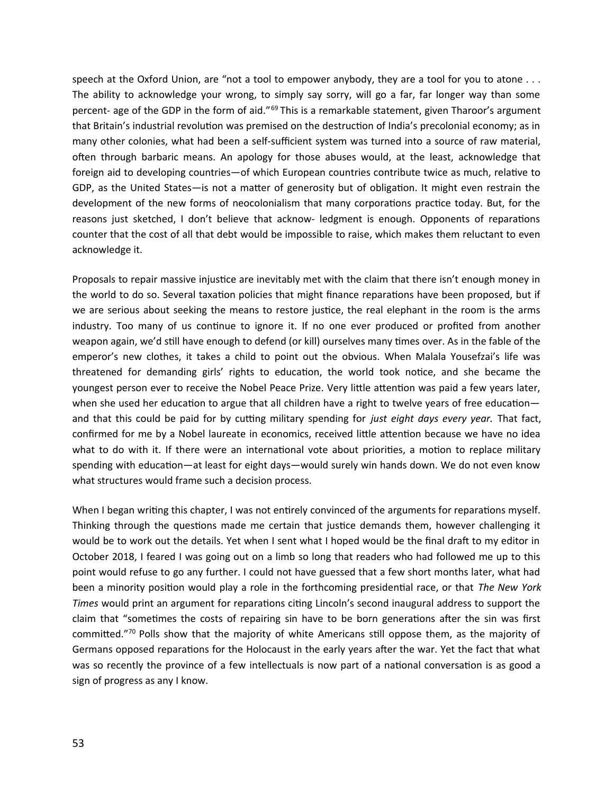speech at the Oxford Union, are "not a tool to empower anybody, they are a tool for you to atone . . . The ability to acknowledge your wrong, to simply say sorry, will go a far, far longer way than some percent- age of the GDP in the form of aid."<sup>69</sup> This is a remarkable statement, given Tharoor's argument that Britain's industrial revolution was premised on the destruction of India's precolonial economy; as in many other colonies, what had been a self-sufficient system was turned into a source of raw material, often through barbaric means. An apology for those abuses would, at the least, acknowledge that foreign aid to developing countries—of which European countries contribute twice as much, relative to GDP, as the United States—is not a matter of generosity but of obligation. It might even restrain the development of the new forms of neocolonialism that many corporations practice today. But, for the reasons just sketched, I don't believe that acknow- ledgment is enough. Opponents of reparations counter that the cost of all that debt would be impossible to raise, which makes them reluctant to even acknowledge it.

Proposals to repair massive injustice are inevitably met with the claim that there isn't enough money in the world to do so. Several taxation policies that might finance reparations have been proposed, but if we are serious about seeking the means to restore justice, the real elephant in the room is the arms industry. Too many of us continue to ignore it. If no one ever produced or profited from another weapon again, we'd still have enough to defend (or kill) ourselves many times over. As in the fable of the emperor's new clothes, it takes a child to point out the obvious. When Malala Yousefzai's life was threatened for demanding girls' rights to education, the world took notice, and she became the youngest person ever to receive the Nobel Peace Prize. Very little attention was paid a few years later, when she used her education to argue that all children have a right to twelve years of free education and that this could be paid for by cutting military spending for *just eight days every year.* That fact, confirmed for me by a Nobel laureate in economics, received little attention because we have no idea what to do with it. If there were an international vote about priorities, a motion to replace military spending with education—at least for eight days—would surely win hands down. We do not even know what structures would frame such a decision process.

When I began writing this chapter, I was not entirely convinced of the arguments for reparations myself. Thinking through the questions made me certain that justice demands them, however challenging it would be to work out the details. Yet when I sent what I hoped would be the final draft to my editor in October 2018, I feared I was going out on a limb so long that readers who had followed me up to this point would refuse to go any further. I could not have guessed that a few short months later, what had been a minority position would play a role in the forthcoming presidential race, or that *The New York Times* would print an argument for reparations citing Lincoln's second inaugural address to support the claim that "sometimes the costs of repairing sin have to be born generations after the sin was first committed."<sup>70</sup> Polls show that the majority of white Americans still oppose them, as the majority of Germans opposed reparations for the Holocaust in the early years after the war. Yet the fact that what was so recently the province of a few intellectuals is now part of a national conversation is as good a sign of progress as any I know.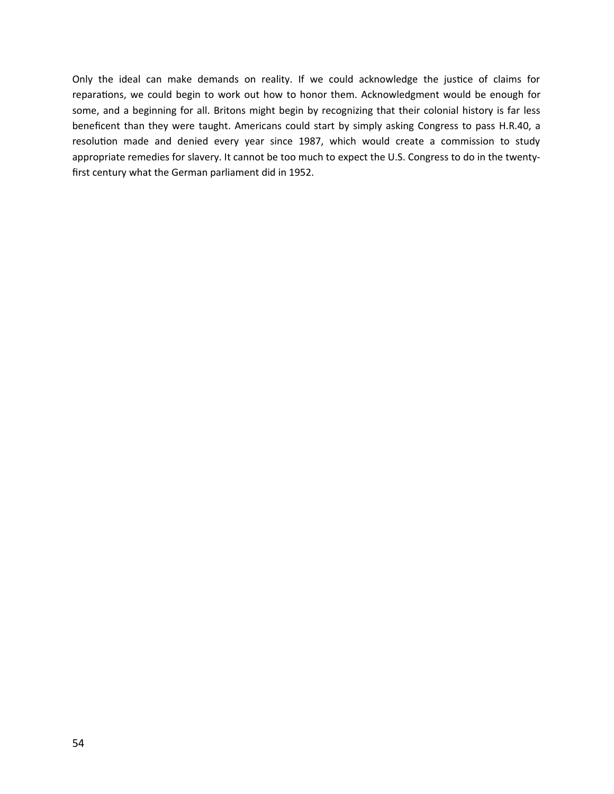Only the ideal can make demands on reality. If we could acknowledge the justice of claims for reparations, we could begin to work out how to honor them. Acknowledgment would be enough for some, and a beginning for all. Britons might begin by recognizing that their colonial history is far less beneficent than they were taught. Americans could start by simply asking Congress to pass H.R.40, a resolution made and denied every year since 1987, which would create a commission to study appropriate remedies for slavery. It cannot be too much to expect the U.S. Congress to do in the twentyfirst century what the German parliament did in 1952.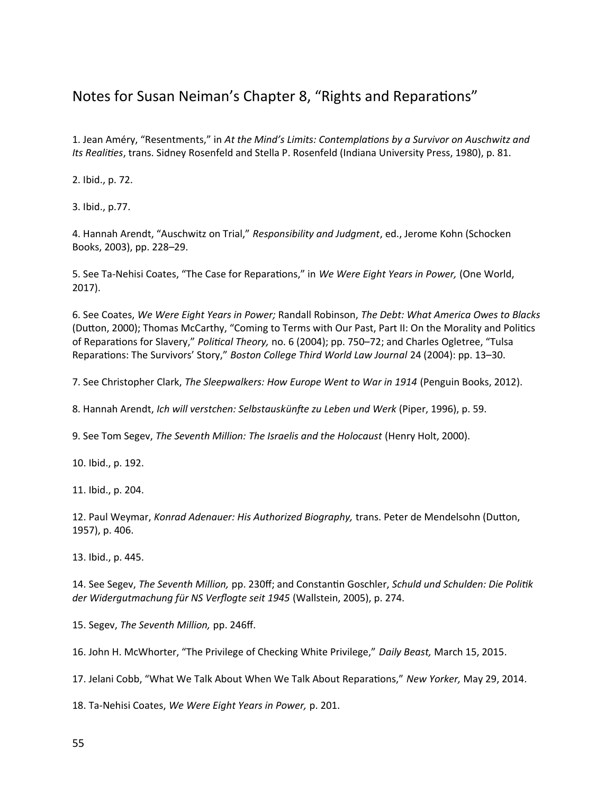# Notes for Susan Neiman's Chapter 8, "Rights and Reparations"

1. Jean Améry, "Resentments," in *At the Mind's Limits: Contemplations by a Survivor on Auschwitz and Its Realities*, trans. Sidney Rosenfeld and Stella P. Rosenfeld (Indiana University Press, 1980), p. 81.

2. Ibid., p. 72.

3. Ibid., p.77.

4. Hannah Arendt, "Auschwitz on Trial," *Responsibility and Judgment*, ed., Jerome Kohn (Schocken Books, 2003), pp. 228–29.

5. See Ta-Nehisi Coates, "The Case for Reparations," in *We Were Eight Years in Power,* (One World, 2017).

6. See Coates, *We Were Eight Years in Power;* Randall Robinson, *The Debt: What America Owes to Blacks* (Dutton, 2000); Thomas McCarthy, "Coming to Terms with Our Past, Part II: On the Morality and Politics of Reparations for Slavery," *Political Theory,* no. 6 (2004); pp. 750–72; and Charles Ogletree, "Tulsa Reparations: The Survivors' Story," *Boston College Third World Law Journal* 24 (2004): pp. 13–30.

7. See Christopher Clark, *The Sleepwalkers: How Europe Went to War in 1914* (Penguin Books, 2012).

8. Hannah Arendt, *Ich will verstchen: Selbstauskünfte zu Leben und Werk* (Piper, 1996), p. 59.

9. See Tom Segev, *The Seventh Million: The Israelis and the Holocaust* (Henry Holt, 2000).

10. Ibid., p. 192.

11. Ibid., p. 204.

12. Paul Weymar, *Konrad Adenauer: His Authorized Biography,* trans. Peter de Mendelsohn (Dutton, 1957), p. 406.

13. Ibid., p. 445.

14. See Segev, *The Seventh Million,* pp. 230ff; and Constantin Goschler, *Schuld und Schulden: Die Politik der Widergutmachung für NS Verflogte seit 1945* (Wallstein, 2005), p. 274.

15. Segev, *The Seventh Million,* pp. 246ff.

16. John H. McWhorter, "The Privilege of Checking White Privilege," *Daily Beast,* March 15, 2015.

17. Jelani Cobb, "What We Talk About When We Talk About Reparations," *New Yorker,* May 29, 2014.

18. Ta-Nehisi Coates, *We Were Eight Years in Power,* p. 201.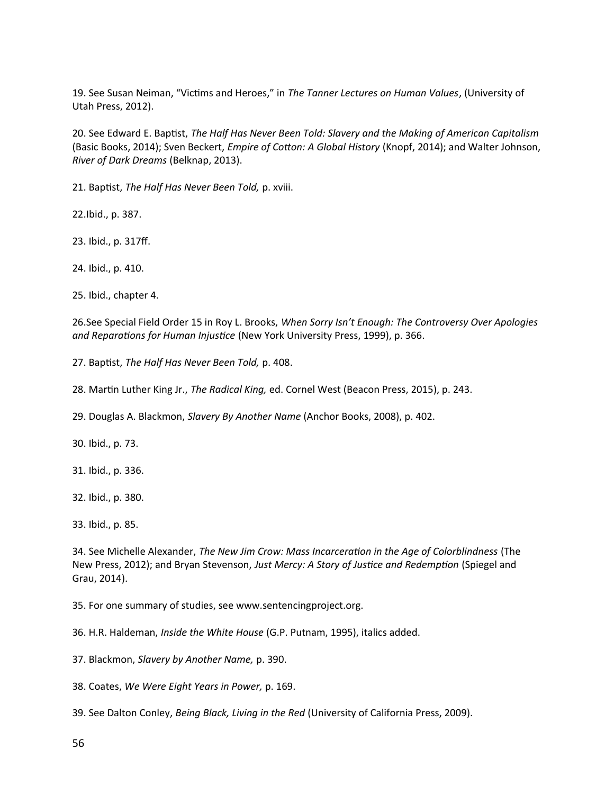19. See Susan Neiman, "Victims and Heroes," in *The Tanner Lectures on Human Values*, (University of Utah Press, 2012).

20. See Edward E. Baptist, *The Half Has Never Been Told: Slavery and the Making of American Capitalism* (Basic Books, 2014); Sven Beckert, *Empire of Cotton: A Global History* (Knopf, 2014); and Walter Johnson, *River of Dark Dreams* (Belknap, 2013).

21. Baptist, *The Half Has Never Been Told,* p. xviii.

22.Ibid., p. 387.

23. Ibid., p. 317ff.

24. Ibid., p. 410.

25. Ibid., chapter 4.

26.See Special Field Order 15 in Roy L. Brooks, *When Sorry Isn't Enough: The Controversy Over Apologies and Reparations for Human Injustice* (New York University Press, 1999), p. 366.

27. Baptist, *The Half Has Never Been Told,* p. 408.

28. Martin Luther King Jr., *The Radical King,* ed. Cornel West (Beacon Press, 2015), p. 243.

29. Douglas A. Blackmon, *Slavery By Another Name* (Anchor Books, 2008), p. 402.

30. Ibid., p. 73.

31. Ibid., p. 336.

32. Ibid., p. 380.

33. Ibid., p. 85.

34. See Michelle Alexander, *The New Jim Crow: Mass Incarceration in the Age of Colorblindness* (The New Press, 2012); and Bryan Stevenson, *Just Mercy: A Story of Justice and Redemption* (Spiegel and Grau, 2014).

35. For one summary of studies, see www.sentencingproject.org.

36. H.R. Haldeman, *Inside the White House* (G.P. Putnam, 1995), italics added.

37. Blackmon, *Slavery by Another Name,* p. 390.

38. Coates, *We Were Eight Years in Power,* p. 169.

39. See Dalton Conley, *Being Black, Living in the Red* (University of California Press, 2009).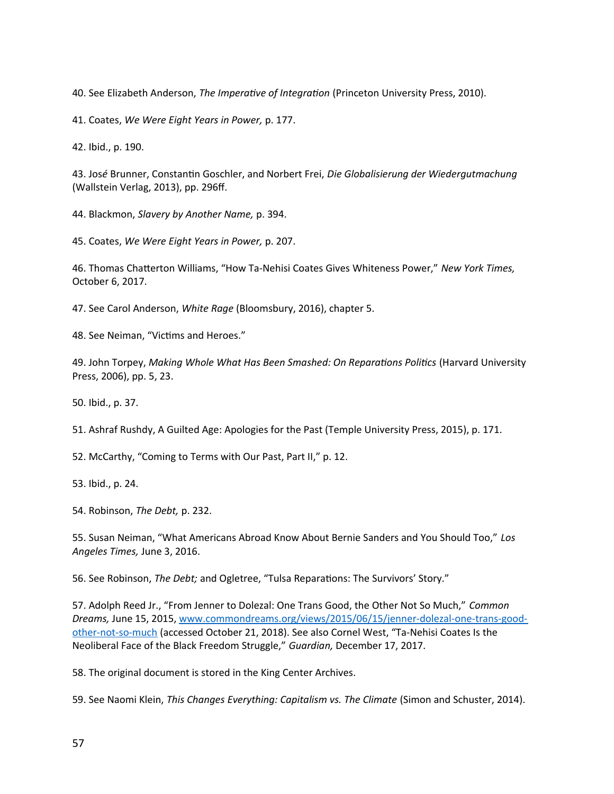40. See Elizabeth Anderson, *The Imperative of Integration* (Princeton University Press, 2010).

41. Coates, *We Were Eight Years in Power,* p. 177.

42. Ibid., p. 190.

43. Jos*é* Brunner, Constantin Goschler, and Norbert Frei, *Die Globalisierung der Wiedergutmachung*  (Wallstein Verlag, 2013), pp. 296ff.

44. Blackmon, *Slavery by Another Name,* p. 394.

45. Coates, *We Were Eight Years in Power,* p. 207.

46. Thomas Chatterton Williams, "How Ta-Nehisi Coates Gives Whiteness Power," *New York Times,* October 6, 2017.

47. See Carol Anderson, *White Rage* (Bloomsbury, 2016), chapter 5.

48. See Neiman, "Victims and Heroes."

49. John Torpey, *Making Whole What Has Been Smashed: On Reparations Politics* (Harvard University Press, 2006), pp. 5, 23.

50. Ibid., p. 37.

51. Ashraf Rushdy, A Guilted Age: Apologies for the Past (Temple University Press, 2015), p. 171.

52. McCarthy, "Coming to Terms with Our Past, Part II," p. 12.

53. Ibid., p. 24.

54. Robinson, *The Debt,* p. 232.

55. Susan Neiman, "What Americans Abroad Know About Bernie Sanders and You Should Too," *Los Angeles Times,* June 3, 2016.

56. See Robinson, *The Debt;* and Ogletree, "Tulsa Reparations: The Survivors' Story."

57. Adolph Reed Jr., "From Jenner to Dolezal: One Trans Good, the Other Not So Much," *Common Dreams,* June 15, 2015, [www.commondreams.org/views/2015/06/15/jenner-dolezal-one-trans-good](http://www.commondreams.org/views/2015/06/15/jenner-dolezal-one-trans-good-other-not-so-much)[other-not-so-much](http://www.commondreams.org/views/2015/06/15/jenner-dolezal-one-trans-good-other-not-so-much) (accessed October 21, 2018). See also Cornel West, "Ta-Nehisi Coates Is the Neoliberal Face of the Black Freedom Struggle," *Guardian,* December 17, 2017.

58. The original document is stored in the King Center Archives.

59. See Naomi Klein, *This Changes Everything: Capitalism vs. The Climate* (Simon and Schuster, 2014).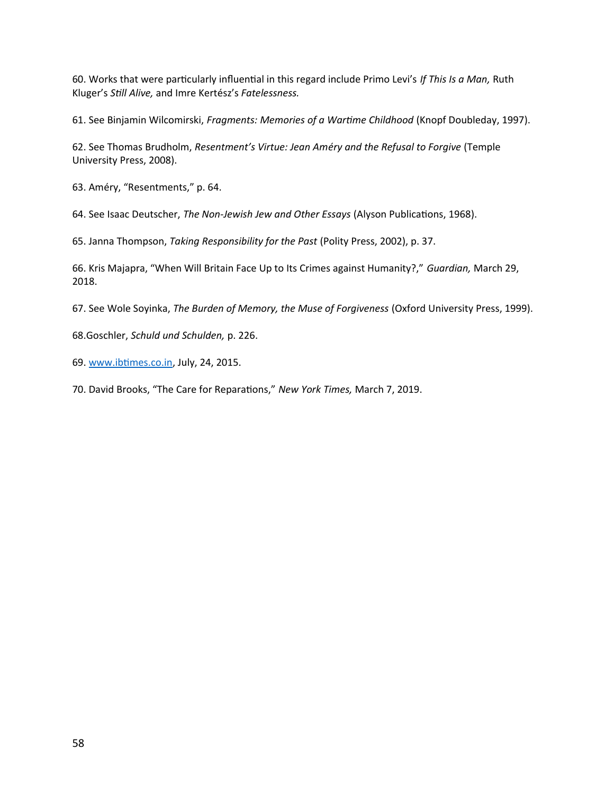60. Works that were particularly influential in this regard include Primo Levi's *If This Is a Man,* Ruth Kluger's *Still Alive,* and Imre Kertész's *Fatelessness.*

61. See Binjamin Wilcomirski, *Fragments: Memories of a Wartime Childhood* (Knopf Doubleday, 1997).

62. See Thomas Brudholm, *Resentment's Virtue: Jean Améry and the Refusal to Forgive* (Temple University Press, 2008).

63. Améry, "Resentments," p. 64.

64. See Isaac Deutscher, *The Non-Jewish Jew and Other Essays* (Alyson Publications, 1968).

65. Janna Thompson, *Taking Responsibility for the Past* (Polity Press, 2002), p. 37.

66. Kris Majapra, "When Will Britain Face Up to Its Crimes against Humanity?," *Guardian,* March 29, 2018.

67. See Wole Soyinka, *The Burden of Memory, the Muse of Forgiveness* (Oxford University Press, 1999).

68.Goschler, *Schuld und Schulden,* p. 226.

69. [www.ibtimes.co.in](http://www.ibtimes.co.in/), July, 24, 2015.

70. David Brooks, "The Care for Reparations," *New York Times,* March 7, 2019.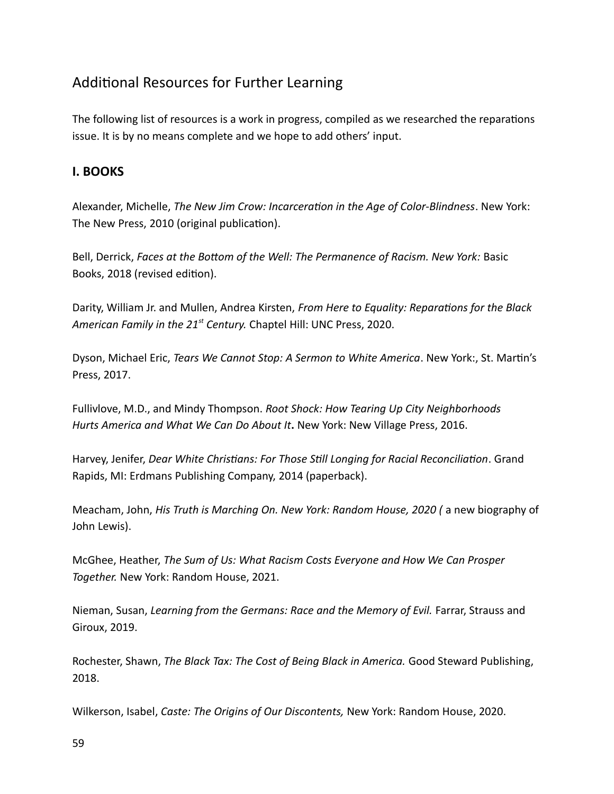# Additional Resources for Further Learning

The following list of resources is a work in progress, compiled as we researched the reparations issue. It is by no means complete and we hope to add others' input.

# **I. BOOKS**

Alexander, Michelle, *The New Jim Crow: Incarceration in the Age of Color-Blindness*. New York: The New Press, 2010 (original publication).

Bell, Derrick, *Faces at the Bottom of the Well: The Permanence of Racism. New York:* Basic Books, 2018 (revised edition).

Darity, William Jr. and Mullen, Andrea Kirsten, *From Here to Equality: Reparations for the Black American Family in the 21st Century.* Chaptel Hill: UNC Press, 2020.

Dyson, Michael Eric, *Tears We Cannot Stop: A Sermon to White America*. New York:, St. Martin's Press, 2017.

Fullivlove, M.D., and Mindy Thompson. *Root Shock: How Tearing Up City Neighborhoods Hurts America and What We Can Do About It***.** New York: New Village Press, 2016.

Harvey, Jenifer, *Dear White Christians: For Those Still Longing for Racial Reconciliation*. Grand Rapids, MI: Erdmans Publishing Company, 2014 (paperback).

Meacham, John, *His Truth is Marching On. New York: Random House, 2020 (* a new biography of John Lewis).

McGhee, Heather, *The Sum of Us: What Racism Costs Everyone and How We Can Prosper Together.* New York: Random House, 2021.

Nieman, Susan, *Learning from the Germans: Race and the Memory of Evil.* Farrar, Strauss and Giroux, 2019.

Rochester, Shawn, *The Black Tax: The Cost of Being Black in America.* Good Steward Publishing, 2018.

Wilkerson, Isabel, *Caste: The Origins of Our Discontents,* New York: Random House, 2020.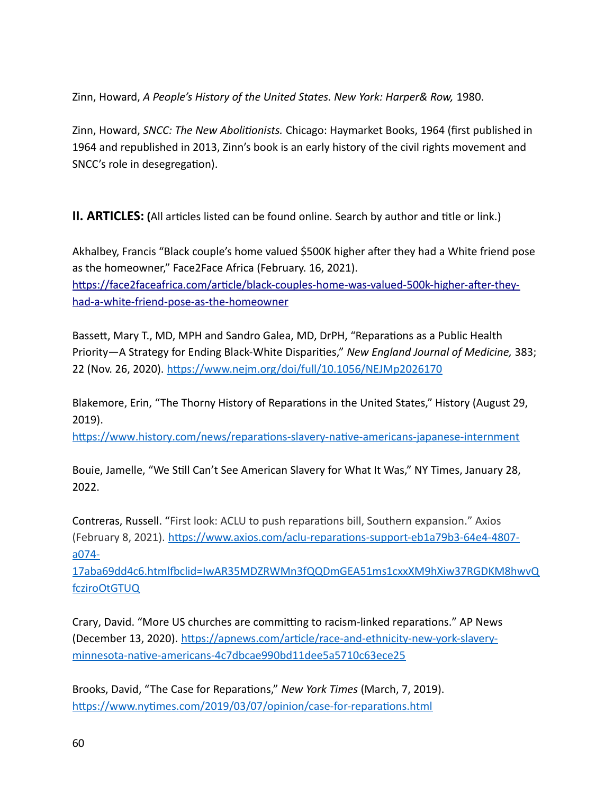Zinn, Howard, *A People's History of the United States. New York: Harper& Row,* 1980.

Zinn, Howard, *SNCC: The New Abolitionists.* Chicago: Haymarket Books, 1964 (first published in 1964 and republished in 2013, Zinn's book is an early history of the civil rights movement and SNCC's role in desegregation).

**II. ARTICLES: (**All articles listed can be found online. Search by author and title or link.)

Akhalbey, Francis "Black couple's home valued \$500K higher after they had a White friend pose as the homeowner," Face2Face Africa (February. 16, 2021). https://face2faceafrica.com/article/black-couples-home-was-valued-500k-higher-after-theyhad-a-white-friend-pose-as-the-homeowner

Bassett, Mary T., MD, MPH and Sandro Galea, MD, DrPH, "Reparations as a Public Health Priority—A Strategy for Ending Black-White Disparities," *New England Journal of Medicine,* 383; 22 (Nov. 26, 2020).<https://www.nejm.org/doi/full/10.1056/NEJMp2026170>

Blakemore, Erin, "The Thorny History of Reparations in the United States," History (August 29, 2019).

<https://www.history.com/news/reparations-slavery-native-americans-japanese-internment>

Bouie, Jamelle, "We Still Can't See American Slavery for What It Was," NY Times, January 28, 2022.

Contreras, Russell. "First look: ACLU to push reparations bill, Southern expansion." Axios (February 8, 2021). https://www.axios.com/aclu-reparations-support-eb1a79b3-64e4-4807 a074-

17aba69dd4c6.htmlfbclid=IwAR35MDZRWMn3fQQDmGEA51ms1cxxXM9hXiw37RGDKM8hwvQ fcziroOtGTUQ

Crary, David. "More US churches are committing to racism-linked reparations." AP News (December 13, 2020). https://apnews.com/article/race-and-ethnicity-new-york-slaveryminnesota-native-americans-4c7dbcae990bd11dee5a5710c63ece25

Brooks, David, "The Case for Reparations," *New York Times* (March, 7, 2019). <https://www.nytimes.com/2019/03/07/opinion/case-for-reparations.html>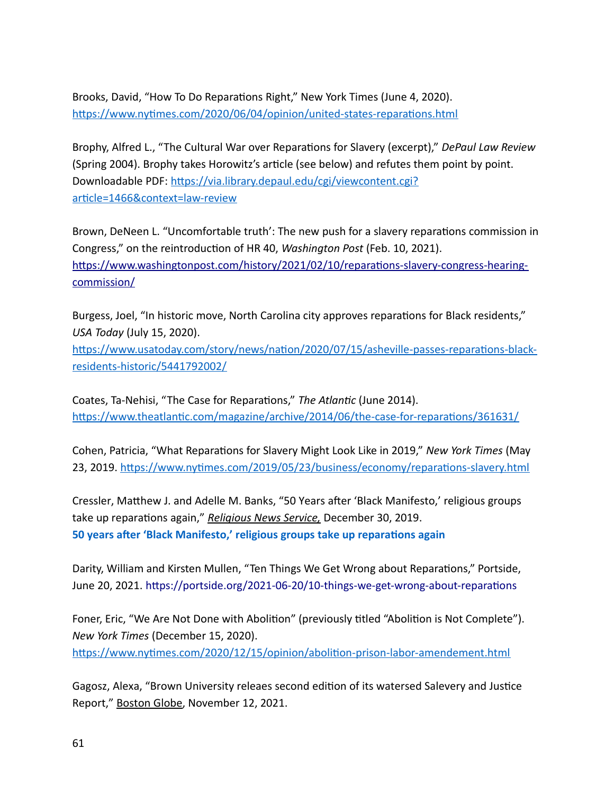Brooks, David, "How To Do Reparations Right," New York Times (June 4, 2020). <https://www.nytimes.com/2020/06/04/opinion/united-states-reparations.html>

Brophy, Alfred L., "The Cultural War over Reparations for Slavery (excerpt)," *DePaul Law Review* (Spring 2004). Brophy takes Horowitz's article (see below) and refutes them point by point. Downloadable PDF: [https://via.library.depaul.edu/cgi/viewcontent.cgi?](https://via.library.depaul.edu/cgi/viewcontent.cgi?article=1466&context=law-review) [article=1466&context=law-review](https://via.library.depaul.edu/cgi/viewcontent.cgi?article=1466&context=law-review)

Brown, DeNeen L. "Uncomfortable truth': The new push for a slavery reparations commission in Congress," on the reintroduction of HR 40, *Washington Post* (Feb. 10, 2021). https://www.washingtonpost.com/history/2021/02/10/reparations-slavery-congress-hearingcommission/

Burgess, Joel, "In historic move, North Carolina city approves reparations for Black residents," *USA Today* (July 15, 2020).

[https://www.usatoday.com/story/news/nation/2020/07/15/asheville-passes-reparations-black](https://www.usatoday.com/story/news/nation/2020/07/15/asheville-passes-reparations-black-residents-historic/5441792002/)[residents-historic/5441792002/](https://www.usatoday.com/story/news/nation/2020/07/15/asheville-passes-reparations-black-residents-historic/5441792002/)

Coates, Ta-Nehisi, "The Case for Reparations," *The Atlantic* (June 2014). <https://www.theatlantic.com/magazine/archive/2014/06/the-case-for-reparations/361631/>

Cohen, Patricia, "What Reparations for Slavery Might Look Like in 2019," *New York Times* (May 23, 2019. <https://www.nytimes.com/2019/05/23/business/economy/reparations-slavery.html>

Cressler, Matthew J. and Adelle M. Banks, "50 Years after 'Black Manifesto,' religious groups take up reparations again," *Religious News Service,* December 30, 2019. **[50 years after 'Black Manifesto,' religious groups take up reparations again](https://religionnews.com/2019/12/30/50-years-after-black-manifesto-religious-groups-take-up-reparations-again/)**

Darity, William and Kirsten Mullen, "Ten Things We Get Wrong about Reparations," Portside, June 20, 2021. https://portside.org/2021-06-20/10-things-we-get-wrong-about-reparations

Foner, Eric, "We Are Not Done with Abolition" (previously titled "Abolition is Not Complete"). *New York Times* (December 15, 2020). <https://www.nytimes.com/2020/12/15/opinion/abolition-prison-labor-amendement.html>

Gagosz, Alexa, "Brown University releaes second edition of its watersed Salevery and Justice Report," Boston Globe, November 12, 2021.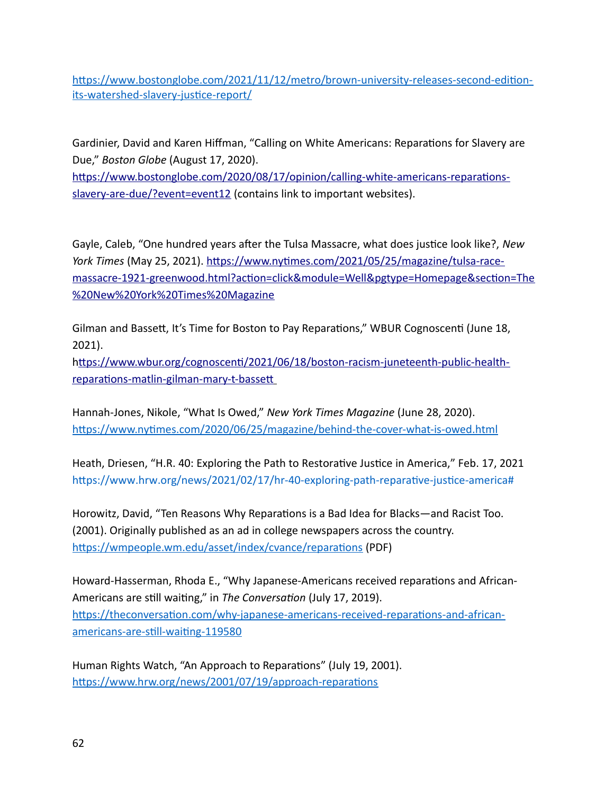[https://www.bostonglobe.com/2021/11/12/metro/brown-university-releases-second-edition](https://www.bostonglobe.com/2021/11/12/metro/brown-university-releases-second-edition-its-watershed-slavery-justice-report/)[its-watershed-slavery-justice-report/](https://www.bostonglobe.com/2021/11/12/metro/brown-university-releases-second-edition-its-watershed-slavery-justice-report/)

Gardinier, David and Karen Hiffman, "Calling on White Americans: Reparations for Slavery are Due," *Boston Globe* (August 17, 2020). https://www.bostonglobe.com/2020/08/17/opinion/calling-white-americans-reparationsslavery-are-due/?event=event12 (contains link to important websites).

Gayle, Caleb, "One hundred years after the Tulsa Massacre, what does justice look like?, *New York Times* (May 25, 2021). https://www.nytimes.com/2021/05/25/magazine/tulsa-racemassacre-1921-greenwood.html?action=click&module=Well&pgtype=Homepage&section=The %20New%20York%20Times%20Magazine

Gilman and Bassett, It's Time for Boston to Pay Reparations," WBUR Cognoscenti (June 18, 2021).

https://www.wbur.org/cognoscenti/2021/06/18/boston-racism-juneteenth-public-health reparations-matlin-gilman-mary-t-bassett

Hannah-Jones, Nikole, "What Is Owed," *New York Times Magazine* (June 28, 2020). https://www.nytimes.com/2020/06/25/magazine/behind-the-cover-what-is-owed.html

Heath, Driesen, "H.R. 40: Exploring the Path to Restorative Justice in America," Feb. 17, 2021 [https://www.hrw.org/news/2021/02/17/hr-40-exploring-path-reparative-justice-america#](https://www.hrw.org/news/2021/02/17/hr-40-exploring-path-reparative-justice-america)

Horowitz, David, "Ten Reasons Why Reparations is a Bad Idea for Blacks—and Racist Too. (2001). Originally published as an ad in college newspapers across the country. https://wmpeople.wm.edu/asset/index/cvance/reparations (PDF)

Howard-Hasserman, Rhoda E., "Why Japanese-Americans received reparations and African-Americans are still waiting," in *The Conversation* (July 17, 2019). https://theconversation.com/why-japanese-americans-received-reparations-and-africanamericans-are-still-waiting-119580

Human Rights Watch, "An Approach to Reparations" (July 19, 2001). <https://www.hrw.org/news/2001/07/19/approach-reparations>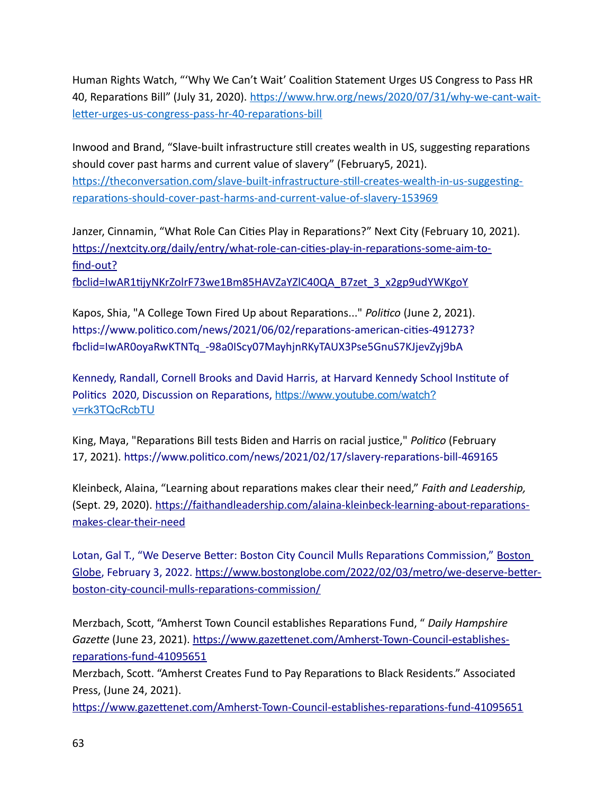Human Rights Watch, "'Why We Can't Wait' Coalition Statement Urges US Congress to Pass HR 40, Reparations Bill" (July 31, 2020). [https://www.hrw.org/news/2020/07/31/why-we-cant-wait](https://www.hrw.org/news/2020/07/31/why-we-cant-wait-letter-urges-us-congress-pass-hr-40-reparations-bill)[letter-urges-us-congress-pass-hr-40-reparations-bill](https://www.hrw.org/news/2020/07/31/why-we-cant-wait-letter-urges-us-congress-pass-hr-40-reparations-bill)

Inwood and Brand, "Slave-built infrastructure still creates wealth in US, suggesting reparations should cover past harms and current value of slavery" (February5, 2021). https://theconversation.com/slave-built-infrastructure-still-creates-wealth-in-us-suggestingreparations-should-cover-past-harms-and-current-value-of-slavery-153969

Janzer, Cinnamin, "What Role Can Cities Play in Reparations?" Next City (February 10, 2021). https://nextcity.org/daily/entry/what-role-can-cities-play-in-reparations-some-aim-tofind-out? fbclid=IwAR1tijyNKrZolrF73we1Bm85HAVZaYZlC40QA\_B7zet\_3\_x2gp9udYWKgoY

Kapos, Shia, "A College Town Fired Up about Reparations..." *Politico* (June 2, 2021). https://www.politico.com/news/2021/06/02/reparations-american-cities-491273? fbclid=IwAR0oyaRwKTNTq\_-98a0IScy07MayhjnRKyTAUX3Pse5GnuS7KJjevZyj9bA

Kennedy, Randall, Cornell Brooks and David Harris, at Harvard Kennedy School Institute of Politics 2020, Discussion on Reparations, [https://www.youtube.com/watch?](https://www.youtube.com/watch?v=rk3TQcRcbTU) [v=rk3TQcRcbTU](https://www.youtube.com/watch?v=rk3TQcRcbTU)

King, Maya, "Reparations Bill tests Biden and Harris on racial justice," *Politico* (February 17, 2021). https://www.politico.com/news/2021/02/17/slavery-reparations-bill-469165

Kleinbeck, Alaina, "Learning about reparations makes clear their need," *Faith and Leadership,* (Sept. 29, 2020). https://faithandleadership.com/alaina-kleinbeck-learning-about-reparationsmakes-clear-their-need

Lotan, Gal T., "We Deserve Better: Boston City Council Mulls Reparations Commission," Boston Globe, February 3, 2022. [https://www.bostonglobe.com/2022/02/03/metro/we-deserve-better](https://www.bostonglobe.com/2022/02/03/metro/we-deserve-better-boston-city-council-mulls-reparations-commission/)[boston-city-council-mulls-reparations-commission/](https://www.bostonglobe.com/2022/02/03/metro/we-deserve-better-boston-city-council-mulls-reparations-commission/)

Merzbach, Scott, "Amherst Town Council establishes Reparations Fund, " *Daily Hampshire Gazette* (June 23, 2021). https://www.gazettenet.com/Amherst-Town-Council-establishesreparations-fund-41095651

Merzbach, Scott. "Amherst Creates Fund to Pay Reparations to Black Residents." Associated Press, (June 24, 2021).

https://www.gazettenet.com/Amherst-Town-Council-establishes-reparations-fund-41095651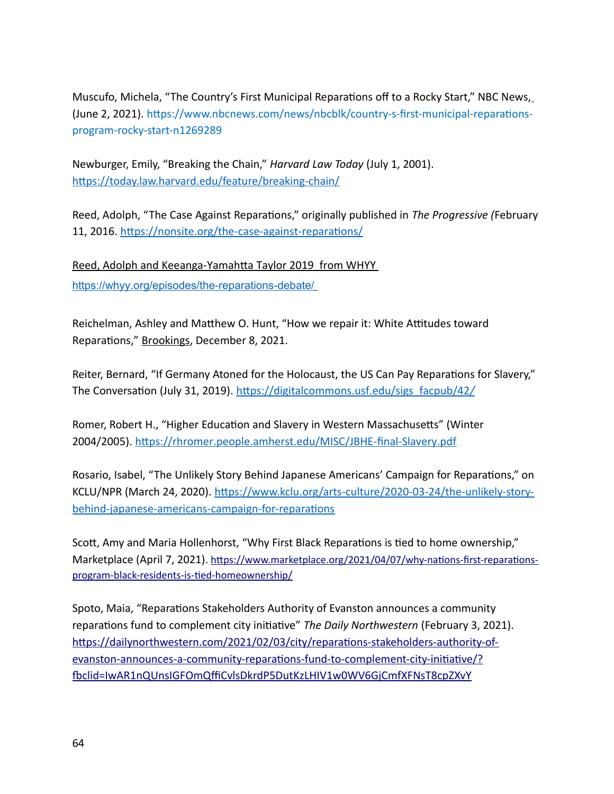Muscufo, Michela, "The Country's First Municipal Reparations off to a Rocky Start," NBC News, (June 2, 2021). https://www.nbcnews.com/news/nbcblk/country-s-first-municipal-reparationsprogram-rocky-start-n1269289

Newburger, Emily, "Breaking the Chain," *Harvard Law Today* (July 1, 2001). <https://today.law.harvard.edu/feature/breaking-chain/>

Reed, Adolph, "The Case Against Reparations," originally published in *The Progressive (*February 11, 2016. https://nonsite.org/the-case-against-reparations/

 Reed, Adolph and Keeanga-Yamahtta Taylor 2019 from WHYY <https://whyy.org/episodes/the-reparations-debate/>

Reichelman, Ashley and Matthew O. Hunt, "How we repair it: White Attitudes toward Reparations," Brookings, December 8, 2021.

Reiter, Bernard, "If Germany Atoned for the Holocaust, the US Can Pay Reparations for Slavery," The Conversation (July 31, 2019). [https://digitalcommons.usf.edu/sigs\\_facpub/42](https://digitalcommons.usf.edu/sigs_facpub/42/) */*

Romer, Robert H., "Higher Education and Slavery in Western Massachusetts" (Winter 2004/2005). https://rhromer.people.amherst.edu/MISC/JBHE-final-Slavery.pdf

Rosario, Isabel, "The Unlikely Story Behind Japanese Americans' Campaign for Reparations," on KCLU/NPR (March 24, 2020). [https://www.kclu.org/arts-culture/2020-03-24/the-unlikely-story](https://www.kclu.org/arts-culture/2020-03-24/the-unlikely-story-behind-japanese-americans-campaign-for-reparations)[behind-japanese-americans-campaign-for-reparations](https://www.kclu.org/arts-culture/2020-03-24/the-unlikely-story-behind-japanese-americans-campaign-for-reparations)

Scott, Amy and Maria Hollenhorst, "Why First Black Reparations is tied to home ownership," Marketplace (April 7, 2021). https://www.marketplace.org/2021/04/07/why-nations-first-reparationsprogram-black-residents-is-tied-homeownership/

Spoto, Maia, "Reparations Stakeholders Authority of Evanston announces a community reparations fund to complement city initiative" *The Daily Northwestern* (February 3, 2021). https://dailynorthwestern.com/2021/02/03/city/reparations-stakeholders-authority-ofevanston-announces-a-community-reparations-fund-to-complement-city-initiative/? fbclid=IwAR1nQUnsIGFOmQffiCvlsDkrdP5DutKzLHIV1w0WV6GjCmfXFNsT8cpZXvY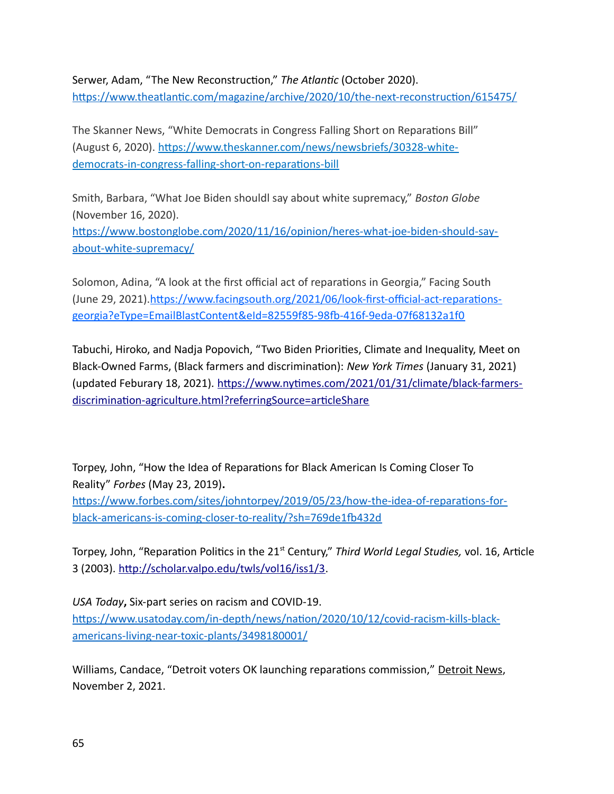Serwer, Adam, "The New Reconstruction," *The Atlantic* (October 2020). <https://www.theatlantic.com/magazine/archive/2020/10/the-next-reconstruction/615475/>

The Skanner News, "White Democrats in Congress Falling Short on Reparations Bill" (August 6, 2020). https://www.theskanner.com/news/newsbriefs/30328-whitedemocrats-in-congress-falling-short-on-reparations-bill

Smith, Barbara, "What Joe Biden shouldl say about white supremacy," *Boston Globe* (November 16, 2020).

https://www.bostonglobe.com/2020/11/16/opinion/heres-what-joe-biden-should-sayabout-white-supremacy/

Solomon, Adina, "A look at the first official act of reparations in Georgia," Facing South (June 29, 2021).https://www.facingsouth.org/2021/06/look-first-official-act-reparationsgeorgia?eType=EmailBlastContent&eId=82559f85-98fb-416f-9eda-07f68132a1f0

Tabuchi, Hiroko, and Nadja Popovich, "Two Biden Priorities, Climate and Inequality, Meet on Black-Owned Farms, (Black farmers and discrimination): *New York Times* (January 31, 2021) (updated Feburary 18, 2021)*.* https://www.nytimes.com/2021/01/31/climate/black-farmersdiscrimination-agriculture.html?referringSource=articleShare

Torpey, John, "How the Idea of Reparations for Black American Is Coming Closer To Reality" *Forbes* (May 23, 2019)**.** 

[https://www.forbes.com/sites/johntorpey/2019/05/23/how-the-idea-of-reparations-for](https://www.forbes.com/sites/johntorpey/2019/05/23/how-the-idea-of-reparations-for-black-americans-is-coming-closer-to-reality/?sh=769de1fb432d)[black-americans-is-coming-closer-to-reality/?sh=769de1fb432d](https://www.forbes.com/sites/johntorpey/2019/05/23/how-the-idea-of-reparations-for-black-americans-is-coming-closer-to-reality/?sh=769de1fb432d)

Torpey, John, "Reparation Politics in the 21<sup>st</sup> Century," *Third World Legal Studies*, vol. 16, Article 3 (2003). http://scholar.valpo.edu/twls/vol16/iss1/3.

*USA Today***,** Six-part series on racism and COVID-19. [https://www.usatoday.com/in-depth/news/nation/2020/10/12/covid-racism-kills-black](https://www.usatoday.com/in-depth/news/nation/2020/10/12/covid-racism-kills-black-americans-living-near-toxic-plants/3498180001/)[americans-living-near-toxic-plants/3498180001/](https://www.usatoday.com/in-depth/news/nation/2020/10/12/covid-racism-kills-black-americans-living-near-toxic-plants/3498180001/)

Williams, Candace, "Detroit voters OK launching reparations commission," Detroit News, November 2, 2021.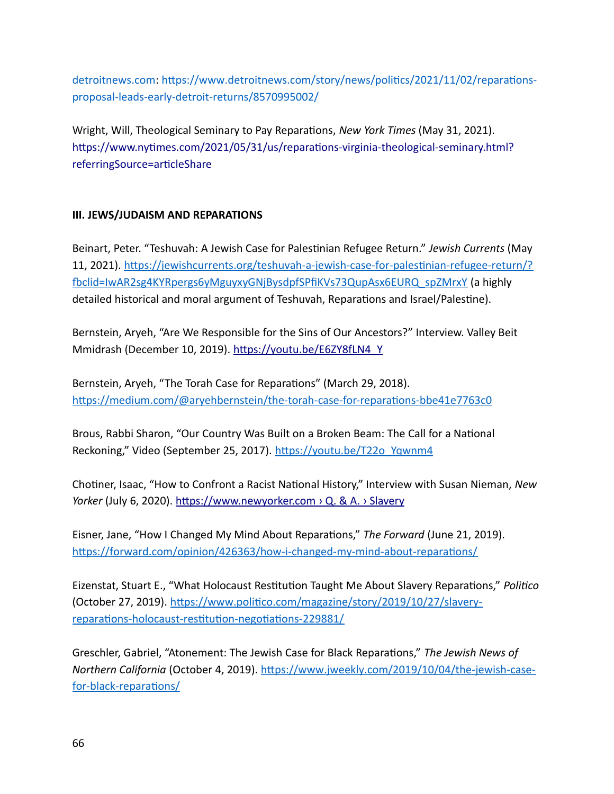[detroitnews.com](http://detroitnews.com/): [https://www.detroitnews.com/story/news/politics/2021/11/02/reparations](https://www.detroitnews.com/story/news/politics/2021/11/02/reparations-proposal-leads-early-detroit-returns/8570995002/)[proposal-leads-early-detroit-returns/8570995002/](https://www.detroitnews.com/story/news/politics/2021/11/02/reparations-proposal-leads-early-detroit-returns/8570995002/)

Wright, Will, Theological Seminary to Pay Reparations, *New York Times* (May 31, 2021). https://www.nytimes.com/2021/05/31/us/reparations-virginia-theological-seminary.html? referringSource=articleShare

## **III. JEWS/JUDAISM AND REPARATIONS**

Beinart, Peter. "Teshuvah: A Jewish Case for Palestinian Refugee Return." *Jewish Currents* (May 11, 2021). https://jewishcurrents.org/teshuvah-a-jewish-case-for-palestinian-refugee-return/? fbclid=IwAR2sg4KYRpergs6yMguyxyGNjBysdpfSPfiKVs73QupAsx6EURQ\_spZMrxY (a highly detailed historical and moral argument of Teshuvah, Reparations and Israel/Palestine).

Bernstein, Aryeh, "Are We Responsible for the Sins of Our Ancestors?" Interview. Valley Beit Mmidrash (December 10, 2019). https://youtu.be/E6ZY8fLN4\_Y

Bernstein, Aryeh, "The Torah Case for Reparations" (March 29, 2018). <https://medium.com/@aryehbernstein/the-torah-case-for-reparations-bbe41e7763c0>

Brous, Rabbi Sharon, "Our Country Was Built on a Broken Beam: The Call for a National Reckoning," Video (September 25, 2017). [https://youtu.be/T22o\\_Yqwnm4](https://youtu.be/T22o_Yqwnm4)

Chotiner, Isaac, "How to Confront a Racist National History," Interview with Susan Nieman, *New Yorker* (July 6, 2020). https://www.newyorker.com › Q. & A. › Slavery

Eisner, Jane, "How I Changed My Mind About Reparations," *The Forward* (June 21, 2019). <https://forward.com/opinion/426363/how-i-changed-my-mind-about-reparations/>

Eizenstat, Stuart E., "What Holocaust Restitution Taught Me About Slavery Reparations," *Politico* (October 27, 2019). [https://www.politico.com/magazine/story/2019/10/27/slavery](https://www.politico.com/magazine/story/2019/10/27/slavery-reparations-holocaust-restitution-negotiations-229881/)[reparations-holocaust-restitution-negotiations-229881/](https://www.politico.com/magazine/story/2019/10/27/slavery-reparations-holocaust-restitution-negotiations-229881/)

Greschler, Gabriel, "Atonement: The Jewish Case for Black Reparations," *The Jewish News of Northern California* (October 4, 2019). [https://www.jweekly.com/2019/10/04/the-jewish-case](https://www.jweekly.com/2019/10/04/the-jewish-case-for-black-reparations/)[for-black-reparations/](https://www.jweekly.com/2019/10/04/the-jewish-case-for-black-reparations/)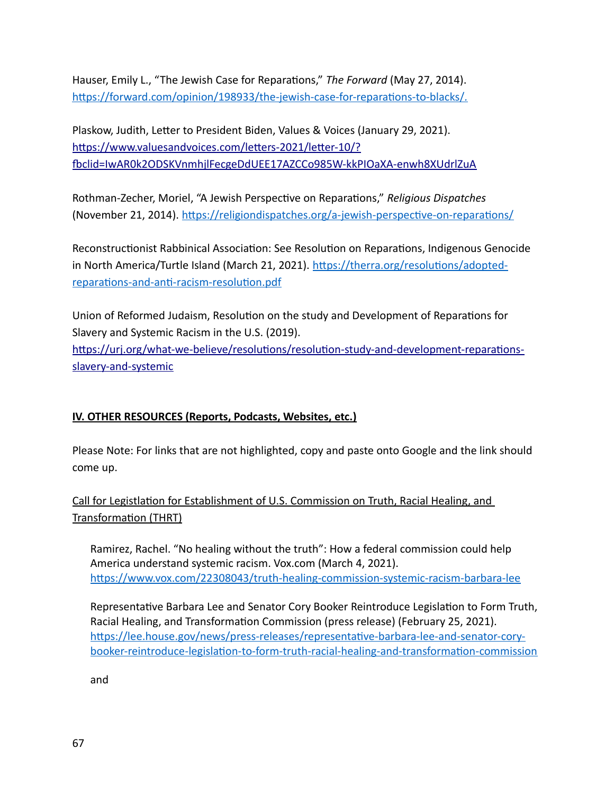Hauser, Emily L., "The Jewish Case for Reparations," *The Forward* (May 27, 2014). <https://forward.com/opinion/198933/the-jewish-case-for-reparations-to-blacks/>*.*

Plaskow, Judith, Letter to President Biden, Values & Voices (January 29, 2021). https://www.valuesandvoices.com/letters-2021/letter-10/? fbclid=IwAR0k2ODSKVnmhjlFecgeDdUEE17AZCCo985W-kkPIOaXA-enwh8XUdrlZuA

Rothman-Zecher, Moriel, "A Jewish Perspective on Reparations," *Religious Dispatches* (November 21, 2014).<https://religiondispatches.org/a-jewish-perspective-on-reparations/>

Reconstructionist Rabbinical Association: See Resolution on Reparations, Indigenous Genocide in North America/Turtle Island (March 21, 2021). [https://therra.org/resolutions/adopted](https://therra.org/resolutions/adopted-reparations-and-anti-racism-resolution.pdf)[reparations-and-anti-racism-resolution.pdf](https://therra.org/resolutions/adopted-reparations-and-anti-racism-resolution.pdf)

Union of Reformed Judaism, Resolution on the study and Development of Reparations for Slavery and Systemic Racism in the U.S. (2019). https://urj.org/what-we-believe/resolutions/resolution-study-and-development-reparationsslavery-and-systemic

## **IV. OTHER RESOURCES (Reports, Podcasts, Websites, etc.)**

Please Note: For links that are not highlighted, copy and paste onto Google and the link should come up.

Call for Legistlation for Establishment of U.S. Commission on Truth, Racial Healing, and Transformation (THRT)

Ramirez, Rachel. "No healing without the truth": How a federal commission could help America understand systemic racism. Vox.com (March 4, 2021). <https://www.vox.com/22308043/truth-healing-commission-systemic-racism-barbara-lee>

Representative Barbara Lee and Senator Cory Booker Reintroduce Legislation to Form Truth, Racial Healing, and Transformation Commission (press release) (February 25, 2021). [https://lee.house.gov/news/press-releases/representative-barbara-lee-and-senator-cory](https://lee.house.gov/news/press-releases/representative-barbara-lee-and-senator-cory-booker-reintroduce-legislation-to-form-truth-racial-healing-and-transformation-commission)[booker-reintroduce-legislation-to-form-truth-racial-healing-and-transformation-commission](https://lee.house.gov/news/press-releases/representative-barbara-lee-and-senator-cory-booker-reintroduce-legislation-to-form-truth-racial-healing-and-transformation-commission)

and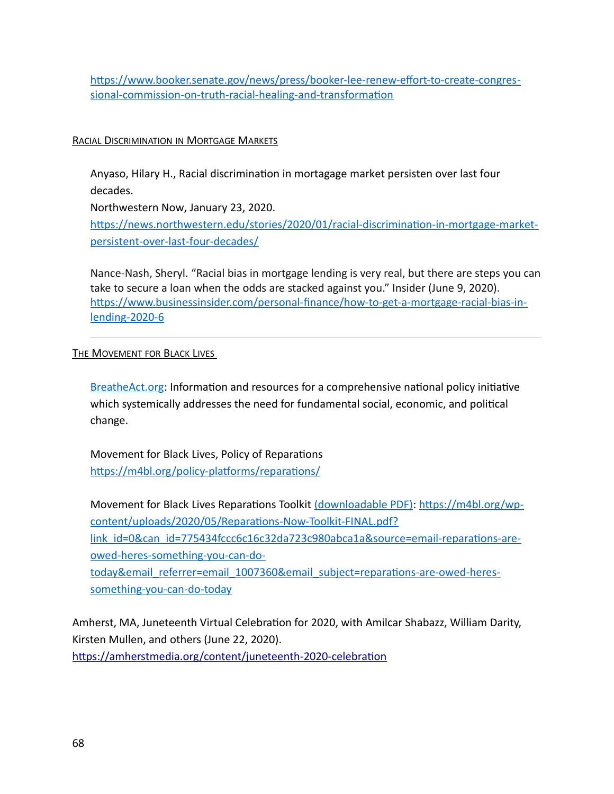[https://www.booker.senate.gov/news/press/booker-lee-renew-effort-to-create-congres](https://www.booker.senate.gov/news/press/booker-lee-renew-effort-to-create-congressional-commission-on-truth-racial-healing-and-transformation)[sional-commission-on-truth-racial-healing-and-transformation](https://www.booker.senate.gov/news/press/booker-lee-renew-effort-to-create-congressional-commission-on-truth-racial-healing-and-transformation)

### RACIAL DISCRIMINATION IN MORTGAGE MARKETS

Anyaso, Hilary H., Racial discrimination in mortagage market persisten over last four decades.

Northwestern Now, January 23, 2020.

[https://news.northwestern.edu/stories/2020/01/racial-discrimination-in-mortgage-market](https://news.northwestern.edu/stories/2020/01/racial-discrimination-in-mortgage-market-persistent-over-last-four-decades/)[persistent-over-last-four-decades/](https://news.northwestern.edu/stories/2020/01/racial-discrimination-in-mortgage-market-persistent-over-last-four-decades/)

Nance-Nash, Sheryl. "Racial bias in mortgage lending is very real, but there are steps you can take to secure a loan when the odds are stacked against you." Insider (June 9, 2020). [https://www.businessinsider.com/personal-finance/how-to-get-a-mortgage-racial-bias-in](https://www.businessinsider.com/personal-finance/how-to-get-a-mortgage-racial-bias-in-lending-2020-6)[lending-2020-6](https://www.businessinsider.com/personal-finance/how-to-get-a-mortgage-racial-bias-in-lending-2020-6)

### THE MOVEMENT FOR BLACK LIVES

[BreatheAct.org:](http://breatheact.org/) Information and resources for a comprehensive national policy initiative which systemically addresses the need for fundamental social, economic, and political change.

Movement for Black Lives, Policy of Reparations <https://m4bl.org/policy-platforms/reparations/>

Movement for Black Lives Reparations Toolkit (downloadable PDF): [https://m4bl.org/wp](https://m4bl.org/wp-content/uploads/2020/05/Reparations-Now-Toolkit-FINAL.pdf?link_id=0&can_id=775434fccc6c16c32da723c980abca1a&source=email-reparations-are-owed-heres-something-you-can-do-today&email_referrer=email_1007360&email_subject=reparations-are-owed-heres-something-you-can-do-today)content/uploads/2020/05/Reparations-Now-Toolkit-FINAL.pdf? [link\\_id=0&can\\_id=775434fccc6c16c32da723c980abca1a&source=email-reparations-are](https://m4bl.org/wp-content/uploads/2020/05/Reparations-Now-Toolkit-FINAL.pdf?link_id=0&can_id=775434fccc6c16c32da723c980abca1a&source=email-reparations-are-owed-heres-something-you-can-do-today&email_referrer=email_1007360&email_subject=reparations-are-owed-heres-something-you-can-do-today)owed-heres-something-you-can-dotoday&email\_referrer=email\_1007360&email\_subject=reparations-are-owed-heres[something-you-can-do-today](https://m4bl.org/wp-content/uploads/2020/05/Reparations-Now-Toolkit-FINAL.pdf?link_id=0&can_id=775434fccc6c16c32da723c980abca1a&source=email-reparations-are-owed-heres-something-you-can-do-today&email_referrer=email_1007360&email_subject=reparations-are-owed-heres-something-you-can-do-today)

Amherst, MA, Juneteenth Virtual Celebration for 2020, with Amilcar Shabazz, William Darity, Kirsten Mullen, and others (June 22, 2020). https://amherstmedia.org/content/juneteenth-2020-celebration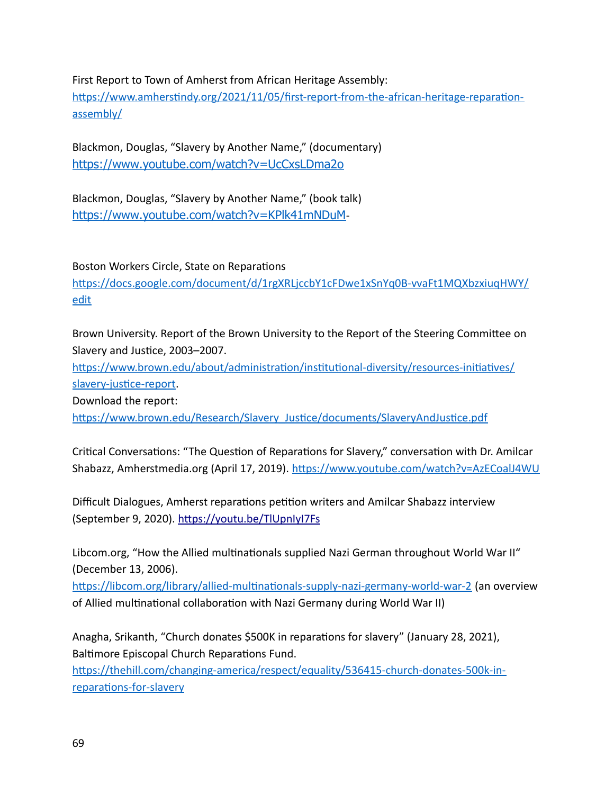First Report to Town of Amherst from African Heritage Assembly: [https://www.amherstindy.org/2021/11/05/first-report-from-the-african-heritage-reparation](https://www.amherstindy.org/2021/11/05/first-report-from-the-african-heritage-reparation-assembly/)[assembly/](https://www.amherstindy.org/2021/11/05/first-report-from-the-african-heritage-reparation-assembly/)

Blackmon, Douglas, "Slavery by Another Name," (documentary) <https://www.youtube.com/watch?v=UcCxsLDma2o>

Blackmon, Douglas, "Slavery by Another Name," (book talk) <https://www.youtube.com/watch?v=KPlk41mNDuM>-

Boston Workers Circle, State on Reparations

[https://docs.google.com/document/d/1rgXRLjccbY1cFDwe1xSnYq0B-vvaFt1MQXbzxiuqHWY/](https://docs.google.com/document/d/1rgXRLjccbY1cFDwe1xSnYq0B-vvaFt1MQXbzxiuqHWY/edit) [edit](https://docs.google.com/document/d/1rgXRLjccbY1cFDwe1xSnYq0B-vvaFt1MQXbzxiuqHWY/edit)

Brown University. Report of the Brown University to the Report of the Steering Committee on Slavery and Justice, 2003–2007.

[https://www.brown.edu/about/administration/institutional-diversity/resources-initiatives/](https://www.brown.edu/about/administration/institutional-diversity/resources-initiatives/slavery-justice-report) [slavery-justice-report](https://www.brown.edu/about/administration/institutional-diversity/resources-initiatives/slavery-justice-report).

Download the report:

[https://www.brown.edu/Research/Slavery\\_Justice/documents/SlaveryAndJustice.pdf](https://www.brown.edu/Research/Slavery_Justice/documents/SlaveryAndJustice.pdf)

Critical Conversations: "The Question of Reparations for Slavery," conversation with Dr. Amilcar Shabazz, Amherstmedia.org (April 17, 2019). <https://www.youtube.com/watch?v=AzECoalJ4WU>

Difficult Dialogues, Amherst reparations petition writers and Amilcar Shabazz interview (September 9, 2020). https://youtu.be/TlUpnIyI7Fs

Libcom.org, "How the Allied multinationals supplied Nazi German throughout World War II" (December 13, 2006).

<https://libcom.org/library/allied-multinationals-supply-nazi-germany-world-war-2> (an overview of Allied multinational collaboration with Nazi Germany during World War II)

Anagha, Srikanth, "Church donates \$500K in reparations for slavery" (January 28, 2021), Baltimore Episcopal Church Reparations Fund.

[https://thehill.com/changing-america/respect/equality/536415-church-donates-500k-in](https://thehill.com/changing-america/respect/equality/536415-church-donates-500k-in-reparations-for-slavery)[reparations-for-slavery](https://thehill.com/changing-america/respect/equality/536415-church-donates-500k-in-reparations-for-slavery)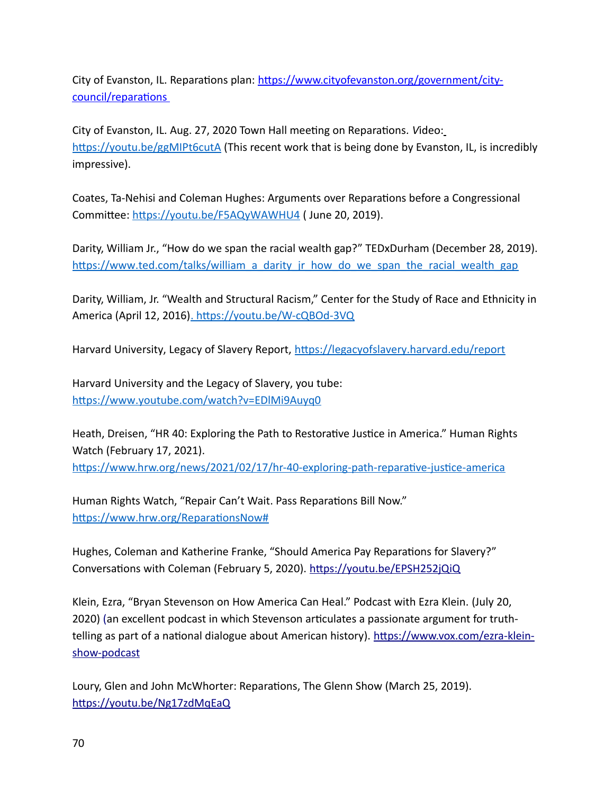City of Evanston, IL. Reparations plan: https://www.cityofevanston.org/government/citycouncil/reparations

City of Evanston, IL. Aug. 27, 2020 Town Hall meeting on Reparations*. V*ideo: <https://youtu.be/ggMIPt6cutA>(This recent work that is being done by Evanston, IL, is incredibly impressive).

Coates, Ta-Nehisi and Coleman Hughes: Arguments over Reparations before a Congressional Committee: <https://youtu.be/F5AQyWAWHU4> ( June 20, 2019).

Darity, William Jr., "How do we span the racial wealth gap?" TEDxDurham (December 28, 2019). https://www.ted.com/talks/william\_a\_darity\_ir\_how\_do\_we\_span\_the\_racial\_wealth\_gap

Darity, William, Jr. "Wealth and Structural Racism," Center for the Study of Race and Ethnicity in America (April 12, 2016)[. https://youtu.be/W-cQBOd-3VQ](../../../../../Users/janemyers/Downloads/.%20https:/youtu.be/W-cQBOd-3VQ)

Harvard University, Legacy of Slavery Report, <https://legacyofslavery.harvard.edu/report>

Harvard University and the Legacy of Slavery, you tube: <https://www.youtube.com/watch?v=EDlMi9Auyq0>

Heath, Dreisen, "HR 40: Exploring the Path to Restorative Justice in America." Human Rights Watch (February 17, 2021). <https://www.hrw.org/news/2021/02/17/hr-40-exploring-path-reparative-justice-america>

Human Rights Watch, "Repair Can't Wait. Pass Reparations Bill Now." [https://www.hrw.org/ReparationsNow#](https://www.hrw.org/ReparationsNow)

Hughes, Coleman and Katherine Franke, "Should America Pay Reparations for Slavery?" Conversations with Coleman (February 5, 2020). https://youtu.be/EPSH252jQiQ

Klein, Ezra, "Bryan Stevenson on How America Can Heal." Podcast with Ezra Klein. (July 20, 2020) (an excellent podcast in which Stevenson articulates a passionate argument for truthtelling as part of a national dialogue about American history). https://www.vox.com/ezra-kleinshow-podcast

Loury, Glen and John McWhorter: Reparations, The Glenn Show (March 25, 2019). https://youtu.be/Ng17zdMqEaQ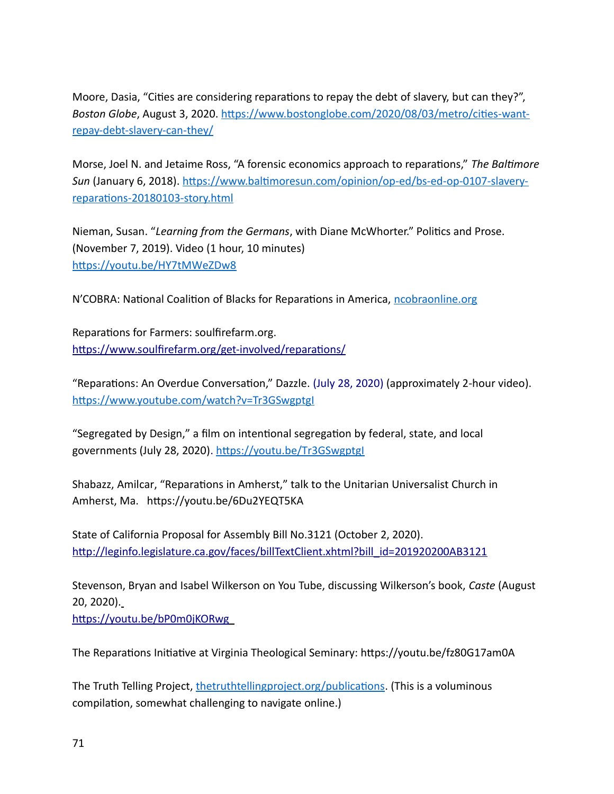Moore, Dasia, "Cities are considering reparations to repay the debt of slavery, but can they?", *Boston Globe*, August 3, 2020. [https://www.bostonglobe.com/2020/08/03/metro/cities-want](https://www.bostonglobe.com/2020/08/03/metro/cities-want-repay-debt-slavery-can-they/)[repay-debt-slavery-can-they/](https://www.bostonglobe.com/2020/08/03/metro/cities-want-repay-debt-slavery-can-they/)

Morse, Joel N. and Jetaime Ross, "A forensic economics approach to reparations," *The Baltimore Sun* (January 6, 2018). [https://www.baltimoresun.com/opinion/op-ed/bs-ed-op-0107-slavery](https://www.baltimoresun.com/opinion/op-ed/bs-ed-op-0107-slavery-reparations-20180103-story.html)[reparations-20180103-story.html](https://www.baltimoresun.com/opinion/op-ed/bs-ed-op-0107-slavery-reparations-20180103-story.html)

Nieman, Susan. "*Learning from the Germans*, with Diane McWhorter." Politics and Prose. (November 7, 2019). Video (1 hour, 10 minutes) <https://youtu.be/HY7tMWeZDw8>

N'COBRA: National Coalition of Blacks for Reparations in America, [ncobraonline.org](http://ncobraonline.org/)

Reparations for Farmers: soulfirefarm.org. https://www.soulfirefarm.org/get-involved/reparations/

"Reparations: An Overdue Conversation," Dazzle. (July 28, 2020) (approximately 2-hour video). <https://www.youtube.com/watch?v=Tr3GSwgptgI>

"Segregated by Design," a film on intentional segregation by federal, state, and local governments (July 28, 2020). https://youtu.be/Tr3GSwgptgI

Shabazz, Amilcar, "Reparations in Amherst," talk to the Unitarian Universalist Church in Amherst, Ma. https://youtu.be/6Du2YEQT5KA

State of California Proposal for Assembly Bill No.3121 (October 2, 2020). http://leginfo.legislature.ca.gov/faces/billTextClient.xhtml?bill\_id=201920200AB3121

Stevenson, Bryan and Isabel Wilkerson on You Tube, discussing Wilkerson's book, *Caste* (August 20, 2020).

https://youtu.be/bP0m0jKORwg

The Reparations Initiative at Virginia Theological Seminary: https://youtu.be/fz80G17am0A

The Truth Telling Project, [thetruthtellingproject.org/publications](http://thetruthtellingproject.org/publications). (This is a voluminous compilation, somewhat challenging to navigate online.)